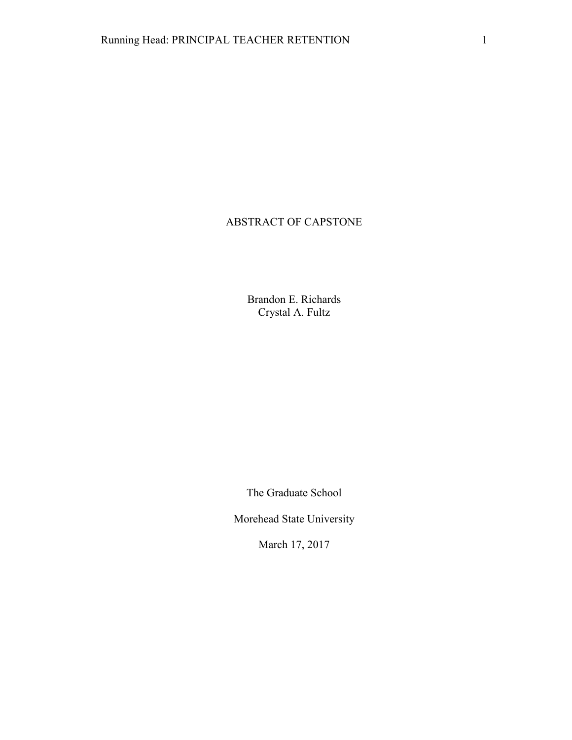# ABSTRACT OF CAPSTONE

Brandon E. Richards Crystal A. Fultz

The Graduate School

Morehead State University

March 17, 2017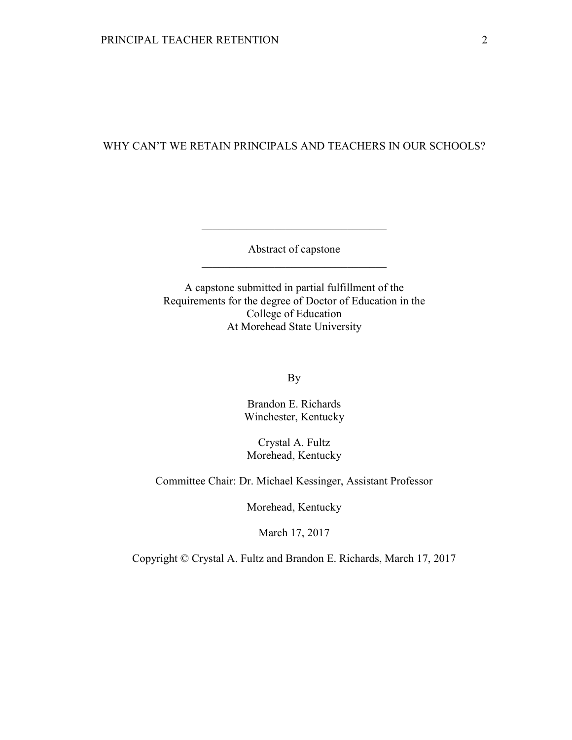# WHY CAN'T WE RETAIN PRINCIPALS AND TEACHERS IN OUR SCHOOLS?

Abstract of capstone \_\_\_\_\_\_\_\_\_\_\_\_\_\_\_\_\_\_\_\_\_\_\_\_\_\_\_\_\_\_\_\_\_

\_\_\_\_\_\_\_\_\_\_\_\_\_\_\_\_\_\_\_\_\_\_\_\_\_\_\_\_\_\_\_\_\_

A capstone submitted in partial fulfillment of the Requirements for the degree of Doctor of Education in the College of Education At Morehead State University

By

Brandon E. Richards Winchester, Kentucky

Crystal A. Fultz Morehead, Kentucky

Committee Chair: Dr. Michael Kessinger, Assistant Professor

Morehead, Kentucky

March 17, 2017

Copyright © Crystal A. Fultz and Brandon E. Richards, March 17, 2017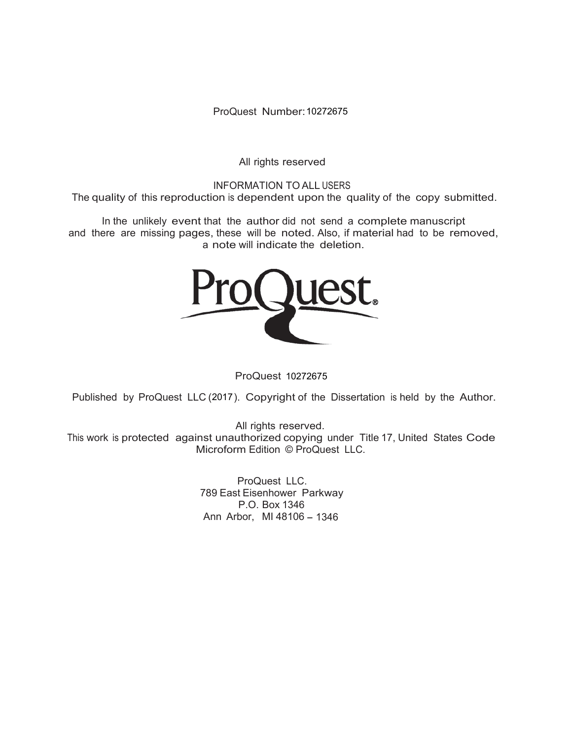ProQuest Number: 10272675

All rights reserved

INFORMATION TO ALL USERS The quality of this reproduction is dependent upon the quality of the copy submitted.

In the unlikely event that the author did not send a complete manuscript and there are missing pages, these will be noted. Also, if material had to be removed, a note will indicate the deletion.



ProQuest 10272675

Published by ProQuest LLC (2017). Copyright of the Dissertation is held by the Author.

All rights reserved. This work is protected against unauthorized copying under Title 17, United States Code Microform Edition © ProQuest LLC.

> ProQuest LLC. 789 East Eisenhower Parkway P.O. Box 1346 Ann Arbor, MI 48106 - 1346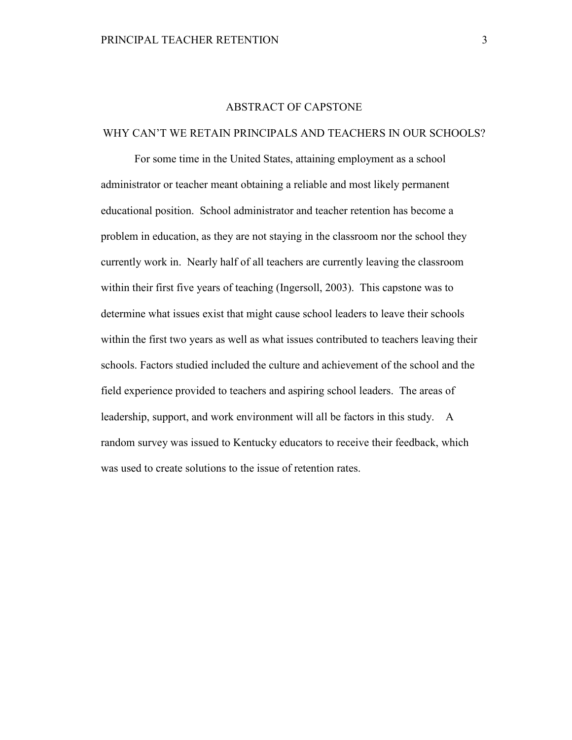### ABSTRACT OF CAPSTONE

### WHY CAN'T WE RETAIN PRINCIPALS AND TEACHERS IN OUR SCHOOLS?

For some time in the United States, attaining employment as a school administrator or teacher meant obtaining a reliable and most likely permanent educational position. School administrator and teacher retention has become a problem in education, as they are not staying in the classroom nor the school they currently work in. Nearly half of all teachers are currently leaving the classroom within their first five years of teaching (Ingersoll, 2003). This capstone was to determine what issues exist that might cause school leaders to leave their schools within the first two years as well as what issues contributed to teachers leaving their schools. Factors studied included the culture and achievement of the school and the field experience provided to teachers and aspiring school leaders. The areas of leadership, support, and work environment will all be factors in this study. A random survey was issued to Kentucky educators to receive their feedback, which was used to create solutions to the issue of retention rates.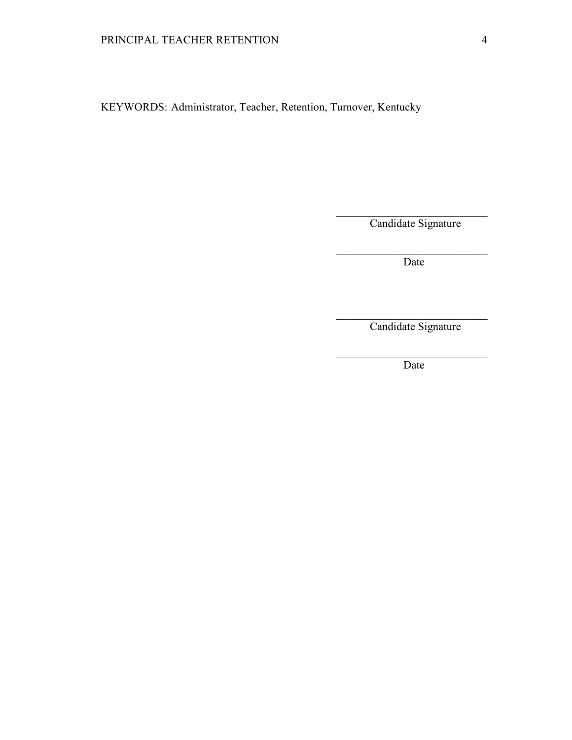KEYWORDS: Administrator, Teacher, Retention, Turnover, Kentucky

 $\mathcal{L}_\text{max}$  , and the contract of the contract of the contract of the contract of the contract of the contract of

 $\mathcal{L}_\text{max}$  and  $\mathcal{L}_\text{max}$  and  $\mathcal{L}_\text{max}$  and  $\mathcal{L}_\text{max}$  and  $\mathcal{L}_\text{max}$  and  $\mathcal{L}_\text{max}$ 

 $\mathcal{L}_\text{max}$  and  $\mathcal{L}_\text{max}$  and  $\mathcal{L}_\text{max}$  and  $\mathcal{L}_\text{max}$  and  $\mathcal{L}_\text{max}$  and  $\mathcal{L}_\text{max}$ 

 $\mathcal{L}_\text{max}$  , and the contract of the contract of the contract of the contract of the contract of the contract of

Candidate Signature

**Date** 

Candidate Signature

**Date**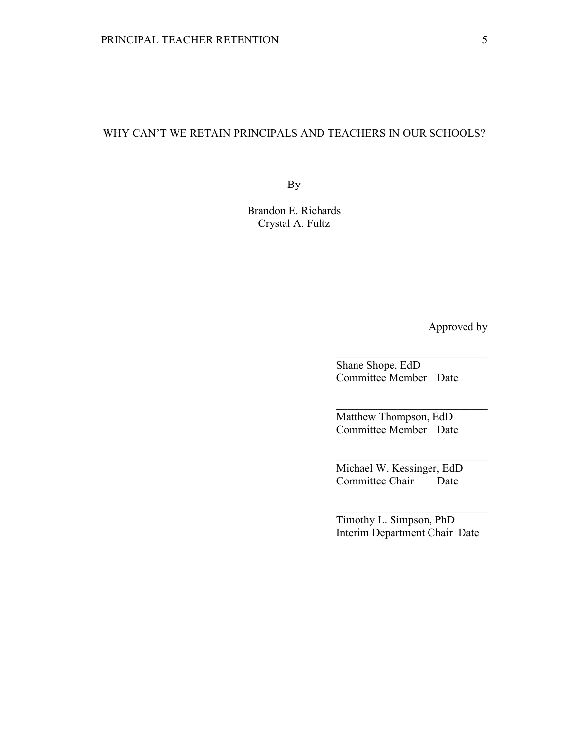# WHY CAN'T WE RETAIN PRINCIPALS AND TEACHERS IN OUR SCHOOLS?

By

Brandon E. Richards Crystal A. Fultz

Approved by

Shane Shope, EdD Committee Member Date

 $\_$ 

 $\_$ 

 $\_$ 

Matthew Thompson, EdD Committee Member Date

Michael W. Kessinger, EdD Committee Chair Date

Timothy L. Simpson, PhD Interim Department Chair Date

\_\_\_\_\_\_\_\_\_\_\_\_\_\_\_\_\_\_\_\_\_\_\_\_\_\_\_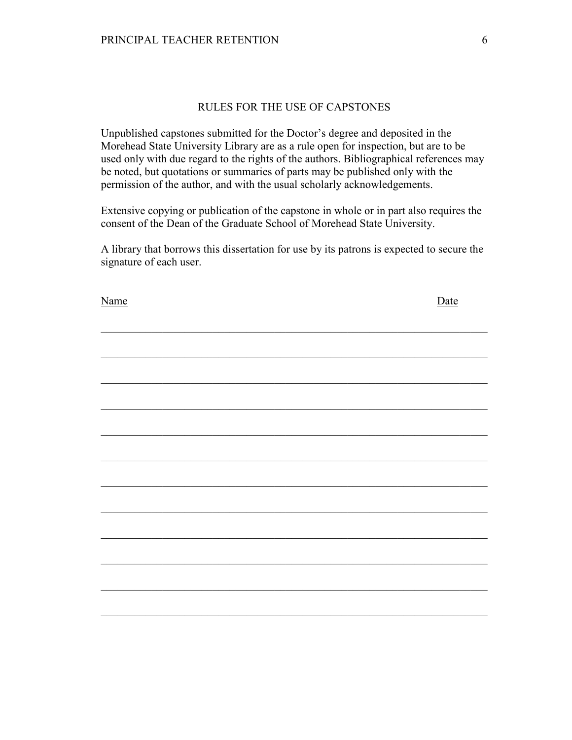## RULES FOR THE USE OF CAPSTONES

Unpublished capstones submitted for the Doctor's degree and deposited in the Morehead State University Library are as a rule open for inspection, but are to be used only with due regard to the rights of the authors. Bibliographical references may be noted, but quotations or summaries of parts may be published only with the permission of the author, and with the usual scholarly acknowledgements.

Extensive copying or publication of the capstone in whole or in part also requires the consent of the Dean of the Graduate School of Morehead State University.

A library that borrows this dissertation for use by its patrons is expected to secure the signature of each user.

| Name | Date |
|------|------|
|      |      |
|      |      |
|      |      |
|      |      |
|      |      |
|      |      |
|      |      |
|      |      |
|      |      |
|      |      |
|      |      |
|      |      |
|      |      |
|      |      |
|      |      |
|      |      |
|      |      |
|      |      |
|      |      |
|      |      |
|      |      |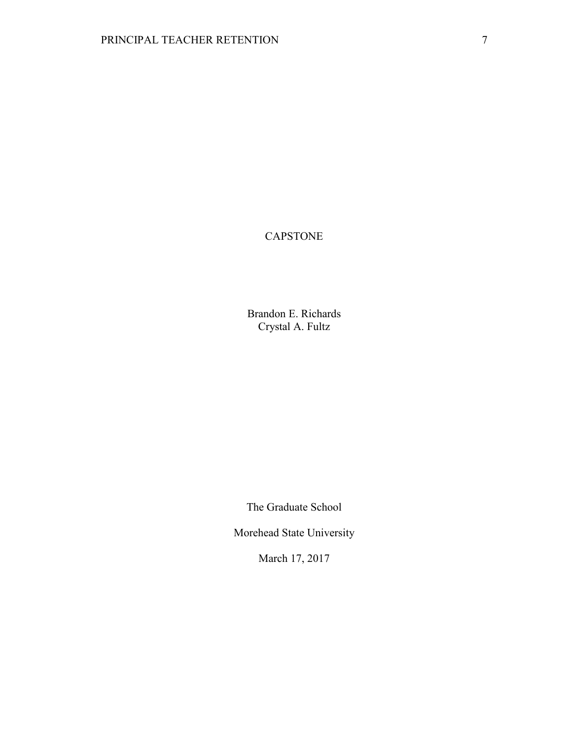# CAPSTONE

Brandon E. Richards Crystal A. Fultz

The Graduate School

Morehead State University

March 17, 2017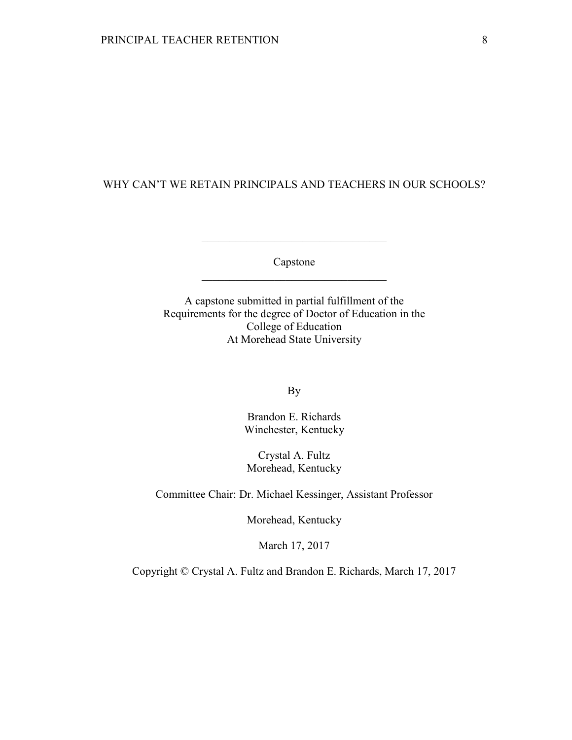# WHY CAN'T WE RETAIN PRINCIPALS AND TEACHERS IN OUR SCHOOLS?

Capstone \_\_\_\_\_\_\_\_\_\_\_\_\_\_\_\_\_\_\_\_\_\_\_\_\_\_\_\_\_\_\_\_\_

\_\_\_\_\_\_\_\_\_\_\_\_\_\_\_\_\_\_\_\_\_\_\_\_\_\_\_\_\_\_\_\_\_

A capstone submitted in partial fulfillment of the Requirements for the degree of Doctor of Education in the College of Education At Morehead State University

By

Brandon E. Richards Winchester, Kentucky

Crystal A. Fultz Morehead, Kentucky

Committee Chair: Dr. Michael Kessinger, Assistant Professor

Morehead, Kentucky

March 17, 2017

Copyright © Crystal A. Fultz and Brandon E. Richards, March 17, 2017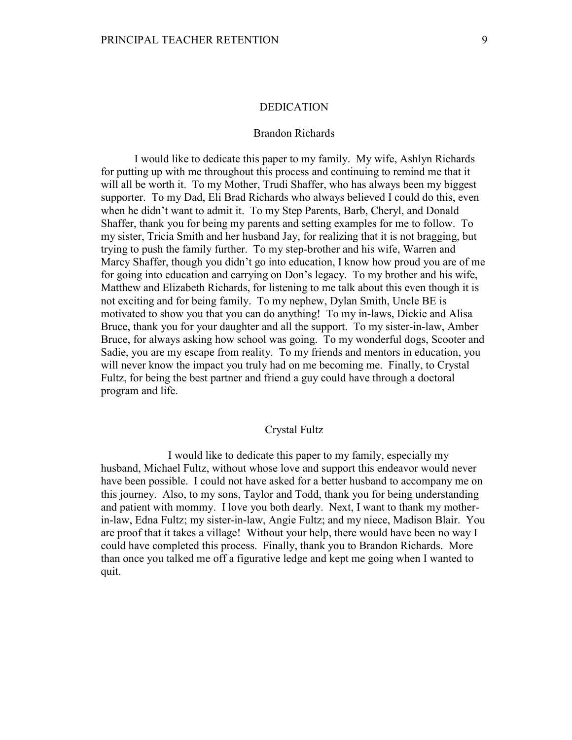### DEDICATION

### Brandon Richards

I would like to dedicate this paper to my family. My wife, Ashlyn Richards for putting up with me throughout this process and continuing to remind me that it will all be worth it. To my Mother, Trudi Shaffer, who has always been my biggest supporter. To my Dad, Eli Brad Richards who always believed I could do this, even when he didn't want to admit it. To my Step Parents, Barb, Cheryl, and Donald Shaffer, thank you for being my parents and setting examples for me to follow. To my sister, Tricia Smith and her husband Jay, for realizing that it is not bragging, but trying to push the family further. To my step-brother and his wife, Warren and Marcy Shaffer, though you didn't go into education, I know how proud you are of me for going into education and carrying on Don's legacy. To my brother and his wife, Matthew and Elizabeth Richards, for listening to me talk about this even though it is not exciting and for being family. To my nephew, Dylan Smith, Uncle BE is motivated to show you that you can do anything! To my in-laws, Dickie and Alisa Bruce, thank you for your daughter and all the support. To my sister-in-law, Amber Bruce, for always asking how school was going. To my wonderful dogs, Scooter and Sadie, you are my escape from reality. To my friends and mentors in education, you will never know the impact you truly had on me becoming me. Finally, to Crystal Fultz, for being the best partner and friend a guy could have through a doctoral program and life.

## Crystal Fultz

 I would like to dedicate this paper to my family, especially my husband, Michael Fultz, without whose love and support this endeavor would never have been possible. I could not have asked for a better husband to accompany me on this journey. Also, to my sons, Taylor and Todd, thank you for being understanding and patient with mommy. I love you both dearly. Next, I want to thank my motherin-law, Edna Fultz; my sister-in-law, Angie Fultz; and my niece, Madison Blair. You are proof that it takes a village! Without your help, there would have been no way I could have completed this process. Finally, thank you to Brandon Richards. More than once you talked me off a figurative ledge and kept me going when I wanted to quit.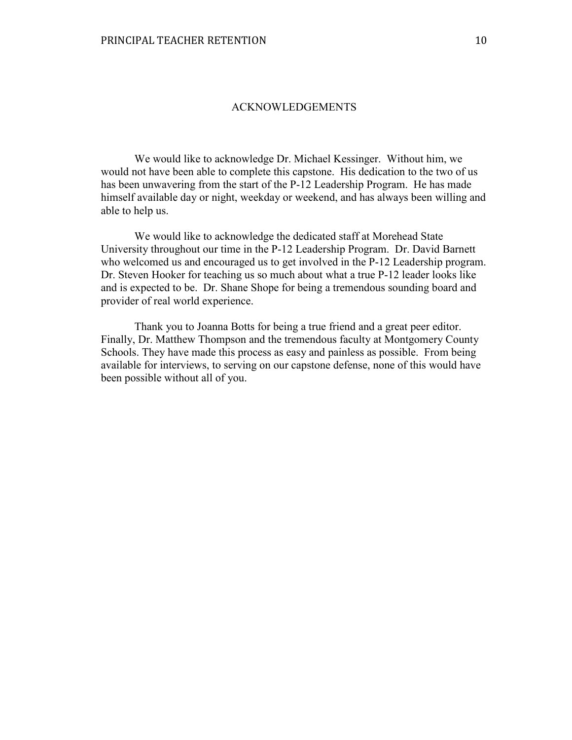### ACKNOWLEDGEMENTS

We would like to acknowledge Dr. Michael Kessinger. Without him, we would not have been able to complete this capstone. His dedication to the two of us has been unwavering from the start of the P-12 Leadership Program. He has made himself available day or night, weekday or weekend, and has always been willing and able to help us.

 We would like to acknowledge the dedicated staff at Morehead State University throughout our time in the P-12 Leadership Program. Dr. David Barnett who welcomed us and encouraged us to get involved in the P-12 Leadership program. Dr. Steven Hooker for teaching us so much about what a true P-12 leader looks like and is expected to be. Dr. Shane Shope for being a tremendous sounding board and provider of real world experience.

 Thank you to Joanna Botts for being a true friend and a great peer editor. Finally, Dr. Matthew Thompson and the tremendous faculty at Montgomery County Schools. They have made this process as easy and painless as possible. From being available for interviews, to serving on our capstone defense, none of this would have been possible without all of you.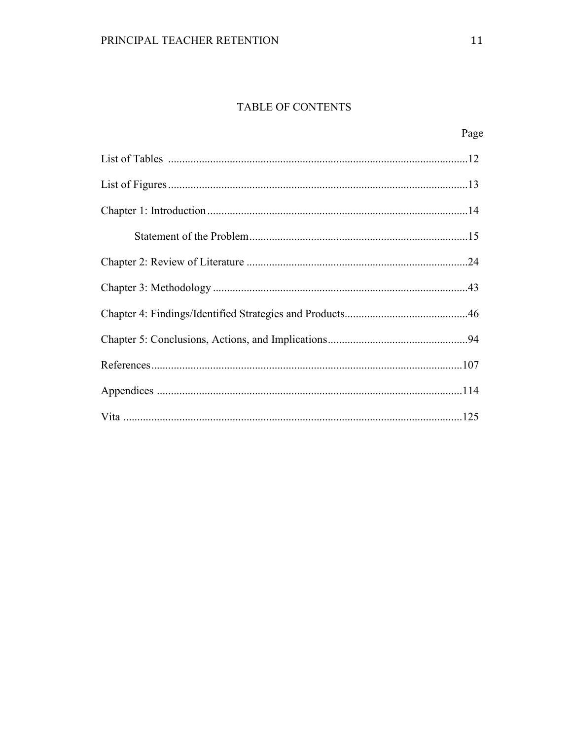# TABLE OF CONTENTS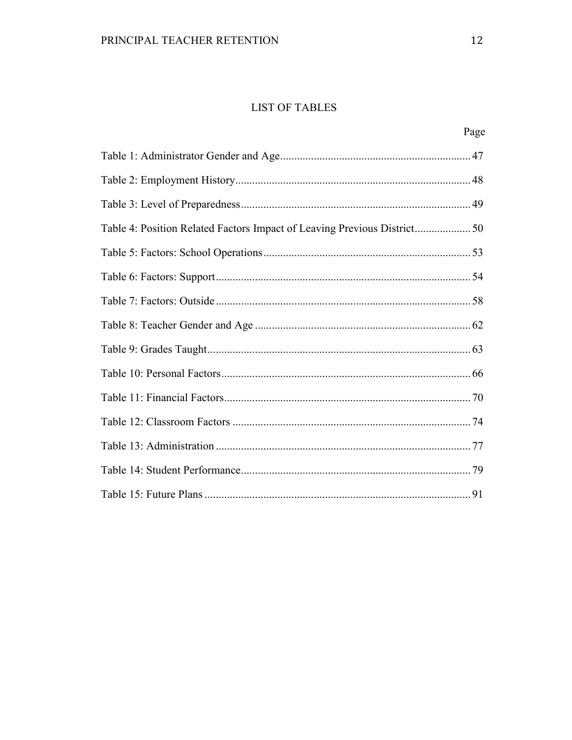# **LIST OF TABLES**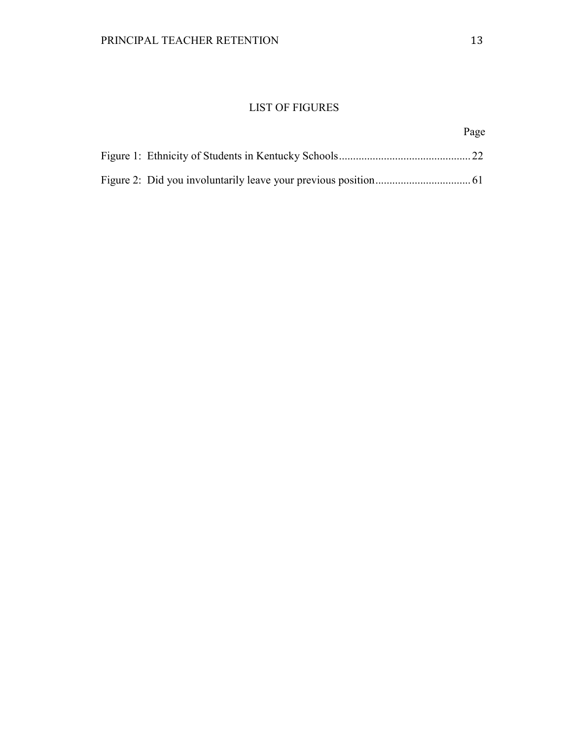# LIST OF FIGURES

# Page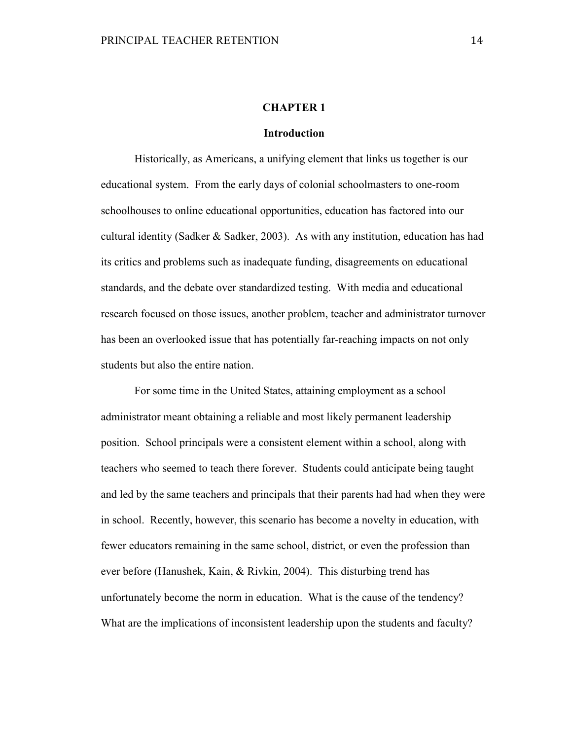# **CHAPTER 1**

# **Introduction**

Historically, as Americans, a unifying element that links us together is our educational system. From the early days of colonial schoolmasters to one-room schoolhouses to online educational opportunities, education has factored into our cultural identity (Sadker & Sadker, 2003). As with any institution, education has had its critics and problems such as inadequate funding, disagreements on educational standards, and the debate over standardized testing. With media and educational research focused on those issues, another problem, teacher and administrator turnover has been an overlooked issue that has potentially far-reaching impacts on not only students but also the entire nation.

 For some time in the United States, attaining employment as a school administrator meant obtaining a reliable and most likely permanent leadership position. School principals were a consistent element within a school, along with teachers who seemed to teach there forever. Students could anticipate being taught and led by the same teachers and principals that their parents had had when they were in school. Recently, however, this scenario has become a novelty in education, with fewer educators remaining in the same school, district, or even the profession than ever before (Hanushek, Kain, & Rivkin, 2004). This disturbing trend has unfortunately become the norm in education. What is the cause of the tendency? What are the implications of inconsistent leadership upon the students and faculty?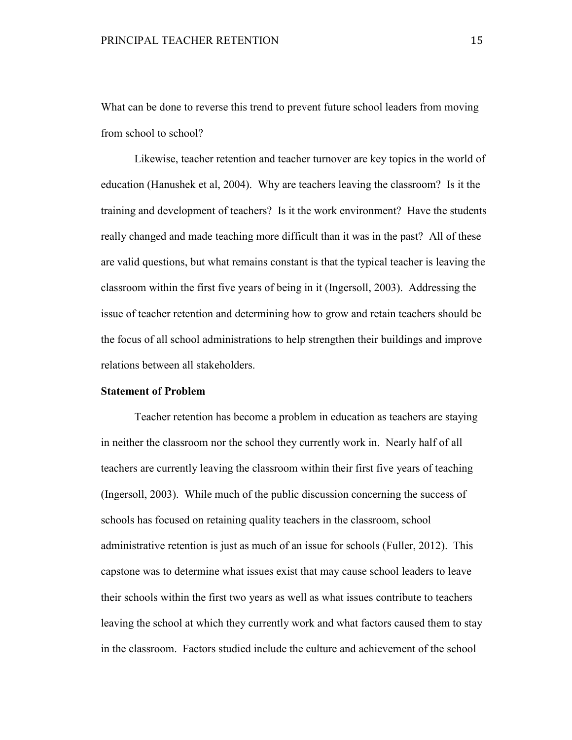What can be done to reverse this trend to prevent future school leaders from moving from school to school?

Likewise, teacher retention and teacher turnover are key topics in the world of education (Hanushek et al, 2004). Why are teachers leaving the classroom? Is it the training and development of teachers? Is it the work environment? Have the students really changed and made teaching more difficult than it was in the past? All of these are valid questions, but what remains constant is that the typical teacher is leaving the classroom within the first five years of being in it (Ingersoll, 2003). Addressing the issue of teacher retention and determining how to grow and retain teachers should be the focus of all school administrations to help strengthen their buildings and improve relations between all stakeholders.

## **Statement of Problem**

Teacher retention has become a problem in education as teachers are staying in neither the classroom nor the school they currently work in. Nearly half of all teachers are currently leaving the classroom within their first five years of teaching (Ingersoll, 2003). While much of the public discussion concerning the success of schools has focused on retaining quality teachers in the classroom, school administrative retention is just as much of an issue for schools (Fuller, 2012). This capstone was to determine what issues exist that may cause school leaders to leave their schools within the first two years as well as what issues contribute to teachers leaving the school at which they currently work and what factors caused them to stay in the classroom. Factors studied include the culture and achievement of the school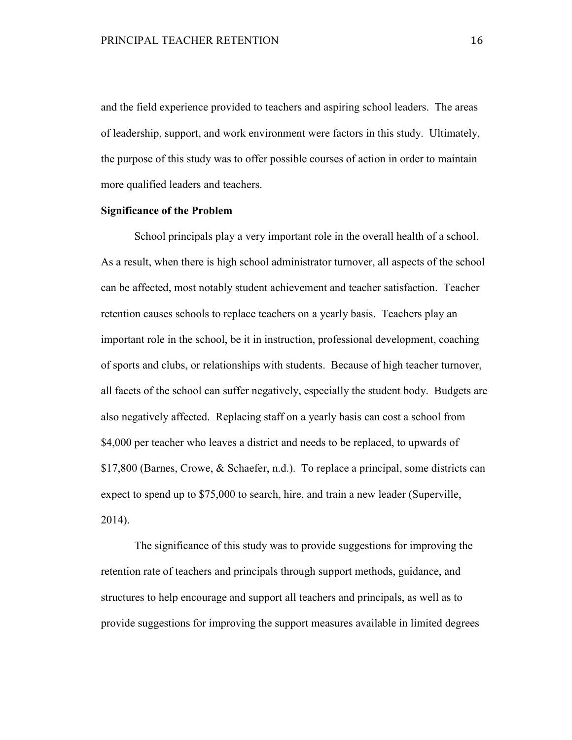and the field experience provided to teachers and aspiring school leaders. The areas of leadership, support, and work environment were factors in this study. Ultimately, the purpose of this study was to offer possible courses of action in order to maintain more qualified leaders and teachers.

# **Significance of the Problem**

 School principals play a very important role in the overall health of a school. As a result, when there is high school administrator turnover, all aspects of the school can be affected, most notably student achievement and teacher satisfaction. Teacher retention causes schools to replace teachers on a yearly basis. Teachers play an important role in the school, be it in instruction, professional development, coaching of sports and clubs, or relationships with students. Because of high teacher turnover, all facets of the school can suffer negatively, especially the student body. Budgets are also negatively affected. Replacing staff on a yearly basis can cost a school from \$4,000 per teacher who leaves a district and needs to be replaced, to upwards of \$17,800 (Barnes, Crowe, & Schaefer, n.d.). To replace a principal, some districts can expect to spend up to \$75,000 to search, hire, and train a new leader (Superville, 2014).

The significance of this study was to provide suggestions for improving the retention rate of teachers and principals through support methods, guidance, and structures to help encourage and support all teachers and principals, as well as to provide suggestions for improving the support measures available in limited degrees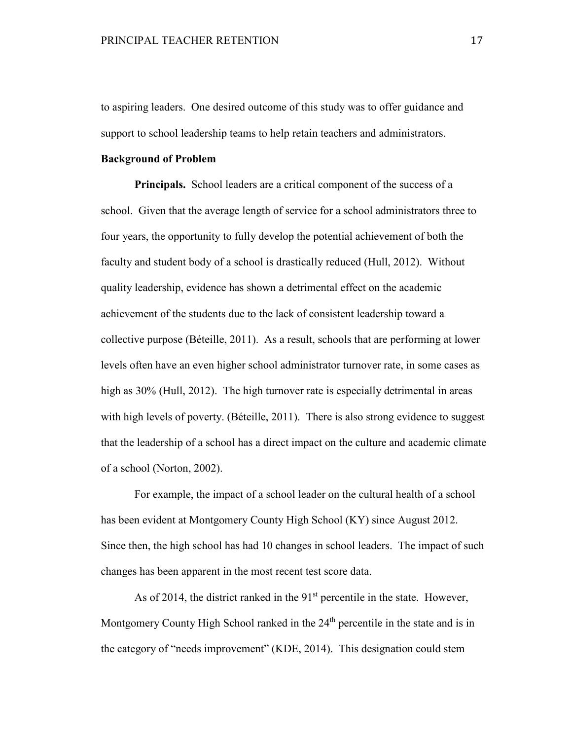to aspiring leaders. One desired outcome of this study was to offer guidance and support to school leadership teams to help retain teachers and administrators.

### **Background of Problem**

**Principals.** School leaders are a critical component of the success of a school. Given that the average length of service for a school administrators three to four years, the opportunity to fully develop the potential achievement of both the faculty and student body of a school is drastically reduced (Hull, 2012). Without quality leadership, evidence has shown a detrimental effect on the academic achievement of the students due to the lack of consistent leadership toward a collective purpose (Béteille, 2011). As a result, schools that are performing at lower levels often have an even higher school administrator turnover rate, in some cases as high as 30% (Hull, 2012). The high turnover rate is especially detrimental in areas with high levels of poverty. (Béteille, 2011). There is also strong evidence to suggest that the leadership of a school has a direct impact on the culture and academic climate of a school (Norton, 2002).

 For example, the impact of a school leader on the cultural health of a school has been evident at Montgomery County High School (KY) since August 2012. Since then, the high school has had 10 changes in school leaders. The impact of such changes has been apparent in the most recent test score data.

As of 2014, the district ranked in the 91<sup>st</sup> percentile in the state. However, Montgomery County High School ranked in the  $24<sup>th</sup>$  percentile in the state and is in the category of "needs improvement" (KDE, 2014). This designation could stem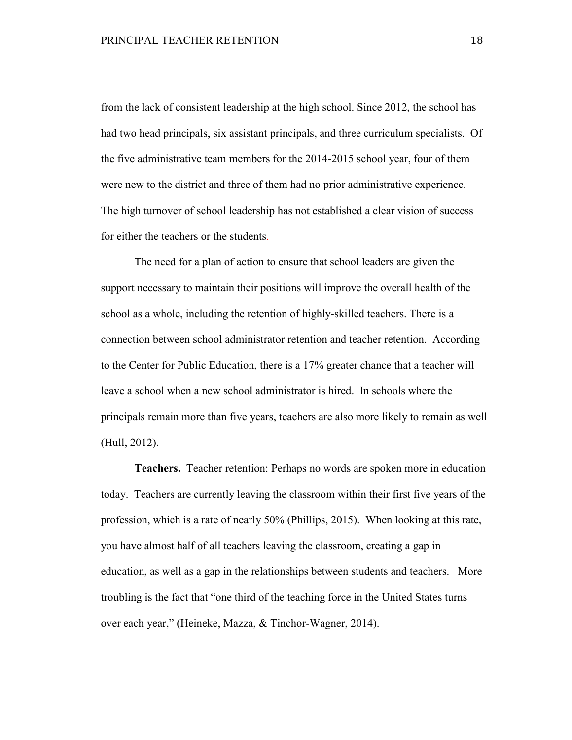from the lack of consistent leadership at the high school. Since 2012, the school has had two head principals, six assistant principals, and three curriculum specialists. Of the five administrative team members for the 2014-2015 school year, four of them were new to the district and three of them had no prior administrative experience. The high turnover of school leadership has not established a clear vision of success for either the teachers or the students.

 The need for a plan of action to ensure that school leaders are given the support necessary to maintain their positions will improve the overall health of the school as a whole, including the retention of highly-skilled teachers. There is a connection between school administrator retention and teacher retention. According to the Center for Public Education, there is a 17% greater chance that a teacher will leave a school when a new school administrator is hired. In schools where the principals remain more than five years, teachers are also more likely to remain as well (Hull, 2012).

**Teachers.** Teacher retention: Perhaps no words are spoken more in education today. Teachers are currently leaving the classroom within their first five years of the profession, which is a rate of nearly 50% (Phillips, 2015). When looking at this rate, you have almost half of all teachers leaving the classroom, creating a gap in education, as well as a gap in the relationships between students and teachers. More troubling is the fact that "one third of the teaching force in the United States turns over each year," (Heineke, Mazza, & Tinchor-Wagner, 2014).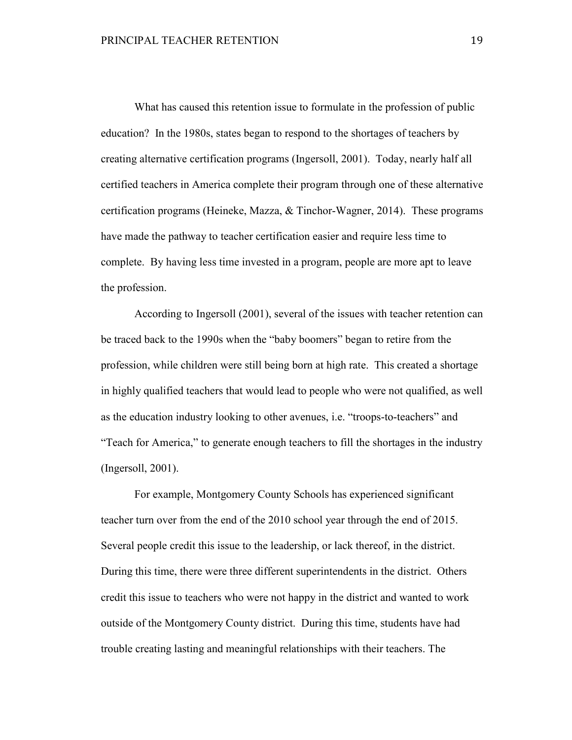What has caused this retention issue to formulate in the profession of public education? In the 1980s, states began to respond to the shortages of teachers by creating alternative certification programs (Ingersoll, 2001). Today, nearly half all certified teachers in America complete their program through one of these alternative certification programs (Heineke, Mazza, & Tinchor-Wagner, 2014). These programs have made the pathway to teacher certification easier and require less time to complete. By having less time invested in a program, people are more apt to leave the profession.

 According to Ingersoll (2001), several of the issues with teacher retention can be traced back to the 1990s when the "baby boomers" began to retire from the profession, while children were still being born at high rate. This created a shortage in highly qualified teachers that would lead to people who were not qualified, as well as the education industry looking to other avenues, i.e. "troops-to-teachers" and "Teach for America," to generate enough teachers to fill the shortages in the industry (Ingersoll, 2001).

 For example, Montgomery County Schools has experienced significant teacher turn over from the end of the 2010 school year through the end of 2015. Several people credit this issue to the leadership, or lack thereof, in the district. During this time, there were three different superintendents in the district. Others credit this issue to teachers who were not happy in the district and wanted to work outside of the Montgomery County district. During this time, students have had trouble creating lasting and meaningful relationships with their teachers. The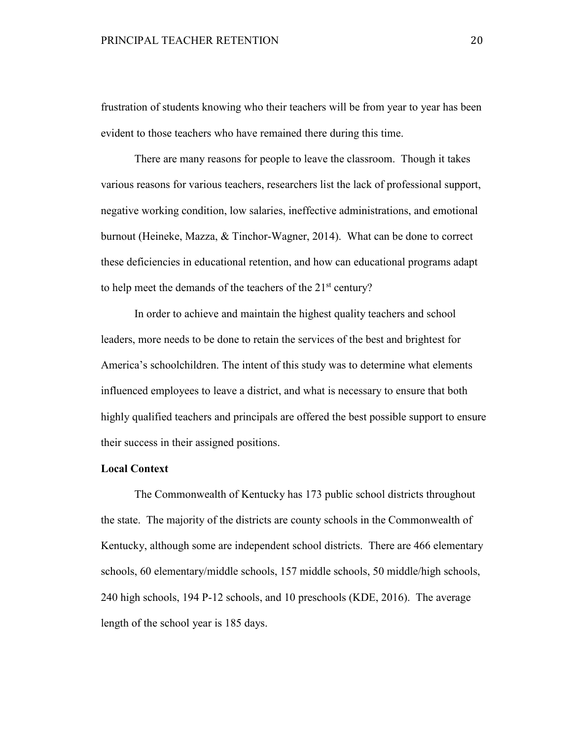frustration of students knowing who their teachers will be from year to year has been evident to those teachers who have remained there during this time.

 There are many reasons for people to leave the classroom. Though it takes various reasons for various teachers, researchers list the lack of professional support, negative working condition, low salaries, ineffective administrations, and emotional burnout (Heineke, Mazza, & Tinchor-Wagner, 2014). What can be done to correct these deficiencies in educational retention, and how can educational programs adapt to help meet the demands of the teachers of the 21<sup>st</sup> century?

 In order to achieve and maintain the highest quality teachers and school leaders, more needs to be done to retain the services of the best and brightest for America's schoolchildren. The intent of this study was to determine what elements influenced employees to leave a district, and what is necessary to ensure that both highly qualified teachers and principals are offered the best possible support to ensure their success in their assigned positions.

## **Local Context**

 The Commonwealth of Kentucky has 173 public school districts throughout the state. The majority of the districts are county schools in the Commonwealth of Kentucky, although some are independent school districts. There are 466 elementary schools, 60 elementary/middle schools, 157 middle schools, 50 middle/high schools, 240 high schools, 194 P-12 schools, and 10 preschools (KDE, 2016). The average length of the school year is 185 days.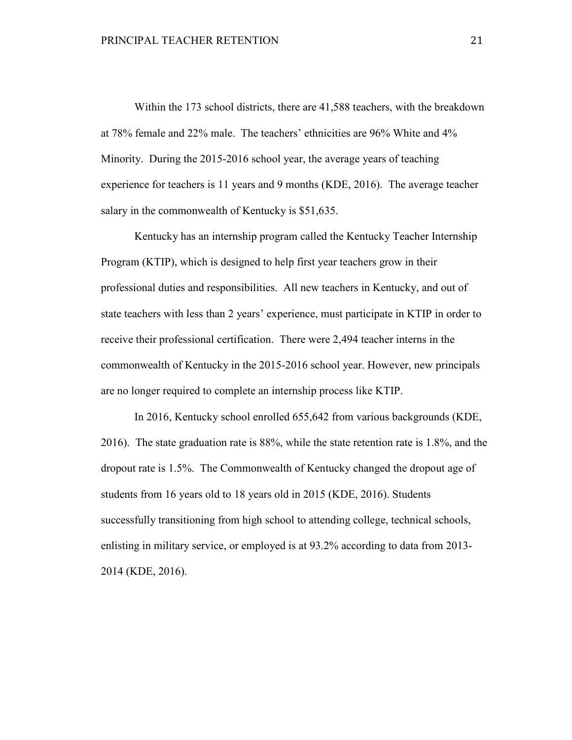Within the 173 school districts, there are 41,588 teachers, with the breakdown at 78% female and 22% male. The teachers' ethnicities are 96% White and 4% Minority. During the 2015-2016 school year, the average years of teaching experience for teachers is 11 years and 9 months (KDE, 2016). The average teacher salary in the commonwealth of Kentucky is \$51,635.

Kentucky has an internship program called the Kentucky Teacher Internship Program (KTIP), which is designed to help first year teachers grow in their professional duties and responsibilities. All new teachers in Kentucky, and out of state teachers with less than 2 years' experience, must participate in KTIP in order to receive their professional certification. There were 2,494 teacher interns in the commonwealth of Kentucky in the 2015-2016 school year. However, new principals are no longer required to complete an internship process like KTIP.

In 2016, Kentucky school enrolled 655,642 from various backgrounds (KDE, 2016). The state graduation rate is 88%, while the state retention rate is 1.8%, and the dropout rate is 1.5%. The Commonwealth of Kentucky changed the dropout age of students from 16 years old to 18 years old in 2015 (KDE, 2016). Students successfully transitioning from high school to attending college, technical schools, enlisting in military service, or employed is at 93.2% according to data from 2013- 2014 (KDE, 2016).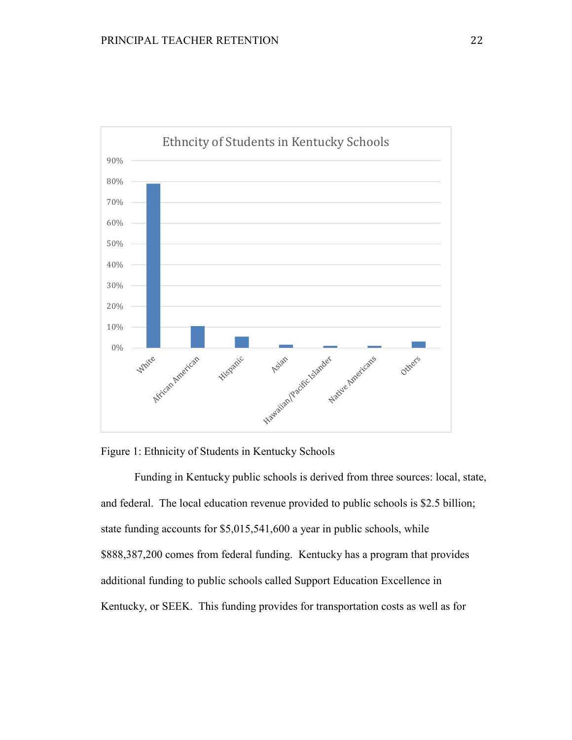



Funding in Kentucky public schools is derived from three sources: local, state, and federal. The local education revenue provided to public schools is \$2.5 billion; state funding accounts for \$5,015,541,600 a year in public schools, while \$888,387,200 comes from federal funding. Kentucky has a program that provides additional funding to public schools called Support Education Excellence in Kentucky, or SEEK. This funding provides for transportation costs as well as for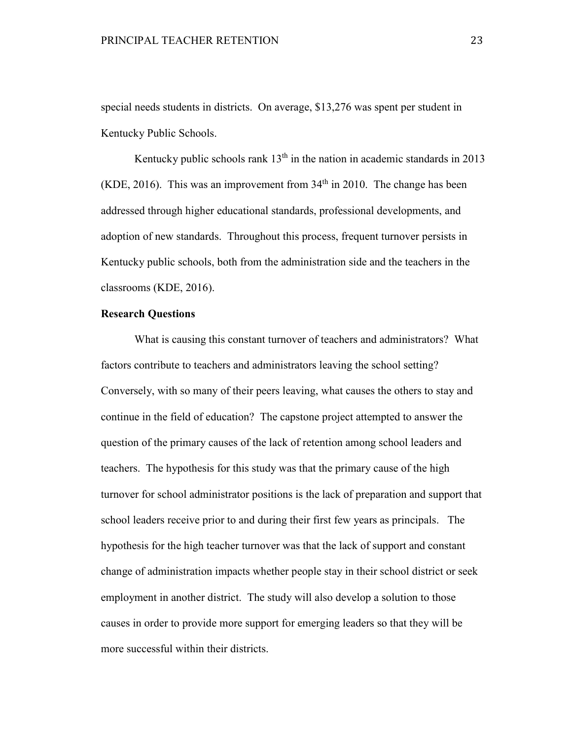special needs students in districts. On average, \$13,276 was spent per student in Kentucky Public Schools.

Kentucky public schools rank  $13<sup>th</sup>$  in the nation in academic standards in 2013 (KDE, 2016). This was an improvement from  $34<sup>th</sup>$  in 2010. The change has been addressed through higher educational standards, professional developments, and adoption of new standards. Throughout this process, frequent turnover persists in Kentucky public schools, both from the administration side and the teachers in the classrooms (KDE, 2016).

### **Research Questions**

What is causing this constant turnover of teachers and administrators? What factors contribute to teachers and administrators leaving the school setting? Conversely, with so many of their peers leaving, what causes the others to stay and continue in the field of education? The capstone project attempted to answer the question of the primary causes of the lack of retention among school leaders and teachers. The hypothesis for this study was that the primary cause of the high turnover for school administrator positions is the lack of preparation and support that school leaders receive prior to and during their first few years as principals. The hypothesis for the high teacher turnover was that the lack of support and constant change of administration impacts whether people stay in their school district or seek employment in another district. The study will also develop a solution to those causes in order to provide more support for emerging leaders so that they will be more successful within their districts.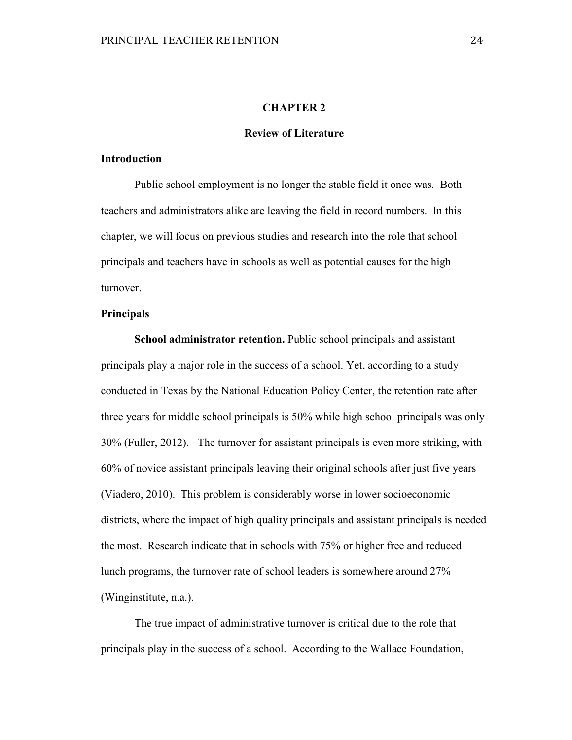# **CHAPTER 2**

## **Review of Literature**

### **Introduction**

 Public school employment is no longer the stable field it once was. Both teachers and administrators alike are leaving the field in record numbers. In this chapter, we will focus on previous studies and research into the role that school principals and teachers have in schools as well as potential causes for the high turnover.

### **Principals**

**School administrator retention.** Public school principals and assistant principals play a major role in the success of a school. Yet, according to a study conducted in Texas by the National Education Policy Center, the retention rate after three years for middle school principals is 50% while high school principals was only 30% (Fuller, 2012). The turnover for assistant principals is even more striking, with 60% of novice assistant principals leaving their original schools after just five years (Viadero, 2010). This problem is considerably worse in lower socioeconomic districts, where the impact of high quality principals and assistant principals is needed the most. Research indicate that in schools with 75% or higher free and reduced lunch programs, the turnover rate of school leaders is somewhere around 27% (Winginstitute, n.a.).

The true impact of administrative turnover is critical due to the role that principals play in the success of a school. According to the Wallace Foundation,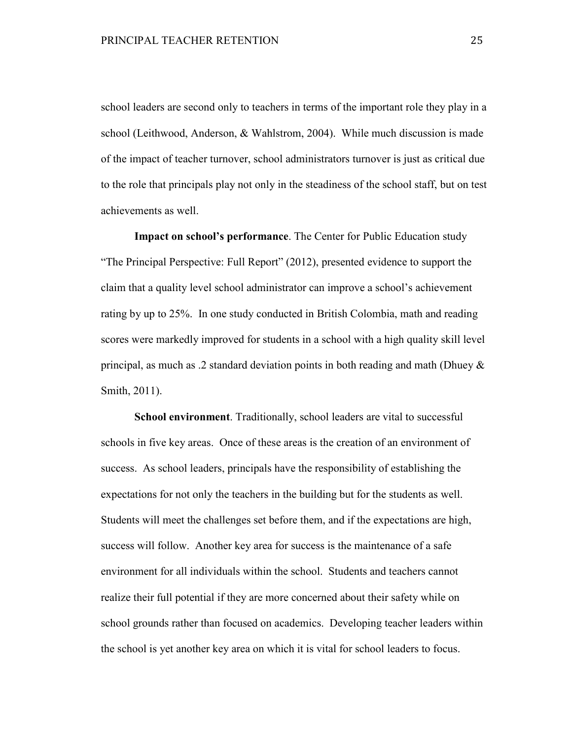school leaders are second only to teachers in terms of the important role they play in a school (Leithwood, Anderson, & Wahlstrom, 2004). While much discussion is made of the impact of teacher turnover, school administrators turnover is just as critical due to the role that principals play not only in the steadiness of the school staff, but on test achievements as well.

**Impact on school's performance**. The Center for Public Education study "The Principal Perspective: Full Report" (2012), presented evidence to support the claim that a quality level school administrator can improve a school's achievement rating by up to 25%. In one study conducted in British Colombia, math and reading scores were markedly improved for students in a school with a high quality skill level principal, as much as .2 standard deviation points in both reading and math (Dhuey & Smith, 2011).

**School environment**. Traditionally, school leaders are vital to successful schools in five key areas. Once of these areas is the creation of an environment of success. As school leaders, principals have the responsibility of establishing the expectations for not only the teachers in the building but for the students as well. Students will meet the challenges set before them, and if the expectations are high, success will follow. Another key area for success is the maintenance of a safe environment for all individuals within the school. Students and teachers cannot realize their full potential if they are more concerned about their safety while on school grounds rather than focused on academics. Developing teacher leaders within the school is yet another key area on which it is vital for school leaders to focus.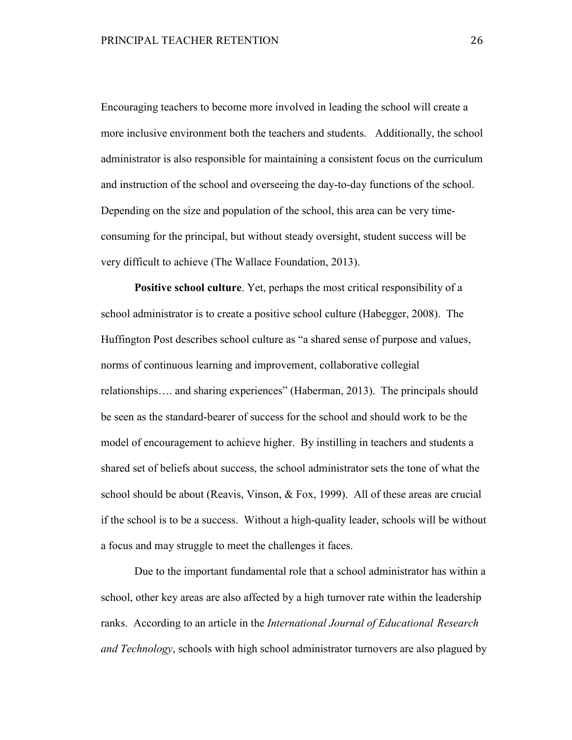Encouraging teachers to become more involved in leading the school will create a more inclusive environment both the teachers and students. Additionally, the school administrator is also responsible for maintaining a consistent focus on the curriculum and instruction of the school and overseeing the day-to-day functions of the school. Depending on the size and population of the school, this area can be very timeconsuming for the principal, but without steady oversight, student success will be very difficult to achieve (The Wallace Foundation, 2013).

**Positive school culture**. Yet, perhaps the most critical responsibility of a school administrator is to create a positive school culture (Habegger, 2008). The Huffington Post describes school culture as "a shared sense of purpose and values, norms of continuous learning and improvement, collaborative collegial relationships…. and sharing experiences" (Haberman, 2013). The principals should be seen as the standard-bearer of success for the school and should work to be the model of encouragement to achieve higher. By instilling in teachers and students a shared set of beliefs about success, the school administrator sets the tone of what the school should be about (Reavis, Vinson, & Fox, 1999). All of these areas are crucial if the school is to be a success. Without a high-quality leader, schools will be without a focus and may struggle to meet the challenges it faces.

 Due to the important fundamental role that a school administrator has within a school, other key areas are also affected by a high turnover rate within the leadership ranks. According to an article in the *International Journal of Educational Research and Technology*, schools with high school administrator turnovers are also plagued by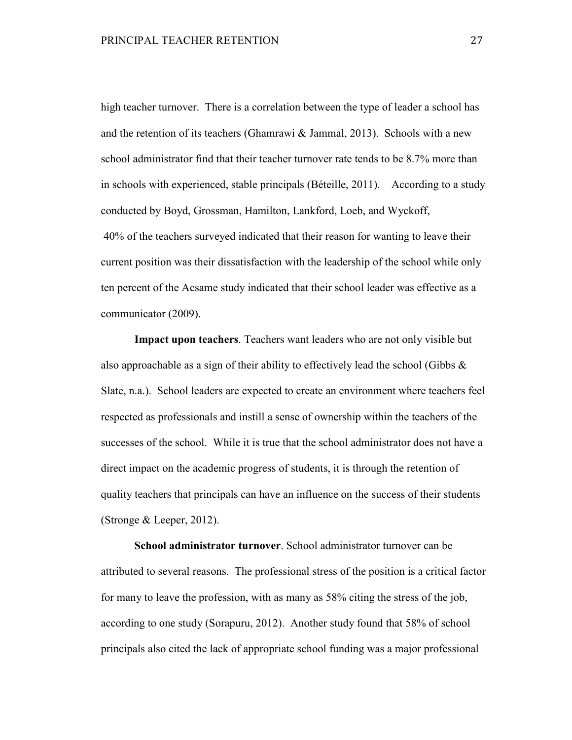high teacher turnover. There is a correlation between the type of leader a school has and the retention of its teachers (Ghamrawi & Jammal, 2013). Schools with a new school administrator find that their teacher turnover rate tends to be 8.7% more than in schools with experienced, stable principals (Béteille, 2011). According to a study conducted by Boyd, Grossman, Hamilton, Lankford, Loeb, and Wyckoff, 40% of the teachers surveyed indicated that their reason for wanting to leave their current position was their dissatisfaction with the leadership of the school while only ten percent of the Acsame study indicated that their school leader was effective as a communicator (2009).

**Impact upon teachers**. Teachers want leaders who are not only visible but also approachable as a sign of their ability to effectively lead the school (Gibbs  $\&$ Slate, n.a.). School leaders are expected to create an environment where teachers feel respected as professionals and instill a sense of ownership within the teachers of the successes of the school. While it is true that the school administrator does not have a direct impact on the academic progress of students, it is through the retention of quality teachers that principals can have an influence on the success of their students (Stronge & Leeper, 2012).

 **School administrator turnover**. School administrator turnover can be attributed to several reasons. The professional stress of the position is a critical factor for many to leave the profession, with as many as 58% citing the stress of the job, according to one study (Sorapuru, 2012). Another study found that 58% of school principals also cited the lack of appropriate school funding was a major professional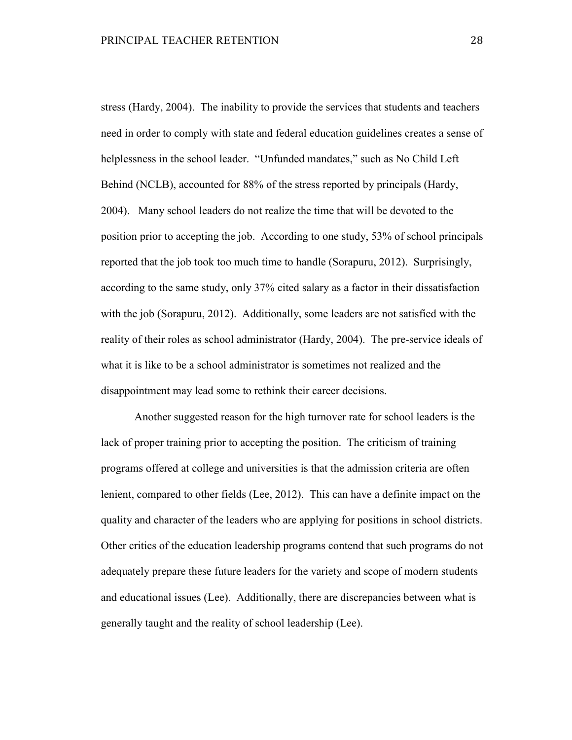stress (Hardy, 2004). The inability to provide the services that students and teachers need in order to comply with state and federal education guidelines creates a sense of helplessness in the school leader. "Unfunded mandates," such as No Child Left Behind (NCLB), accounted for 88% of the stress reported by principals (Hardy, 2004). Many school leaders do not realize the time that will be devoted to the position prior to accepting the job. According to one study, 53% of school principals reported that the job took too much time to handle (Sorapuru, 2012). Surprisingly, according to the same study, only 37% cited salary as a factor in their dissatisfaction with the job (Sorapuru, 2012). Additionally, some leaders are not satisfied with the reality of their roles as school administrator (Hardy, 2004). The pre-service ideals of what it is like to be a school administrator is sometimes not realized and the disappointment may lead some to rethink their career decisions.

 Another suggested reason for the high turnover rate for school leaders is the lack of proper training prior to accepting the position. The criticism of training programs offered at college and universities is that the admission criteria are often lenient, compared to other fields (Lee, 2012). This can have a definite impact on the quality and character of the leaders who are applying for positions in school districts. Other critics of the education leadership programs contend that such programs do not adequately prepare these future leaders for the variety and scope of modern students and educational issues (Lee). Additionally, there are discrepancies between what is generally taught and the reality of school leadership (Lee).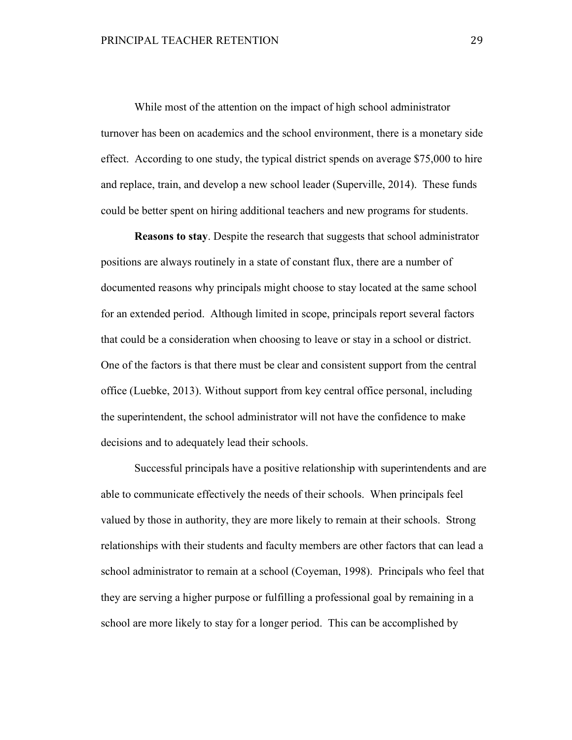While most of the attention on the impact of high school administrator turnover has been on academics and the school environment, there is a monetary side effect. According to one study, the typical district spends on average \$75,000 to hire and replace, train, and develop a new school leader (Superville, 2014). These funds could be better spent on hiring additional teachers and new programs for students.

**Reasons to stay**. Despite the research that suggests that school administrator positions are always routinely in a state of constant flux, there are a number of documented reasons why principals might choose to stay located at the same school for an extended period. Although limited in scope, principals report several factors that could be a consideration when choosing to leave or stay in a school or district. One of the factors is that there must be clear and consistent support from the central office (Luebke, 2013). Without support from key central office personal, including the superintendent, the school administrator will not have the confidence to make decisions and to adequately lead their schools.

Successful principals have a positive relationship with superintendents and are able to communicate effectively the needs of their schools. When principals feel valued by those in authority, they are more likely to remain at their schools. Strong relationships with their students and faculty members are other factors that can lead a school administrator to remain at a school (Coyeman, 1998). Principals who feel that they are serving a higher purpose or fulfilling a professional goal by remaining in a school are more likely to stay for a longer period. This can be accomplished by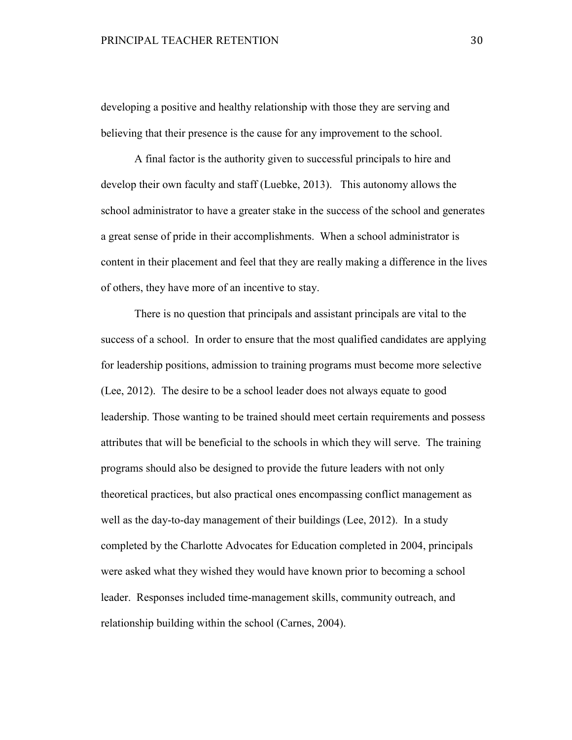developing a positive and healthy relationship with those they are serving and believing that their presence is the cause for any improvement to the school.

A final factor is the authority given to successful principals to hire and develop their own faculty and staff (Luebke, 2013). This autonomy allows the school administrator to have a greater stake in the success of the school and generates a great sense of pride in their accomplishments. When a school administrator is content in their placement and feel that they are really making a difference in the lives of others, they have more of an incentive to stay.

 There is no question that principals and assistant principals are vital to the success of a school. In order to ensure that the most qualified candidates are applying for leadership positions, admission to training programs must become more selective (Lee, 2012). The desire to be a school leader does not always equate to good leadership. Those wanting to be trained should meet certain requirements and possess attributes that will be beneficial to the schools in which they will serve. The training programs should also be designed to provide the future leaders with not only theoretical practices, but also practical ones encompassing conflict management as well as the day-to-day management of their buildings (Lee, 2012). In a study completed by the Charlotte Advocates for Education completed in 2004, principals were asked what they wished they would have known prior to becoming a school leader. Responses included time-management skills, community outreach, and relationship building within the school (Carnes, 2004).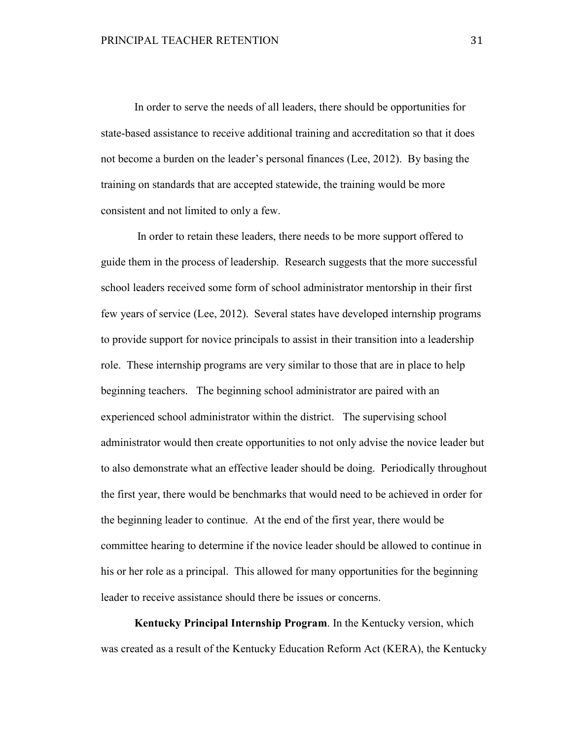In order to serve the needs of all leaders, there should be opportunities for state-based assistance to receive additional training and accreditation so that it does not become a burden on the leader's personal finances (Lee, 2012). By basing the training on standards that are accepted statewide, the training would be more consistent and not limited to only a few.

 In order to retain these leaders, there needs to be more support offered to guide them in the process of leadership. Research suggests that the more successful school leaders received some form of school administrator mentorship in their first few years of service (Lee, 2012). Several states have developed internship programs to provide support for novice principals to assist in their transition into a leadership role. These internship programs are very similar to those that are in place to help beginning teachers. The beginning school administrator are paired with an experienced school administrator within the district. The supervising school administrator would then create opportunities to not only advise the novice leader but to also demonstrate what an effective leader should be doing. Periodically throughout the first year, there would be benchmarks that would need to be achieved in order for the beginning leader to continue. At the end of the first year, there would be committee hearing to determine if the novice leader should be allowed to continue in his or her role as a principal. This allowed for many opportunities for the beginning leader to receive assistance should there be issues or concerns.

**Kentucky Principal Internship Program**. In the Kentucky version, which was created as a result of the Kentucky Education Reform Act (KERA), the Kentucky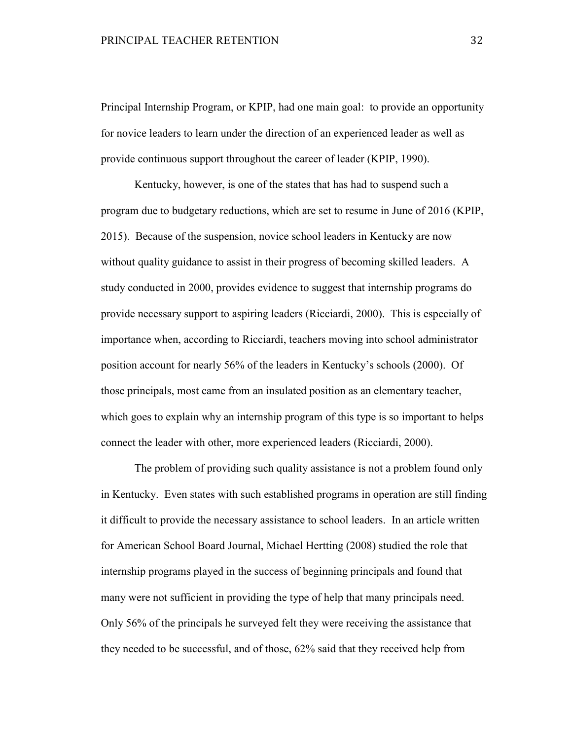Principal Internship Program, or KPIP, had one main goal: to provide an opportunity for novice leaders to learn under the direction of an experienced leader as well as provide continuous support throughout the career of leader (KPIP, 1990).

Kentucky, however, is one of the states that has had to suspend such a program due to budgetary reductions, which are set to resume in June of 2016 (KPIP, 2015). Because of the suspension, novice school leaders in Kentucky are now without quality guidance to assist in their progress of becoming skilled leaders. A study conducted in 2000, provides evidence to suggest that internship programs do provide necessary support to aspiring leaders (Ricciardi, 2000). This is especially of importance when, according to Ricciardi, teachers moving into school administrator position account for nearly 56% of the leaders in Kentucky's schools (2000). Of those principals, most came from an insulated position as an elementary teacher, which goes to explain why an internship program of this type is so important to helps connect the leader with other, more experienced leaders (Ricciardi, 2000).

 The problem of providing such quality assistance is not a problem found only in Kentucky. Even states with such established programs in operation are still finding it difficult to provide the necessary assistance to school leaders. In an article written for American School Board Journal, Michael Hertting (2008) studied the role that internship programs played in the success of beginning principals and found that many were not sufficient in providing the type of help that many principals need. Only 56% of the principals he surveyed felt they were receiving the assistance that they needed to be successful, and of those, 62% said that they received help from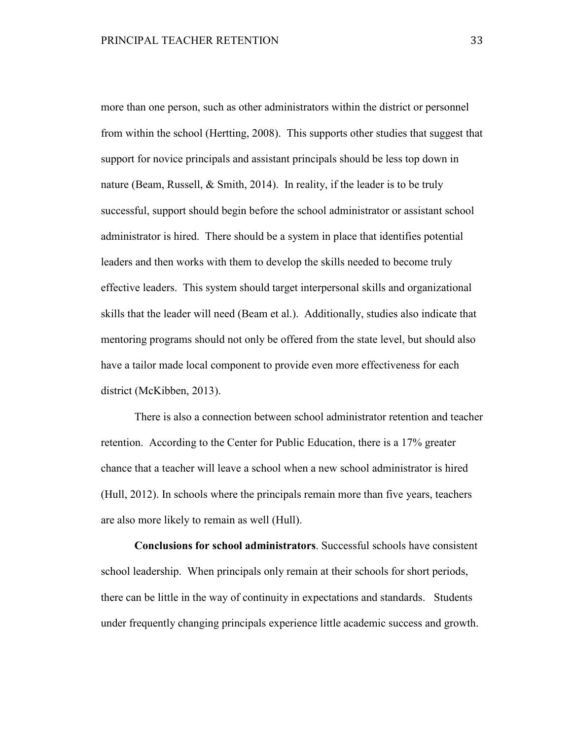more than one person, such as other administrators within the district or personnel from within the school (Hertting, 2008). This supports other studies that suggest that support for novice principals and assistant principals should be less top down in nature (Beam, Russell, & Smith, 2014). In reality, if the leader is to be truly successful, support should begin before the school administrator or assistant school administrator is hired. There should be a system in place that identifies potential leaders and then works with them to develop the skills needed to become truly effective leaders. This system should target interpersonal skills and organizational skills that the leader will need (Beam et al.). Additionally, studies also indicate that mentoring programs should not only be offered from the state level, but should also have a tailor made local component to provide even more effectiveness for each district (McKibben, 2013).

There is also a connection between school administrator retention and teacher retention. According to the Center for Public Education, there is a 17% greater chance that a teacher will leave a school when a new school administrator is hired (Hull, 2012). In schools where the principals remain more than five years, teachers are also more likely to remain as well (Hull).

**Conclusions for school administrators**. Successful schools have consistent school leadership. When principals only remain at their schools for short periods, there can be little in the way of continuity in expectations and standards. Students under frequently changing principals experience little academic success and growth.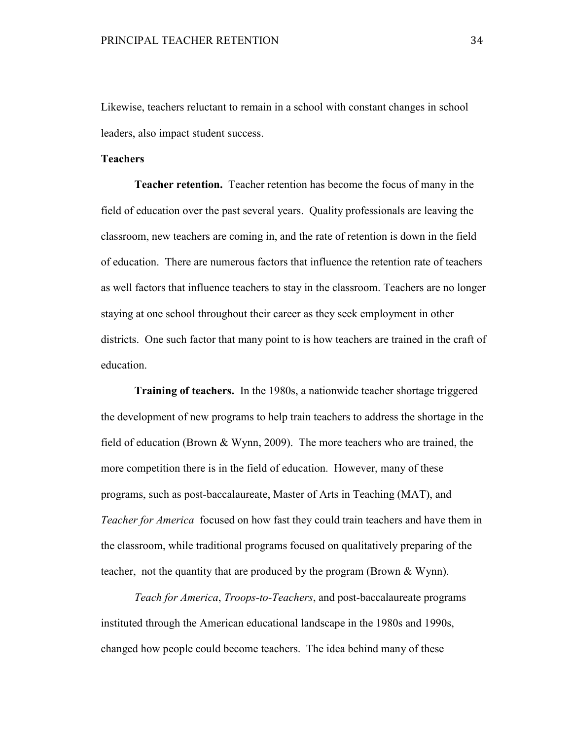Likewise, teachers reluctant to remain in a school with constant changes in school leaders, also impact student success.

## **Teachers**

**Teacher retention.** Teacher retention has become the focus of many in the field of education over the past several years. Quality professionals are leaving the classroom, new teachers are coming in, and the rate of retention is down in the field of education. There are numerous factors that influence the retention rate of teachers as well factors that influence teachers to stay in the classroom. Teachers are no longer staying at one school throughout their career as they seek employment in other districts. One such factor that many point to is how teachers are trained in the craft of education.

**Training of teachers.** In the 1980s, a nationwide teacher shortage triggered the development of new programs to help train teachers to address the shortage in the field of education (Brown & Wynn, 2009). The more teachers who are trained, the more competition there is in the field of education. However, many of these programs, such as post-baccalaureate, Master of Arts in Teaching (MAT), and *Teacher for America* focused on how fast they could train teachers and have them in the classroom, while traditional programs focused on qualitatively preparing of the teacher, not the quantity that are produced by the program (Brown & Wynn).

*Teach for America*, *Troops-to-Teachers*, and post-baccalaureate programs instituted through the American educational landscape in the 1980s and 1990s, changed how people could become teachers. The idea behind many of these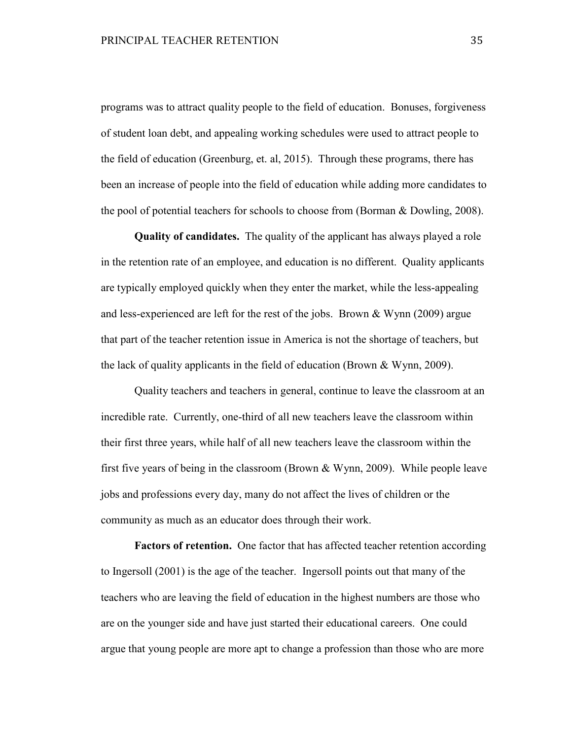programs was to attract quality people to the field of education. Bonuses, forgiveness of student loan debt, and appealing working schedules were used to attract people to the field of education (Greenburg, et. al, 2015). Through these programs, there has been an increase of people into the field of education while adding more candidates to the pool of potential teachers for schools to choose from (Borman & Dowling, 2008).

**Quality of candidates.** The quality of the applicant has always played a role in the retention rate of an employee, and education is no different. Quality applicants are typically employed quickly when they enter the market, while the less-appealing and less-experienced are left for the rest of the jobs. Brown & Wynn (2009) argue that part of the teacher retention issue in America is not the shortage of teachers, but the lack of quality applicants in the field of education (Brown & Wynn, 2009).

 Quality teachers and teachers in general, continue to leave the classroom at an incredible rate. Currently, one-third of all new teachers leave the classroom within their first three years, while half of all new teachers leave the classroom within the first five years of being in the classroom (Brown & Wynn, 2009). While people leave jobs and professions every day, many do not affect the lives of children or the community as much as an educator does through their work.

**Factors of retention.** One factor that has affected teacher retention according to Ingersoll (2001) is the age of the teacher. Ingersoll points out that many of the teachers who are leaving the field of education in the highest numbers are those who are on the younger side and have just started their educational careers. One could argue that young people are more apt to change a profession than those who are more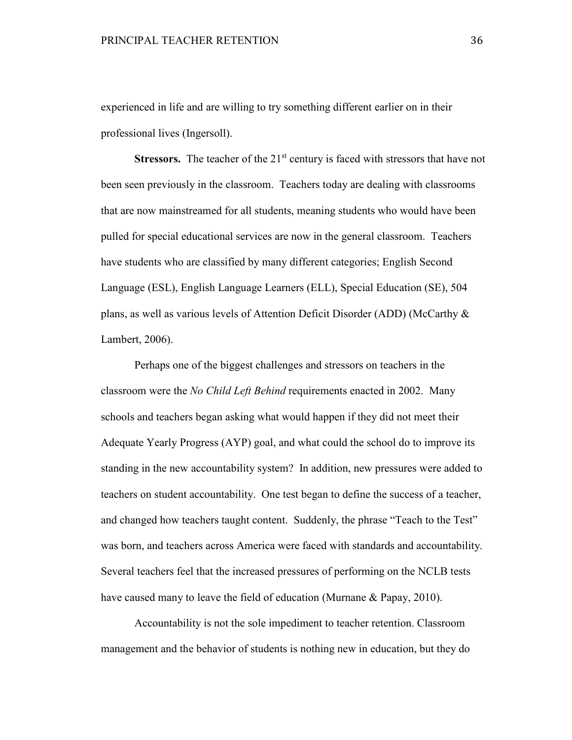experienced in life and are willing to try something different earlier on in their professional lives (Ingersoll).

**Stressors.** The teacher of the 21<sup>st</sup> century is faced with stressors that have not been seen previously in the classroom. Teachers today are dealing with classrooms that are now mainstreamed for all students, meaning students who would have been pulled for special educational services are now in the general classroom. Teachers have students who are classified by many different categories; English Second Language (ESL), English Language Learners (ELL), Special Education (SE), 504 plans, as well as various levels of Attention Deficit Disorder (ADD) (McCarthy & Lambert, 2006).

 Perhaps one of the biggest challenges and stressors on teachers in the classroom were the *No Child Left Behind* requirements enacted in 2002. Many schools and teachers began asking what would happen if they did not meet their Adequate Yearly Progress (AYP) goal, and what could the school do to improve its standing in the new accountability system? In addition, new pressures were added to teachers on student accountability. One test began to define the success of a teacher, and changed how teachers taught content. Suddenly, the phrase "Teach to the Test" was born, and teachers across America were faced with standards and accountability. Several teachers feel that the increased pressures of performing on the NCLB tests have caused many to leave the field of education (Murnane & Papay, 2010).

Accountability is not the sole impediment to teacher retention. Classroom management and the behavior of students is nothing new in education, but they do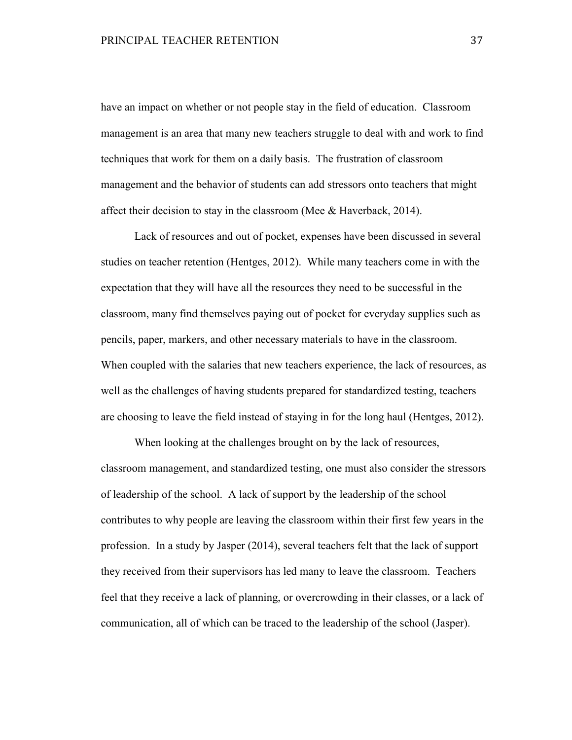have an impact on whether or not people stay in the field of education. Classroom management is an area that many new teachers struggle to deal with and work to find techniques that work for them on a daily basis. The frustration of classroom management and the behavior of students can add stressors onto teachers that might affect their decision to stay in the classroom (Mee & Haverback, 2014).

 Lack of resources and out of pocket, expenses have been discussed in several studies on teacher retention (Hentges, 2012). While many teachers come in with the expectation that they will have all the resources they need to be successful in the classroom, many find themselves paying out of pocket for everyday supplies such as pencils, paper, markers, and other necessary materials to have in the classroom. When coupled with the salaries that new teachers experience, the lack of resources, as well as the challenges of having students prepared for standardized testing, teachers are choosing to leave the field instead of staying in for the long haul (Hentges, 2012).

 When looking at the challenges brought on by the lack of resources, classroom management, and standardized testing, one must also consider the stressors of leadership of the school. A lack of support by the leadership of the school contributes to why people are leaving the classroom within their first few years in the profession. In a study by Jasper (2014), several teachers felt that the lack of support they received from their supervisors has led many to leave the classroom. Teachers feel that they receive a lack of planning, or overcrowding in their classes, or a lack of communication, all of which can be traced to the leadership of the school (Jasper).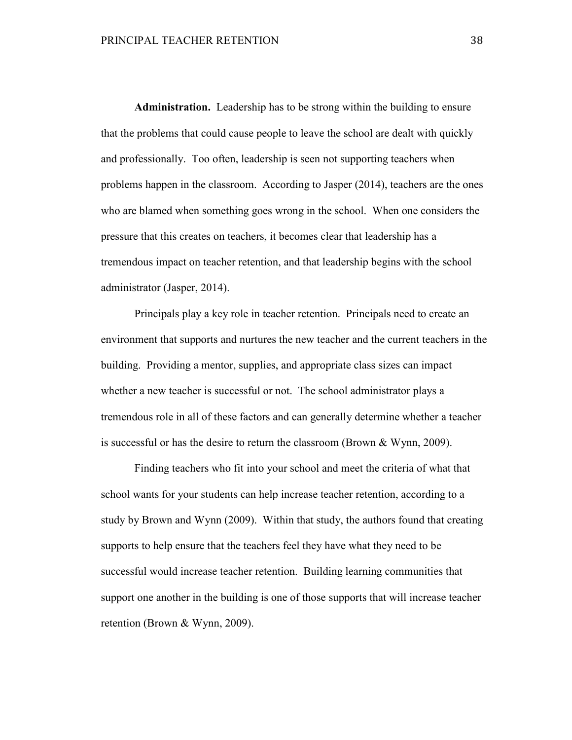**Administration.** Leadership has to be strong within the building to ensure that the problems that could cause people to leave the school are dealt with quickly and professionally. Too often, leadership is seen not supporting teachers when problems happen in the classroom. According to Jasper (2014), teachers are the ones who are blamed when something goes wrong in the school. When one considers the pressure that this creates on teachers, it becomes clear that leadership has a tremendous impact on teacher retention, and that leadership begins with the school administrator (Jasper, 2014).

 Principals play a key role in teacher retention. Principals need to create an environment that supports and nurtures the new teacher and the current teachers in the building. Providing a mentor, supplies, and appropriate class sizes can impact whether a new teacher is successful or not. The school administrator plays a tremendous role in all of these factors and can generally determine whether a teacher is successful or has the desire to return the classroom (Brown & Wynn, 2009).

 Finding teachers who fit into your school and meet the criteria of what that school wants for your students can help increase teacher retention, according to a study by Brown and Wynn (2009). Within that study, the authors found that creating supports to help ensure that the teachers feel they have what they need to be successful would increase teacher retention. Building learning communities that support one another in the building is one of those supports that will increase teacher retention (Brown & Wynn, 2009).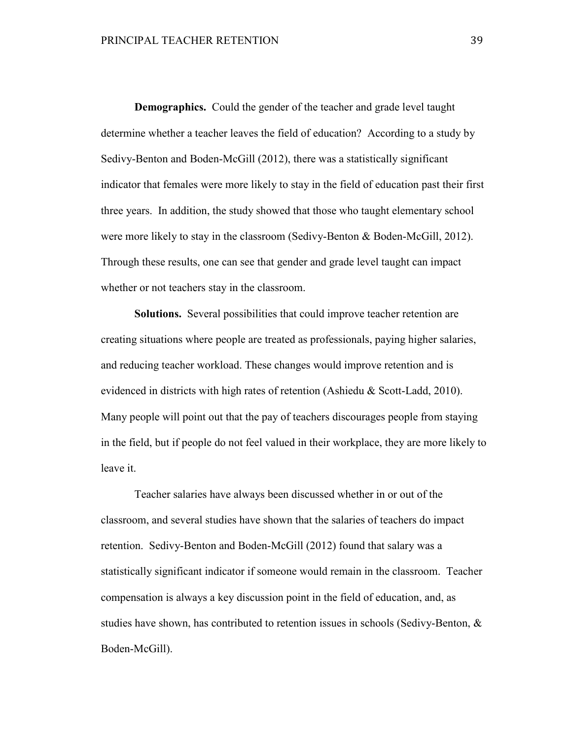**Demographics.** Could the gender of the teacher and grade level taught determine whether a teacher leaves the field of education? According to a study by Sedivy-Benton and Boden-McGill (2012), there was a statistically significant indicator that females were more likely to stay in the field of education past their first three years. In addition, the study showed that those who taught elementary school were more likely to stay in the classroom (Sedivy-Benton & Boden-McGill, 2012). Through these results, one can see that gender and grade level taught can impact whether or not teachers stay in the classroom.

**Solutions.** Several possibilities that could improve teacher retention are creating situations where people are treated as professionals, paying higher salaries, and reducing teacher workload. These changes would improve retention and is evidenced in districts with high rates of retention (Ashiedu & Scott-Ladd, 2010). Many people will point out that the pay of teachers discourages people from staying in the field, but if people do not feel valued in their workplace, they are more likely to leave it.

 Teacher salaries have always been discussed whether in or out of the classroom, and several studies have shown that the salaries of teachers do impact retention. Sedivy-Benton and Boden-McGill (2012) found that salary was a statistically significant indicator if someone would remain in the classroom. Teacher compensation is always a key discussion point in the field of education, and, as studies have shown, has contributed to retention issues in schools (Sedivy-Benton, & Boden-McGill).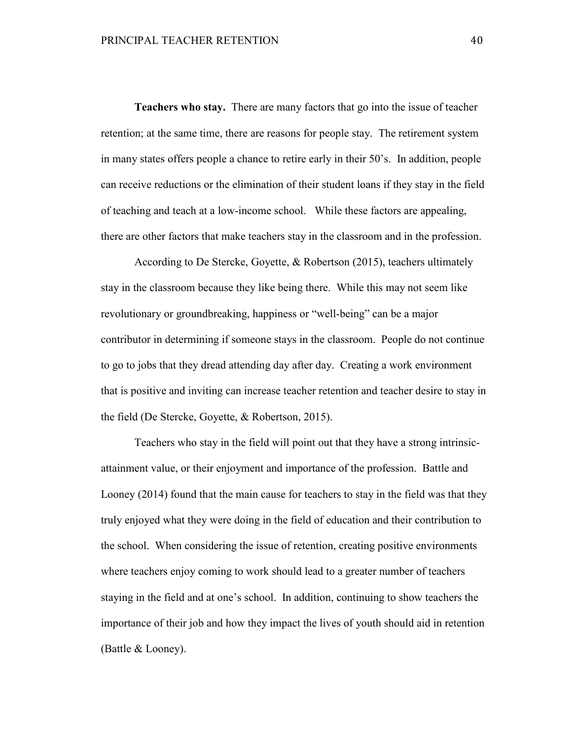**Teachers who stay.** There are many factors that go into the issue of teacher retention; at the same time, there are reasons for people stay. The retirement system in many states offers people a chance to retire early in their 50's. In addition, people can receive reductions or the elimination of their student loans if they stay in the field of teaching and teach at a low-income school. While these factors are appealing, there are other factors that make teachers stay in the classroom and in the profession.

According to De Stercke, Goyette, & Robertson (2015), teachers ultimately stay in the classroom because they like being there. While this may not seem like revolutionary or groundbreaking, happiness or "well-being" can be a major contributor in determining if someone stays in the classroom. People do not continue to go to jobs that they dread attending day after day. Creating a work environment that is positive and inviting can increase teacher retention and teacher desire to stay in the field (De Stercke, Goyette, & Robertson, 2015).

 Teachers who stay in the field will point out that they have a strong intrinsicattainment value, or their enjoyment and importance of the profession. Battle and Looney (2014) found that the main cause for teachers to stay in the field was that they truly enjoyed what they were doing in the field of education and their contribution to the school. When considering the issue of retention, creating positive environments where teachers enjoy coming to work should lead to a greater number of teachers staying in the field and at one's school. In addition, continuing to show teachers the importance of their job and how they impact the lives of youth should aid in retention (Battle & Looney).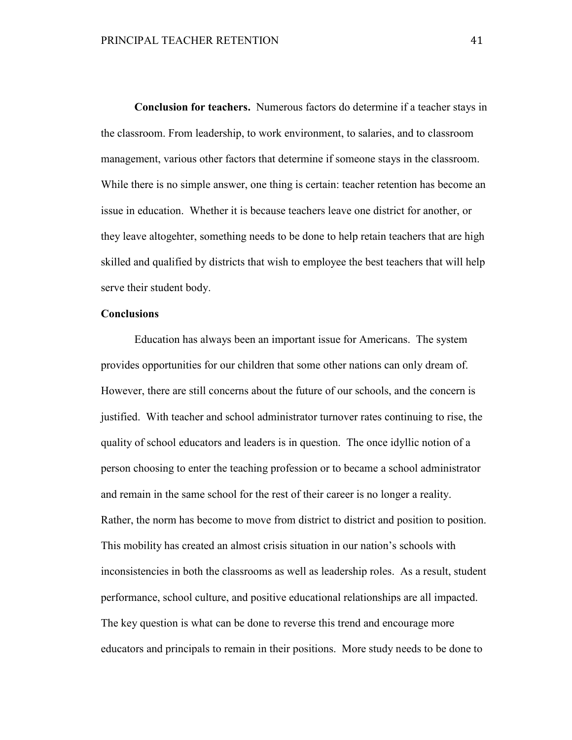**Conclusion for teachers.** Numerous factors do determine if a teacher stays in the classroom. From leadership, to work environment, to salaries, and to classroom management, various other factors that determine if someone stays in the classroom. While there is no simple answer, one thing is certain: teacher retention has become an issue in education. Whether it is because teachers leave one district for another, or they leave altogehter, something needs to be done to help retain teachers that are high skilled and qualified by districts that wish to employee the best teachers that will help serve their student body.

#### **Conclusions**

Education has always been an important issue for Americans. The system provides opportunities for our children that some other nations can only dream of. However, there are still concerns about the future of our schools, and the concern is justified. With teacher and school administrator turnover rates continuing to rise, the quality of school educators and leaders is in question. The once idyllic notion of a person choosing to enter the teaching profession or to became a school administrator and remain in the same school for the rest of their career is no longer a reality. Rather, the norm has become to move from district to district and position to position. This mobility has created an almost crisis situation in our nation's schools with inconsistencies in both the classrooms as well as leadership roles. As a result, student performance, school culture, and positive educational relationships are all impacted. The key question is what can be done to reverse this trend and encourage more educators and principals to remain in their positions. More study needs to be done to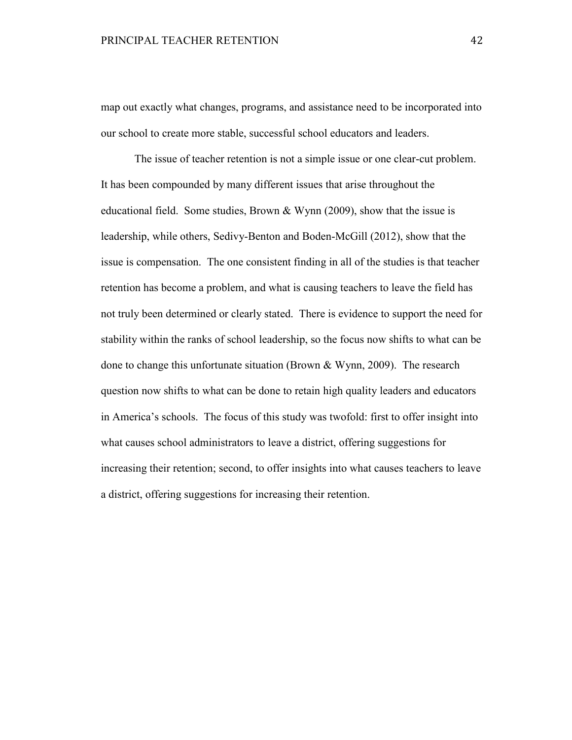map out exactly what changes, programs, and assistance need to be incorporated into our school to create more stable, successful school educators and leaders.

 The issue of teacher retention is not a simple issue or one clear-cut problem. It has been compounded by many different issues that arise throughout the educational field. Some studies, Brown & Wynn (2009), show that the issue is leadership, while others, Sedivy-Benton and Boden-McGill (2012), show that the issue is compensation. The one consistent finding in all of the studies is that teacher retention has become a problem, and what is causing teachers to leave the field has not truly been determined or clearly stated. There is evidence to support the need for stability within the ranks of school leadership, so the focus now shifts to what can be done to change this unfortunate situation (Brown & Wynn, 2009). The research question now shifts to what can be done to retain high quality leaders and educators in America's schools. The focus of this study was twofold: first to offer insight into what causes school administrators to leave a district, offering suggestions for increasing their retention; second, to offer insights into what causes teachers to leave a district, offering suggestions for increasing their retention.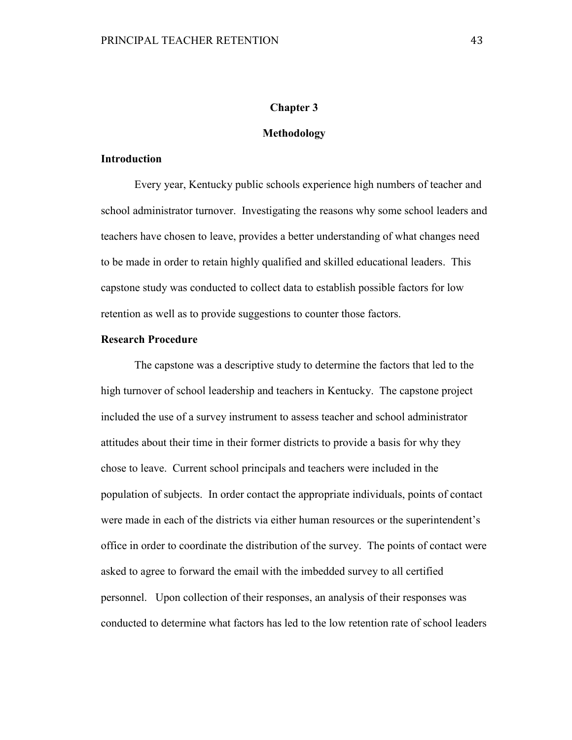# **Chapter 3**

#### **Methodology**

#### **Introduction**

 Every year, Kentucky public schools experience high numbers of teacher and school administrator turnover. Investigating the reasons why some school leaders and teachers have chosen to leave, provides a better understanding of what changes need to be made in order to retain highly qualified and skilled educational leaders. This capstone study was conducted to collect data to establish possible factors for low retention as well as to provide suggestions to counter those factors.

# **Research Procedure**

The capstone was a descriptive study to determine the factors that led to the high turnover of school leadership and teachers in Kentucky. The capstone project included the use of a survey instrument to assess teacher and school administrator attitudes about their time in their former districts to provide a basis for why they chose to leave. Current school principals and teachers were included in the population of subjects. In order contact the appropriate individuals, points of contact were made in each of the districts via either human resources or the superintendent's office in order to coordinate the distribution of the survey. The points of contact were asked to agree to forward the email with the imbedded survey to all certified personnel. Upon collection of their responses, an analysis of their responses was conducted to determine what factors has led to the low retention rate of school leaders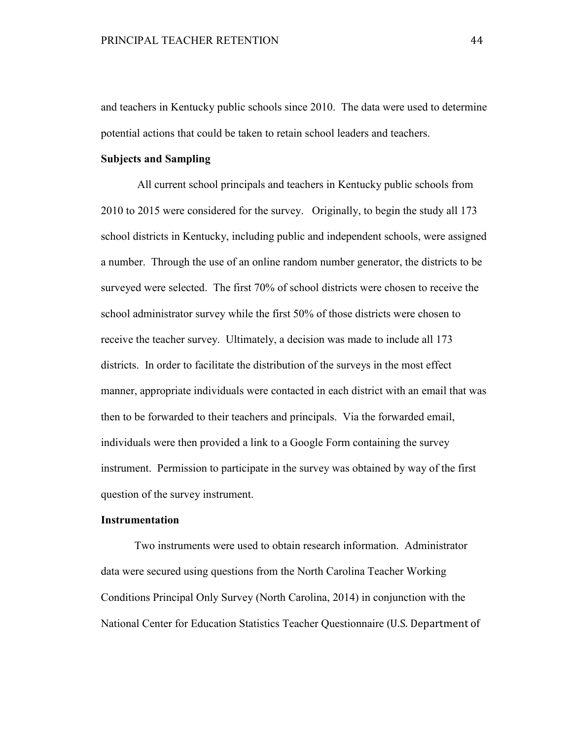and teachers in Kentucky public schools since 2010. The data were used to determine potential actions that could be taken to retain school leaders and teachers.

#### **Subjects and Sampling**

 All current school principals and teachers in Kentucky public schools from 2010 to 2015 were considered for the survey. Originally, to begin the study all 173 school districts in Kentucky, including public and independent schools, were assigned a number. Through the use of an online random number generator, the districts to be surveyed were selected. The first 70% of school districts were chosen to receive the school administrator survey while the first 50% of those districts were chosen to receive the teacher survey. Ultimately, a decision was made to include all 173 districts. In order to facilitate the distribution of the surveys in the most effect manner, appropriate individuals were contacted in each district with an email that was then to be forwarded to their teachers and principals. Via the forwarded email, individuals were then provided a link to a Google Form containing the survey instrument. Permission to participate in the survey was obtained by way of the first question of the survey instrument.

## **Instrumentation**

Two instruments were used to obtain research information. Administrator data were secured using questions from the North Carolina Teacher Working Conditions Principal Only Survey (North Carolina, 2014) in conjunction with the National Center for Education Statistics Teacher Questionnaire (U.S. Department of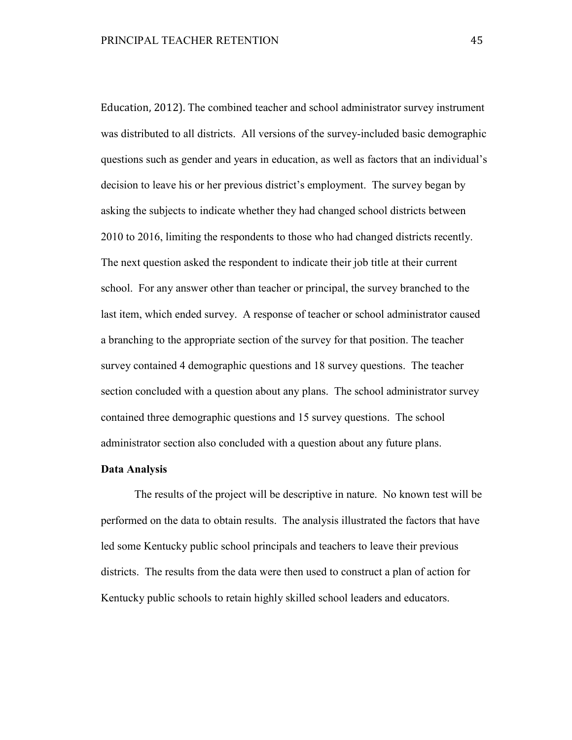Education, 2012). The combined teacher and school administrator survey instrument was distributed to all districts. All versions of the survey-included basic demographic questions such as gender and years in education, as well as factors that an individual's decision to leave his or her previous district's employment. The survey began by asking the subjects to indicate whether they had changed school districts between 2010 to 2016, limiting the respondents to those who had changed districts recently. The next question asked the respondent to indicate their job title at their current school. For any answer other than teacher or principal, the survey branched to the last item, which ended survey. A response of teacher or school administrator caused a branching to the appropriate section of the survey for that position. The teacher survey contained 4 demographic questions and 18 survey questions. The teacher section concluded with a question about any plans. The school administrator survey contained three demographic questions and 15 survey questions. The school administrator section also concluded with a question about any future plans.

### **Data Analysis**

The results of the project will be descriptive in nature. No known test will be performed on the data to obtain results. The analysis illustrated the factors that have led some Kentucky public school principals and teachers to leave their previous districts. The results from the data were then used to construct a plan of action for Kentucky public schools to retain highly skilled school leaders and educators.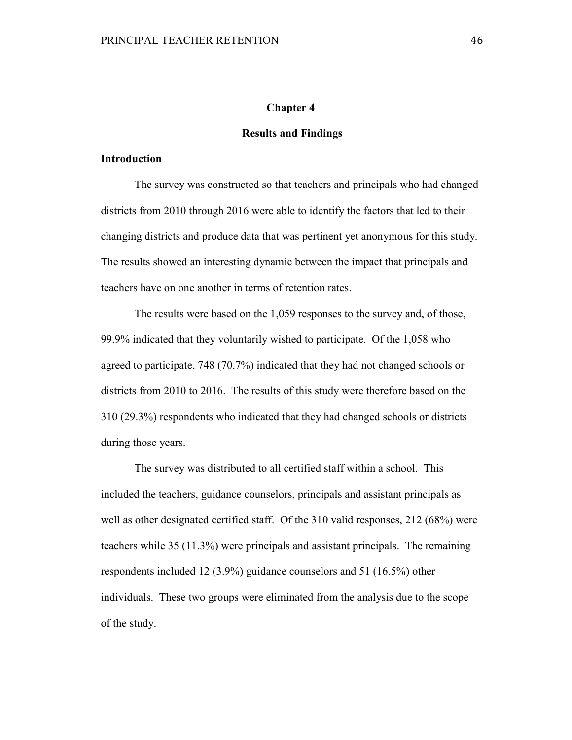# **Chapter 4**

#### **Results and Findings**

#### **Introduction**

 The survey was constructed so that teachers and principals who had changed districts from 2010 through 2016 were able to identify the factors that led to their changing districts and produce data that was pertinent yet anonymous for this study. The results showed an interesting dynamic between the impact that principals and teachers have on one another in terms of retention rates.

 The results were based on the 1,059 responses to the survey and, of those, 99.9% indicated that they voluntarily wished to participate. Of the 1,058 who agreed to participate, 748 (70.7%) indicated that they had not changed schools or districts from 2010 to 2016. The results of this study were therefore based on the 310 (29.3%) respondents who indicated that they had changed schools or districts during those years.

 The survey was distributed to all certified staff within a school. This included the teachers, guidance counselors, principals and assistant principals as well as other designated certified staff. Of the 310 valid responses, 212 (68%) were teachers while 35 (11.3%) were principals and assistant principals. The remaining respondents included 12 (3.9%) guidance counselors and 51 (16.5%) other individuals. These two groups were eliminated from the analysis due to the scope of the study.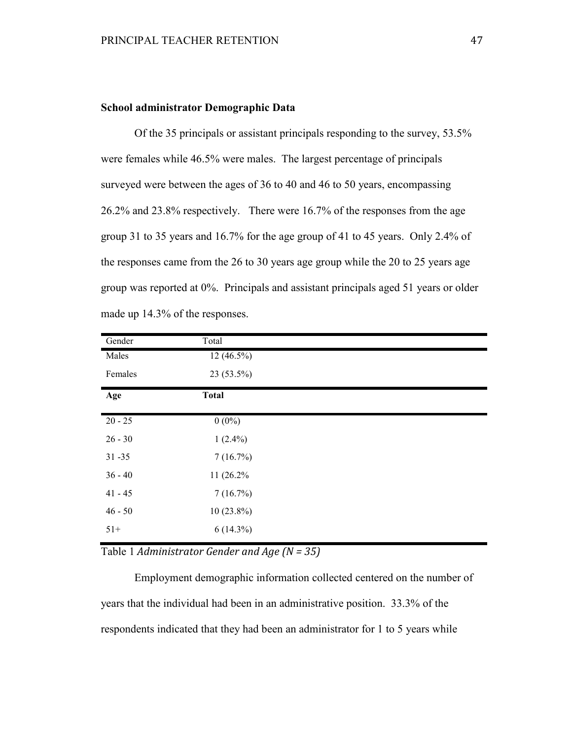# **School administrator Demographic Data**

Of the 35 principals or assistant principals responding to the survey, 53.5% were females while 46.5% were males. The largest percentage of principals surveyed were between the ages of 36 to 40 and 46 to 50 years, encompassing 26.2% and 23.8% respectively. There were 16.7% of the responses from the age group 31 to 35 years and 16.7% for the age group of 41 to 45 years. Only 2.4% of the responses came from the 26 to 30 years age group while the 20 to 25 years age group was reported at 0%. Principals and assistant principals aged 51 years or older made up 14.3% of the responses.

| Gender    | Total        |  |
|-----------|--------------|--|
| Males     | $12(46.5\%)$ |  |
| Females   | $23(53.5\%)$ |  |
| Age       | <b>Total</b> |  |
| $20 - 25$ | $0(0\%)$     |  |
| $26 - 30$ | $1(2.4\%)$   |  |
| $31 - 35$ | 7(16.7%)     |  |
| $36 - 40$ | 11 (26.2%)   |  |
| $41 - 45$ | 7(16.7%)     |  |
| $46 - 50$ | $10(23.8\%)$ |  |
| $51+$     | $6(14.3\%)$  |  |

Table 1 *Administrator Gender and Age (N = 35)*

Employment demographic information collected centered on the number of years that the individual had been in an administrative position. 33.3% of the respondents indicated that they had been an administrator for 1 to 5 years while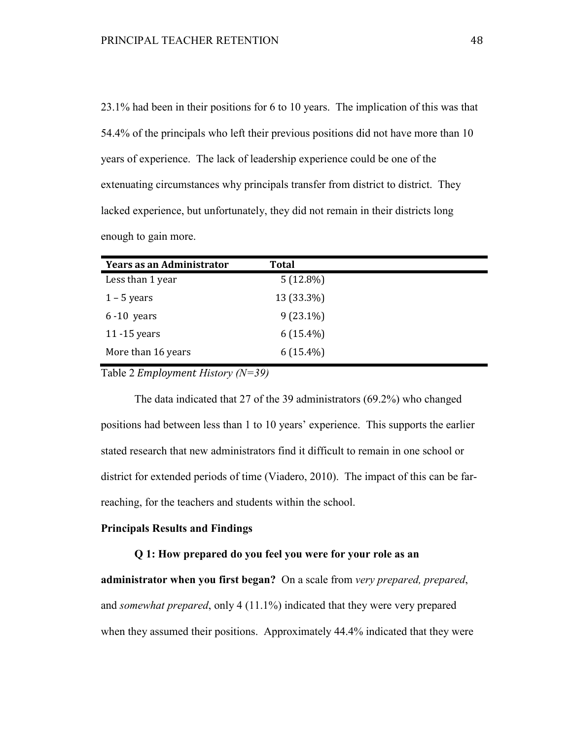23.1% had been in their positions for 6 to 10 years. The implication of this was that 54.4% of the principals who left their previous positions did not have more than 10 years of experience. The lack of leadership experience could be one of the extenuating circumstances why principals transfer from district to district. They lacked experience, but unfortunately, they did not remain in their districts long enough to gain more.

| <b>Years as an Administrator</b> | <b>Total</b> |  |
|----------------------------------|--------------|--|
| Less than 1 year                 | $5(12.8\%)$  |  |
| $1 - 5$ years                    | 13 (33.3%)   |  |
| $6 - 10$ years                   | $9(23.1\%)$  |  |
| 11 $-15$ years                   | $6(15.4\%)$  |  |
| More than 16 years               | $6(15.4\%)$  |  |

Table 2 *Employment History (N=39)* 

The data indicated that 27 of the 39 administrators (69.2%) who changed positions had between less than 1 to 10 years' experience. This supports the earlier stated research that new administrators find it difficult to remain in one school or district for extended periods of time (Viadero, 2010). The impact of this can be farreaching, for the teachers and students within the school.

## **Principals Results and Findings**

#### **Q 1: How prepared do you feel you were for your role as an**

**administrator when you first began?** On a scale from *very prepared, prepared*, and *somewhat prepared*, only 4 (11.1%) indicated that they were very prepared when they assumed their positions. Approximately 44.4% indicated that they were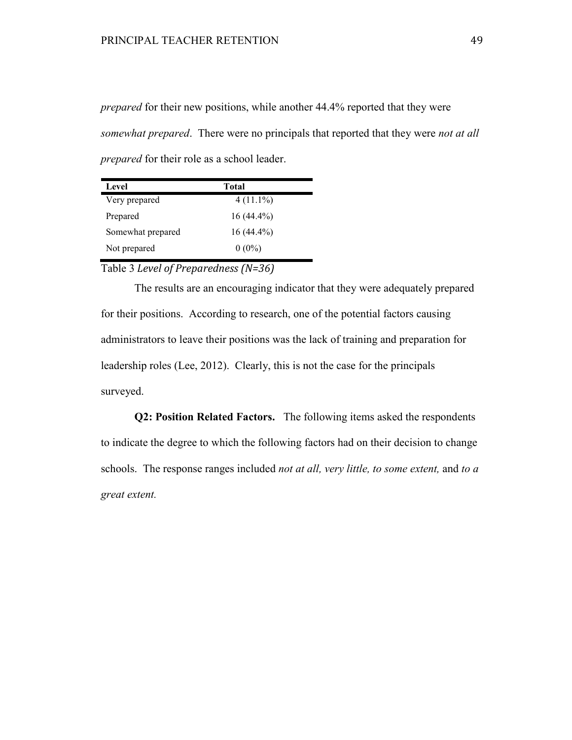*prepared* for their new positions, while another 44.4% reported that they were *somewhat prepared*. There were no principals that reported that they were *not at all prepared* for their role as a school leader.

| Level             | Total        |  |
|-------------------|--------------|--|
| Very prepared     | $4(11.1\%)$  |  |
| Prepared          | $16(44.4\%)$ |  |
| Somewhat prepared | $16(44.4\%)$ |  |
| Not prepared      | $0(0\%)$     |  |

Table 3 *Level of Preparedness (N=36)*

The results are an encouraging indicator that they were adequately prepared for their positions. According to research, one of the potential factors causing administrators to leave their positions was the lack of training and preparation for leadership roles (Lee, 2012). Clearly, this is not the case for the principals surveyed.

**Q2: Position Related Factors.** The following items asked the respondents to indicate the degree to which the following factors had on their decision to change schools. The response ranges included *not at all, very little, to some extent,* and *to a great extent.*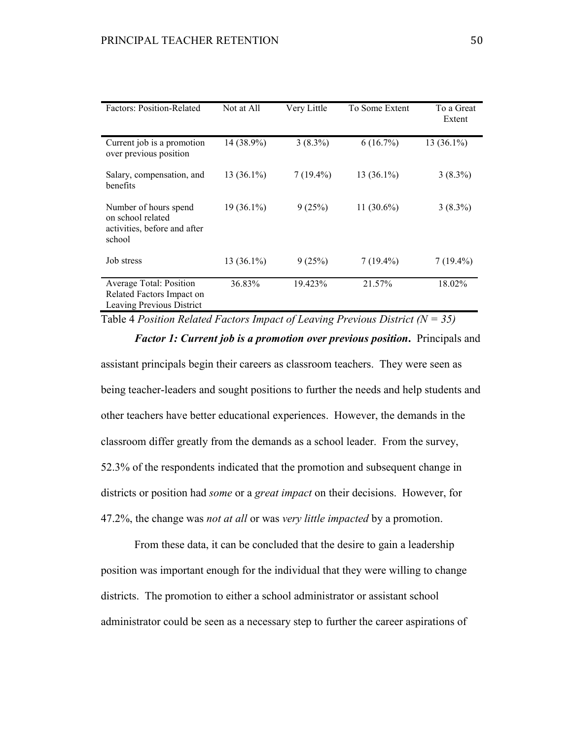| <b>Factors: Position-Related</b>                                                     | Not at All   | Very Little | To Some Extent | To a Great<br>Extent |
|--------------------------------------------------------------------------------------|--------------|-------------|----------------|----------------------|
| Current job is a promotion<br>over previous position                                 | 14 (38.9%)   | $3(8.3\%)$  | 6(16.7%)       | $13(36.1\%)$         |
| Salary, compensation, and<br>benefits                                                | $13(36.1\%)$ | $7(19.4\%)$ | $13(36.1\%)$   | $3(8.3\%)$           |
| Number of hours spend<br>on school related<br>activities, before and after<br>school | $19(36.1\%)$ | 9(25%)      | 11 $(30.6\%)$  | $3(8.3\%)$           |
| Job stress                                                                           | $13(36.1\%)$ | 9(25%)      | $7(19.4\%)$    | $7(19.4\%)$          |
| Average Total: Position<br>Related Factors Impact on<br>Leaving Previous District    | 36.83%       | 19.423%     | 21.57%         | 18.02%               |

Table 4 *Position Related Factors Impact of Leaving Previous District (N = 35)*

*Factor 1: Current job is a promotion over previous position***.** Principals and assistant principals begin their careers as classroom teachers. They were seen as being teacher-leaders and sought positions to further the needs and help students and other teachers have better educational experiences. However, the demands in the classroom differ greatly from the demands as a school leader. From the survey, 52.3% of the respondents indicated that the promotion and subsequent change in districts or position had *some* or a *great impact* on their decisions. However, for 47.2%, the change was *not at all* or was *very little impacted* by a promotion.

From these data, it can be concluded that the desire to gain a leadership position was important enough for the individual that they were willing to change districts. The promotion to either a school administrator or assistant school administrator could be seen as a necessary step to further the career aspirations of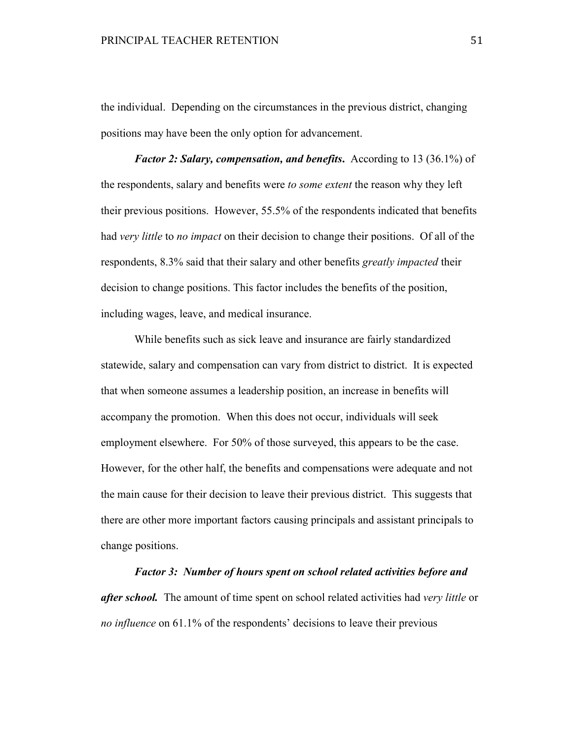the individual. Depending on the circumstances in the previous district, changing positions may have been the only option for advancement.

*Factor 2: Salary, compensation, and benefits***.**According to 13 (36.1%) of the respondents, salary and benefits were *to some extent* the reason why they left their previous positions. However, 55.5% of the respondents indicated that benefits had *very little* to *no impact* on their decision to change their positions. Of all of the respondents, 8.3% said that their salary and other benefits *greatly impacted* their decision to change positions. This factor includes the benefits of the position, including wages, leave, and medical insurance.

While benefits such as sick leave and insurance are fairly standardized statewide, salary and compensation can vary from district to district. It is expected that when someone assumes a leadership position, an increase in benefits will accompany the promotion. When this does not occur, individuals will seek employment elsewhere. For 50% of those surveyed, this appears to be the case. However, for the other half, the benefits and compensations were adequate and not the main cause for their decision to leave their previous district. This suggests that there are other more important factors causing principals and assistant principals to change positions.

*Factor 3: Number of hours spent on school related activities before and after school.* The amount of time spent on school related activities had *very little* or *no influence* on 61.1% of the respondents' decisions to leave their previous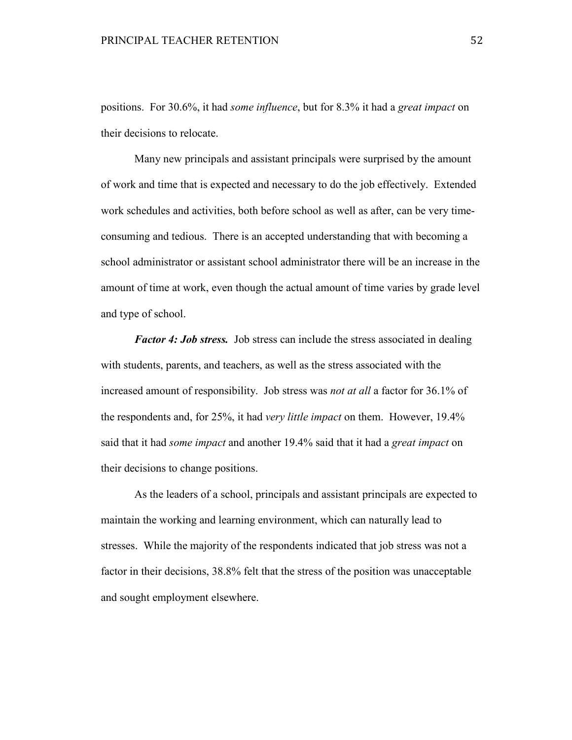positions. For 30.6%, it had *some influence*, but for 8.3% it had a *great impact* on their decisions to relocate.

Many new principals and assistant principals were surprised by the amount of work and time that is expected and necessary to do the job effectively. Extended work schedules and activities, both before school as well as after, can be very timeconsuming and tedious. There is an accepted understanding that with becoming a school administrator or assistant school administrator there will be an increase in the amount of time at work, even though the actual amount of time varies by grade level and type of school.

*Factor 4: Job stress.* Job stress can include the stress associated in dealing with students, parents, and teachers, as well as the stress associated with the increased amount of responsibility. Job stress was *not at all* a factor for 36.1% of the respondents and, for 25%, it had *very little impact* on them. However, 19.4% said that it had *some impact* and another 19.4% said that it had a *great impact* on their decisions to change positions.

As the leaders of a school, principals and assistant principals are expected to maintain the working and learning environment, which can naturally lead to stresses. While the majority of the respondents indicated that job stress was not a factor in their decisions, 38.8% felt that the stress of the position was unacceptable and sought employment elsewhere.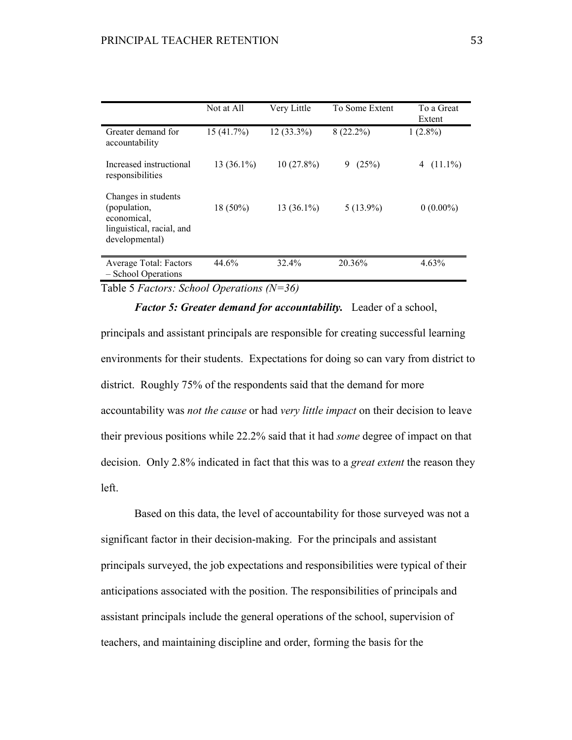|                                                                                                   | Not at All   | Very Little  | To Some Extent | To a Great<br>Extent |
|---------------------------------------------------------------------------------------------------|--------------|--------------|----------------|----------------------|
| Greater demand for<br>accountability                                                              | 15 (41.7%)   | $12(33.3\%)$ | $8(22.2\%)$    | $1(2.8\%)$           |
| Increased instructional<br>responsibilities                                                       | $13(36.1\%)$ | $10(27.8\%)$ | (25%)<br>9     | $(11.1\%)$<br>4      |
| Changes in students<br>(population,<br>economical,<br>linguistical, racial, and<br>developmental) | $18(50\%)$   | $13(36.1\%)$ | $5(13.9\%)$    | $0(0.00\%)$          |
| Average Total: Factors<br>- School Operations                                                     | 44.6%        | 32.4%        | 20.36%         | 4.63%                |

Table 5 *Factors: School Operations (N=36)*

*Factor 5: Greater demand for accountability.* Leader of a school, principals and assistant principals are responsible for creating successful learning environments for their students. Expectations for doing so can vary from district to district. Roughly 75% of the respondents said that the demand for more accountability was *not the cause* or had *very little impact* on their decision to leave their previous positions while 22.2% said that it had *some* degree of impact on that decision. Only 2.8% indicated in fact that this was to a *great extent* the reason they left.

Based on this data, the level of accountability for those surveyed was not a significant factor in their decision-making. For the principals and assistant principals surveyed, the job expectations and responsibilities were typical of their anticipations associated with the position. The responsibilities of principals and assistant principals include the general operations of the school, supervision of teachers, and maintaining discipline and order, forming the basis for the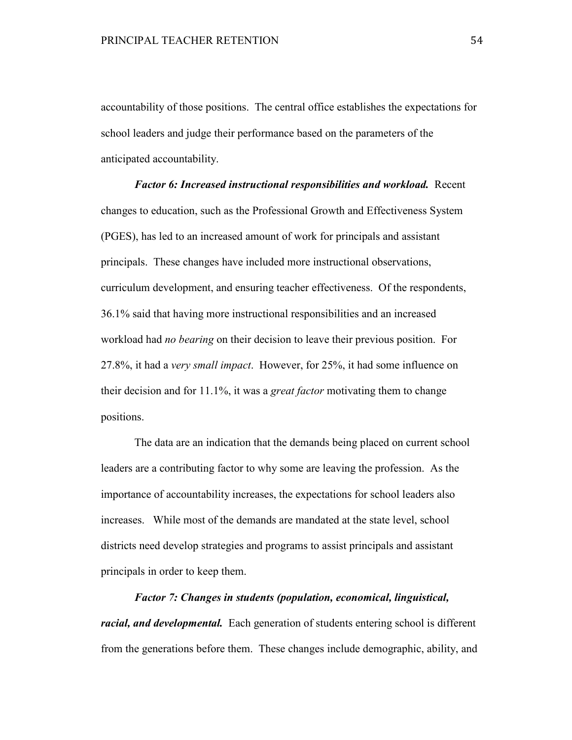accountability of those positions. The central office establishes the expectations for school leaders and judge their performance based on the parameters of the anticipated accountability.

*Factor 6: Increased instructional responsibilities and workload.* Recent changes to education, such as the Professional Growth and Effectiveness System (PGES), has led to an increased amount of work for principals and assistant principals. These changes have included more instructional observations, curriculum development, and ensuring teacher effectiveness. Of the respondents, 36.1% said that having more instructional responsibilities and an increased workload had *no bearing* on their decision to leave their previous position. For 27.8%, it had a *very small impact*. However, for 25%, it had some influence on their decision and for 11.1%, it was a *great factor* motivating them to change positions.

 The data are an indication that the demands being placed on current school leaders are a contributing factor to why some are leaving the profession. As the importance of accountability increases, the expectations for school leaders also increases. While most of the demands are mandated at the state level, school districts need develop strategies and programs to assist principals and assistant principals in order to keep them.

*Factor 7: Changes in students (population, economical, linguistical, racial, and developmental.* Each generation of students entering school is different from the generations before them. These changes include demographic, ability, and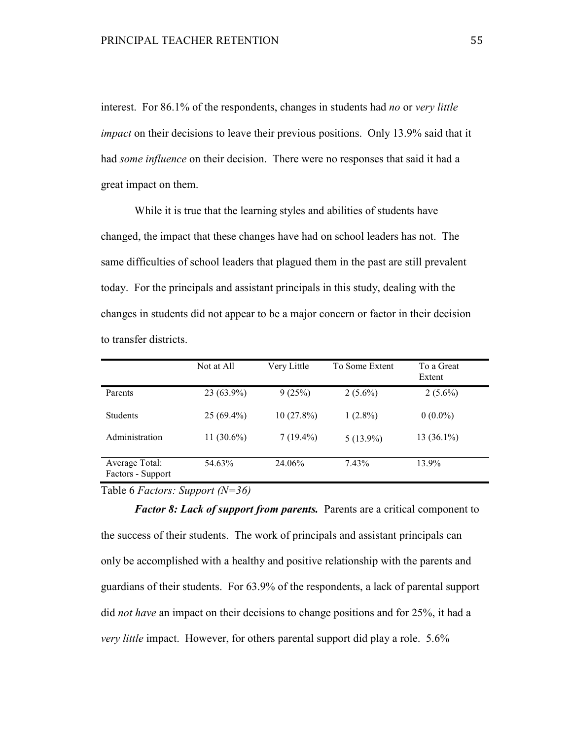interest. For 86.1% of the respondents, changes in students had *no* or *very little impact* on their decisions to leave their previous positions. Only 13.9% said that it had *some influence* on their decision. There were no responses that said it had a great impact on them.

While it is true that the learning styles and abilities of students have changed, the impact that these changes have had on school leaders has not. The same difficulties of school leaders that plagued them in the past are still prevalent today. For the principals and assistant principals in this study, dealing with the changes in students did not appear to be a major concern or factor in their decision to transfer districts.

|                                     | Not at All   | Very Little  | To Some Extent | To a Great<br>Extent |  |
|-------------------------------------|--------------|--------------|----------------|----------------------|--|
| Parents                             | $23(63.9\%)$ | 9(25%)       | $2(5.6\%)$     | $2(5.6\%)$           |  |
| <b>Students</b>                     | $25(69.4\%)$ | $10(27.8\%)$ | $1(2.8\%)$     | $0(0.0\%)$           |  |
| Administration                      | $11(30.6\%)$ | $7(19.4\%)$  | $5(13.9\%)$    | $13(36.1\%)$         |  |
| Average Total:<br>Factors - Support | 54.63%       | 24.06%       | 7.43%          | 13.9%                |  |

Table 6 *Factors: Support (N=36)*

*Factor 8: Lack of support from parents.* Parents are a critical component to the success of their students. The work of principals and assistant principals can only be accomplished with a healthy and positive relationship with the parents and guardians of their students. For 63.9% of the respondents, a lack of parental support did *not have* an impact on their decisions to change positions and for 25%, it had a *very little* impact. However, for others parental support did play a role. 5.6%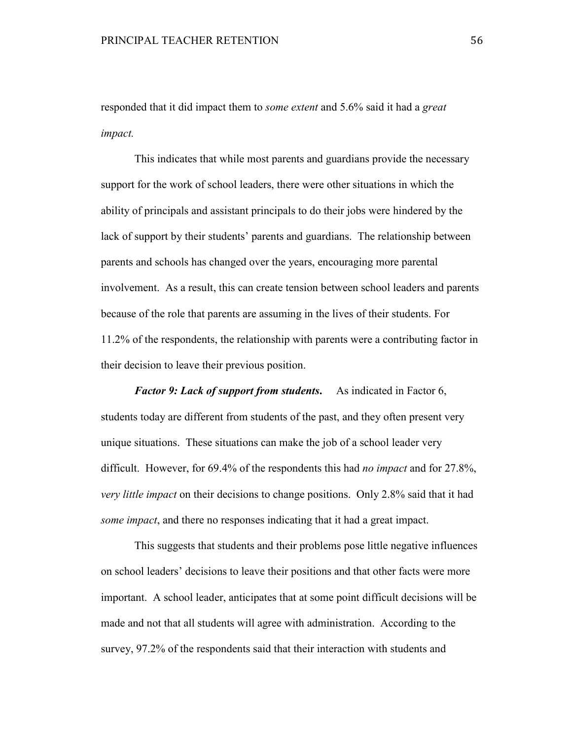responded that it did impact them to *some extent* and 5.6% said it had a *great impact.* 

This indicates that while most parents and guardians provide the necessary support for the work of school leaders, there were other situations in which the ability of principals and assistant principals to do their jobs were hindered by the lack of support by their students' parents and guardians. The relationship between parents and schools has changed over the years, encouraging more parental involvement. As a result, this can create tension between school leaders and parents because of the role that parents are assuming in the lives of their students. For 11.2% of the respondents, the relationship with parents were a contributing factor in their decision to leave their previous position.

*Factor 9: Lack of support from students***.** As indicated in Factor 6, students today are different from students of the past, and they often present very unique situations. These situations can make the job of a school leader very difficult. However, for 69.4% of the respondents this had *no impact* and for 27.8%, *very little impact* on their decisions to change positions. Only 2.8% said that it had *some impact*, and there no responses indicating that it had a great impact.

This suggests that students and their problems pose little negative influences on school leaders' decisions to leave their positions and that other facts were more important. A school leader, anticipates that at some point difficult decisions will be made and not that all students will agree with administration. According to the survey, 97.2% of the respondents said that their interaction with students and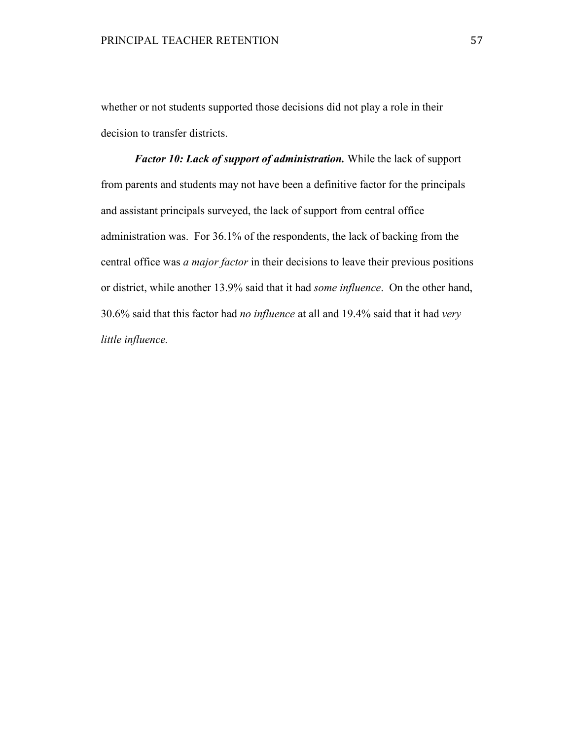whether or not students supported those decisions did not play a role in their decision to transfer districts.

*Factor 10: Lack of support of administration.* While the lack of support from parents and students may not have been a definitive factor for the principals and assistant principals surveyed, the lack of support from central office administration was. For 36.1% of the respondents, the lack of backing from the central office was *a major factor* in their decisions to leave their previous positions or district, while another 13.9% said that it had *some influence*. On the other hand, 30.6% said that this factor had *no influence* at all and 19.4% said that it had *very little influence.*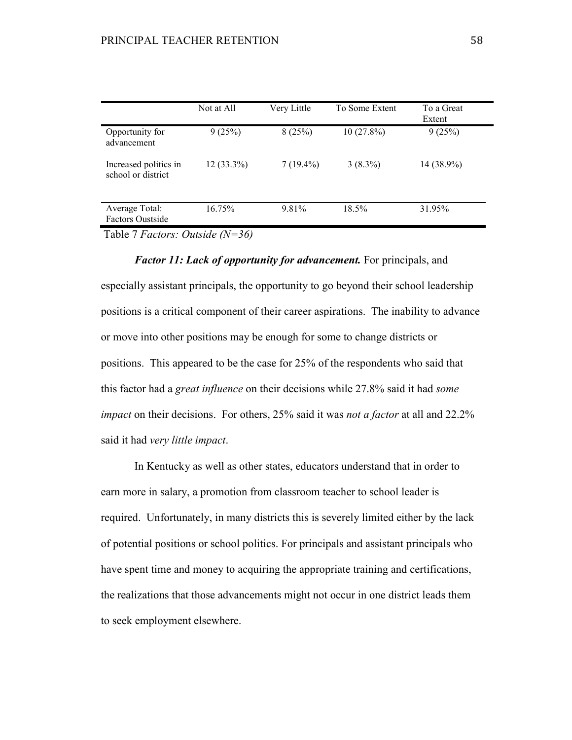|                                             | Not at All   | Very Little | To Some Extent | To a Great<br>Extent |
|---------------------------------------------|--------------|-------------|----------------|----------------------|
| Opportunity for<br>advancement              | 9(25%)       | 8(25%)      | $10(27.8\%)$   | 9(25%)               |
| Increased politics in<br>school or district | $12(33.3\%)$ | $7(19.4\%)$ | $3(8.3\%)$     | 14 (38.9%)           |
| Average Total:<br><b>Factors Oustside</b>   | 16.75%       | 9.81%       | 18.5%          | 31.95%               |

Table 7 *Factors: Outside (N=36)* 

*Factor 11: Lack of opportunity for advancement.* For principals, and especially assistant principals, the opportunity to go beyond their school leadership positions is a critical component of their career aspirations. The inability to advance or move into other positions may be enough for some to change districts or positions. This appeared to be the case for 25% of the respondents who said that this factor had a *great influence* on their decisions while 27.8% said it had *some impact* on their decisions. For others, 25% said it was *not a factor* at all and 22.2% said it had *very little impact*.

 In Kentucky as well as other states, educators understand that in order to earn more in salary, a promotion from classroom teacher to school leader is required. Unfortunately, in many districts this is severely limited either by the lack of potential positions or school politics. For principals and assistant principals who have spent time and money to acquiring the appropriate training and certifications, the realizations that those advancements might not occur in one district leads them to seek employment elsewhere.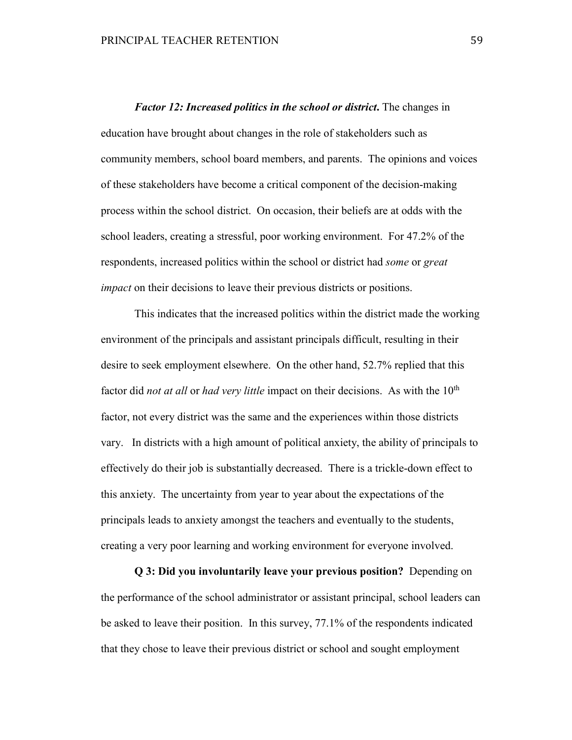*Factor 12: Increased politics in the school or district***.** The changes in education have brought about changes in the role of stakeholders such as community members, school board members, and parents. The opinions and voices of these stakeholders have become a critical component of the decision-making process within the school district. On occasion, their beliefs are at odds with the school leaders, creating a stressful, poor working environment. For 47.2% of the respondents, increased politics within the school or district had *some* or *great impact* on their decisions to leave their previous districts or positions.

This indicates that the increased politics within the district made the working environment of the principals and assistant principals difficult, resulting in their desire to seek employment elsewhere. On the other hand, 52.7% replied that this factor did *not at all* or *had very little* impact on their decisions. As with the 10<sup>th</sup> factor, not every district was the same and the experiences within those districts vary. In districts with a high amount of political anxiety, the ability of principals to effectively do their job is substantially decreased. There is a trickle-down effect to this anxiety. The uncertainty from year to year about the expectations of the principals leads to anxiety amongst the teachers and eventually to the students, creating a very poor learning and working environment for everyone involved.

**Q 3: Did you involuntarily leave your previous position?** Depending on the performance of the school administrator or assistant principal, school leaders can be asked to leave their position. In this survey, 77.1% of the respondents indicated that they chose to leave their previous district or school and sought employment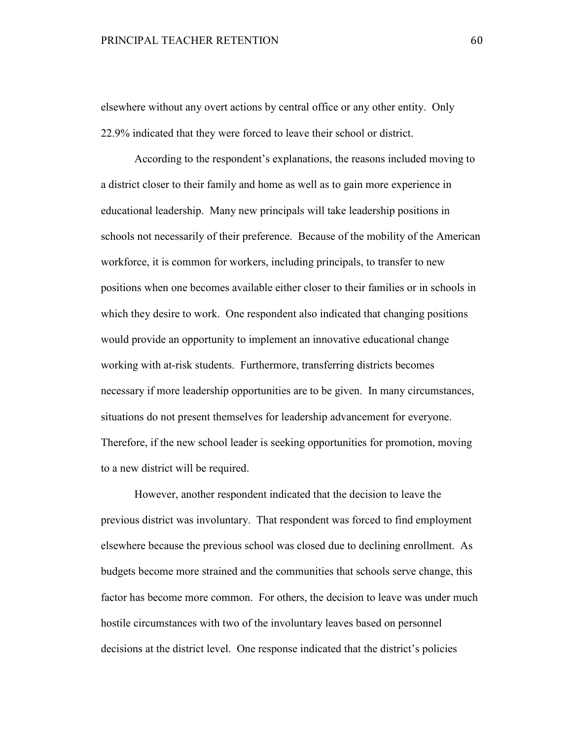elsewhere without any overt actions by central office or any other entity. Only 22.9% indicated that they were forced to leave their school or district.

According to the respondent's explanations, the reasons included moving to a district closer to their family and home as well as to gain more experience in educational leadership. Many new principals will take leadership positions in schools not necessarily of their preference. Because of the mobility of the American workforce, it is common for workers, including principals, to transfer to new positions when one becomes available either closer to their families or in schools in which they desire to work. One respondent also indicated that changing positions would provide an opportunity to implement an innovative educational change working with at-risk students. Furthermore, transferring districts becomes necessary if more leadership opportunities are to be given. In many circumstances, situations do not present themselves for leadership advancement for everyone. Therefore, if the new school leader is seeking opportunities for promotion, moving to a new district will be required.

However, another respondent indicated that the decision to leave the previous district was involuntary. That respondent was forced to find employment elsewhere because the previous school was closed due to declining enrollment. As budgets become more strained and the communities that schools serve change, this factor has become more common. For others, the decision to leave was under much hostile circumstances with two of the involuntary leaves based on personnel decisions at the district level. One response indicated that the district's policies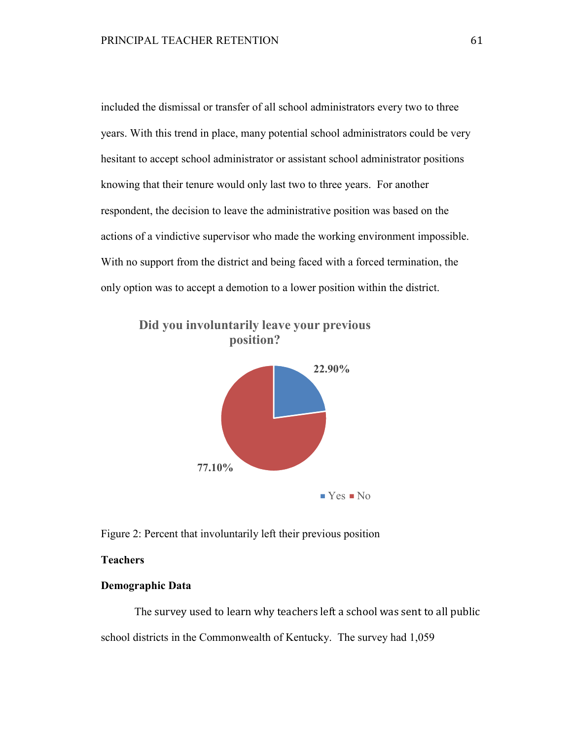included the dismissal or transfer of all school administrators every two to three years. With this trend in place, many potential school administrators could be very hesitant to accept school administrator or assistant school administrator positions knowing that their tenure would only last two to three years. For another respondent, the decision to leave the administrative position was based on the actions of a vindictive supervisor who made the working environment impossible. With no support from the district and being faced with a forced termination, the only option was to accept a demotion to a lower position within the district.



**Did you involuntarily leave your previous position?**

Figure 2: Percent that involuntarily left their previous position

# **Teachers**

# **Demographic Data**

 The survey used to learn why teachers left a school was sent to all public school districts in the Commonwealth of Kentucky. The survey had 1,059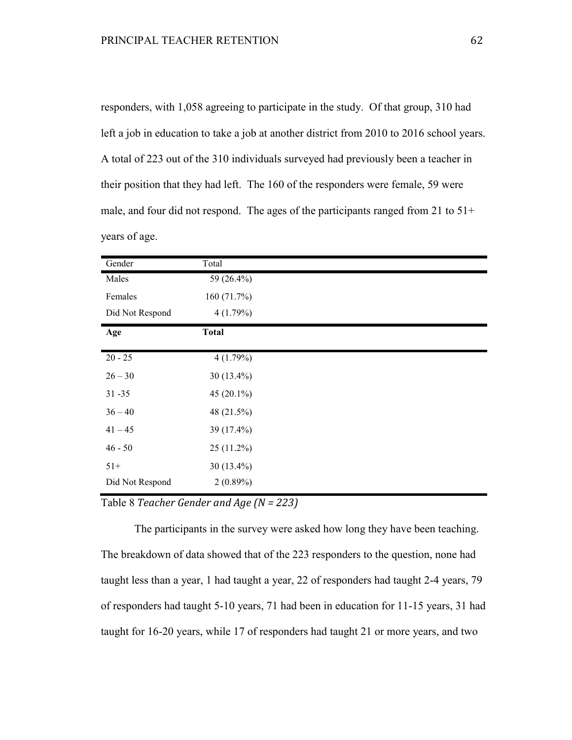responders, with 1,058 agreeing to participate in the study. Of that group, 310 had left a job in education to take a job at another district from 2010 to 2016 school years. A total of 223 out of the 310 individuals surveyed had previously been a teacher in their position that they had left. The 160 of the responders were female, 59 were male, and four did not respond. The ages of the participants ranged from 21 to 51+ years of age.

| Gender          | Total         |
|-----------------|---------------|
| Males           | 59 (26.4%)    |
| Females         | 160(71.7%)    |
| Did Not Respond | 4(1.79%)      |
| Age             | <b>Total</b>  |
| $20 - 25$       | 4(1.79%)      |
| $26 - 30$       | $30(13.4\%)$  |
| $31 - 35$       | 45 $(20.1\%)$ |
| $36 - 40$       | 48 (21.5%)    |
| $41 - 45$       | 39 (17.4%)    |
| $46 - 50$       | $25(11.2\%)$  |
| $51+$           | 30 $(13.4\%)$ |
| Did Not Respond | $2(0.89\%)$   |

Table 8 *Teacher Gender and Age (N = 223)*

 The participants in the survey were asked how long they have been teaching. The breakdown of data showed that of the 223 responders to the question, none had taught less than a year, 1 had taught a year, 22 of responders had taught 2-4 years, 79 of responders had taught 5-10 years, 71 had been in education for 11-15 years, 31 had taught for 16-20 years, while 17 of responders had taught 21 or more years, and two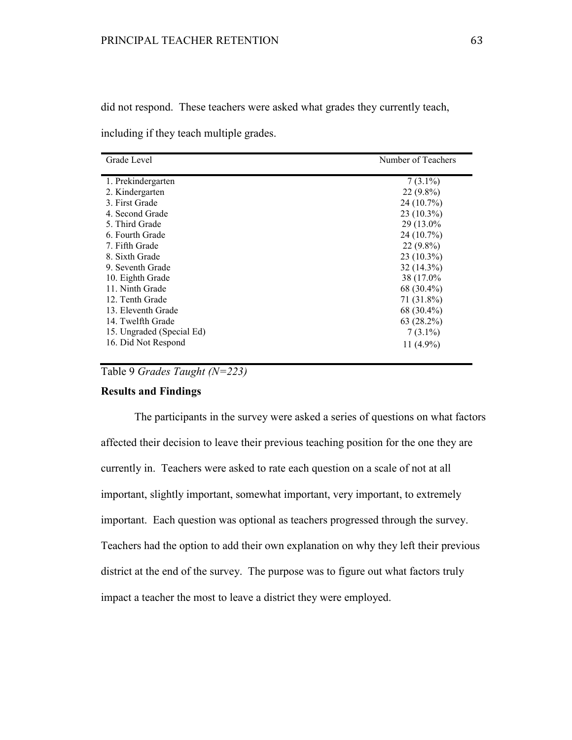did not respond. These teachers were asked what grades they currently teach,

including if they teach multiple grades.

| Grade Level               | Number of Teachers |
|---------------------------|--------------------|
| 1. Prekindergarten        | $7(3.1\%)$         |
| 2. Kindergarten           | $22(9.8\%)$        |
| 3. First Grade            | 24 (10.7%)         |
| 4. Second Grade           | $23(10.3\%)$       |
| 5. Third Grade            | 29 (13.0%)         |
| 6. Fourth Grade           | 24 (10.7%)         |
| 7. Fifth Grade            | $22(9.8\%)$        |
| 8. Sixth Grade            | $23(10.3\%)$       |
| 9. Seventh Grade          | $32(14.3\%)$       |
| 10. Eighth Grade          | 38 (17.0%)         |
| 11. Ninth Grade           | 68 (30.4%)         |
| 12. Tenth Grade           | $71(31.8\%)$       |
| 13. Eleventh Grade        | 68 (30.4%)         |
| 14. Twelfth Grade         | 63 (28.2%)         |
| 15. Ungraded (Special Ed) | $7(3.1\%)$         |
| 16. Did Not Respond       | 11 $(4.9\%)$       |
|                           |                    |

Table 9 *Grades Taught (N=223)*

# **Results and Findings**

 The participants in the survey were asked a series of questions on what factors affected their decision to leave their previous teaching position for the one they are currently in. Teachers were asked to rate each question on a scale of not at all important, slightly important, somewhat important, very important, to extremely important. Each question was optional as teachers progressed through the survey. Teachers had the option to add their own explanation on why they left their previous district at the end of the survey. The purpose was to figure out what factors truly impact a teacher the most to leave a district they were employed.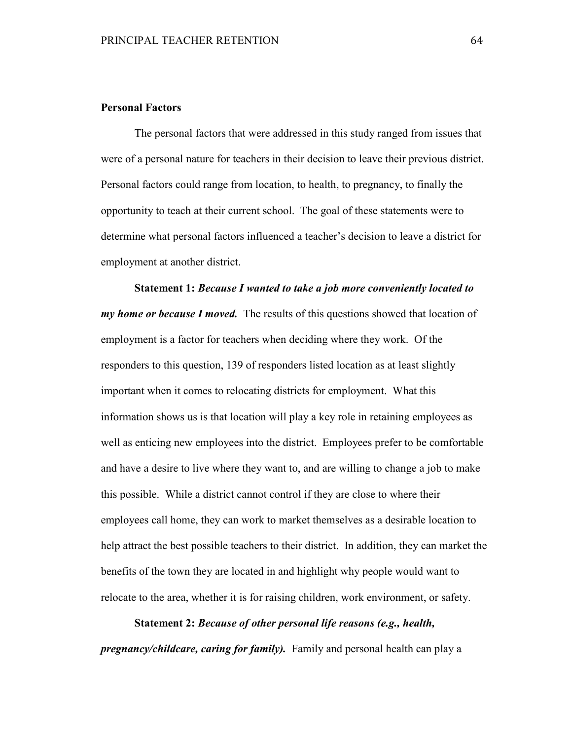# **Personal Factors**

The personal factors that were addressed in this study ranged from issues that were of a personal nature for teachers in their decision to leave their previous district. Personal factors could range from location, to health, to pregnancy, to finally the opportunity to teach at their current school. The goal of these statements were to determine what personal factors influenced a teacher's decision to leave a district for employment at another district.

**Statement 1:** *Because I wanted to take a job more conveniently located to my home or because I moved.*The results of this questions showed that location of employment is a factor for teachers when deciding where they work. Of the responders to this question, 139 of responders listed location as at least slightly important when it comes to relocating districts for employment. What this information shows us is that location will play a key role in retaining employees as well as enticing new employees into the district. Employees prefer to be comfortable and have a desire to live where they want to, and are willing to change a job to make this possible. While a district cannot control if they are close to where their employees call home, they can work to market themselves as a desirable location to help attract the best possible teachers to their district. In addition, they can market the benefits of the town they are located in and highlight why people would want to relocate to the area, whether it is for raising children, work environment, or safety.

**Statement 2:** *Because of other personal life reasons (e.g., health, pregnancy/childcare, caring for family).* Family and personal health can play a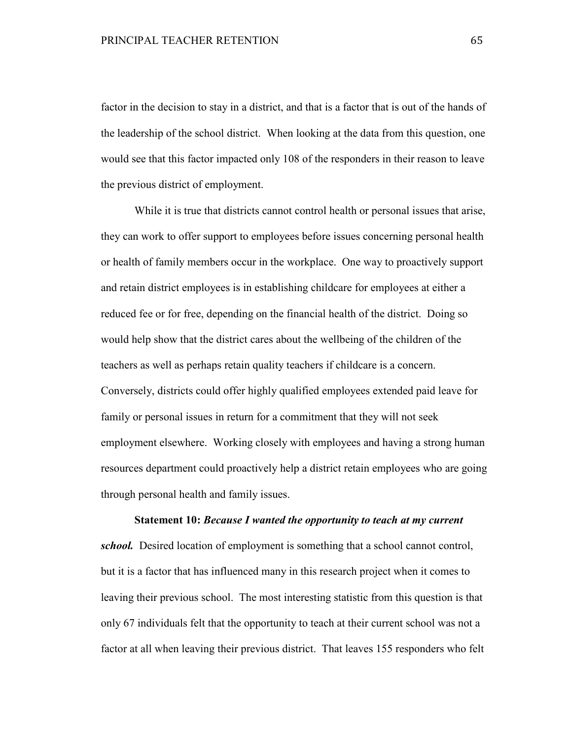factor in the decision to stay in a district, and that is a factor that is out of the hands of the leadership of the school district. When looking at the data from this question, one would see that this factor impacted only 108 of the responders in their reason to leave the previous district of employment.

While it is true that districts cannot control health or personal issues that arise, they can work to offer support to employees before issues concerning personal health or health of family members occur in the workplace. One way to proactively support and retain district employees is in establishing childcare for employees at either a reduced fee or for free, depending on the financial health of the district. Doing so would help show that the district cares about the wellbeing of the children of the teachers as well as perhaps retain quality teachers if childcare is a concern. Conversely, districts could offer highly qualified employees extended paid leave for family or personal issues in return for a commitment that they will not seek employment elsewhere. Working closely with employees and having a strong human resources department could proactively help a district retain employees who are going through personal health and family issues.

**Statement 10:** *Because I wanted the opportunity to teach at my current school.* Desired location of employment is something that a school cannot control, but it is a factor that has influenced many in this research project when it comes to leaving their previous school. The most interesting statistic from this question is that only 67 individuals felt that the opportunity to teach at their current school was not a factor at all when leaving their previous district. That leaves 155 responders who felt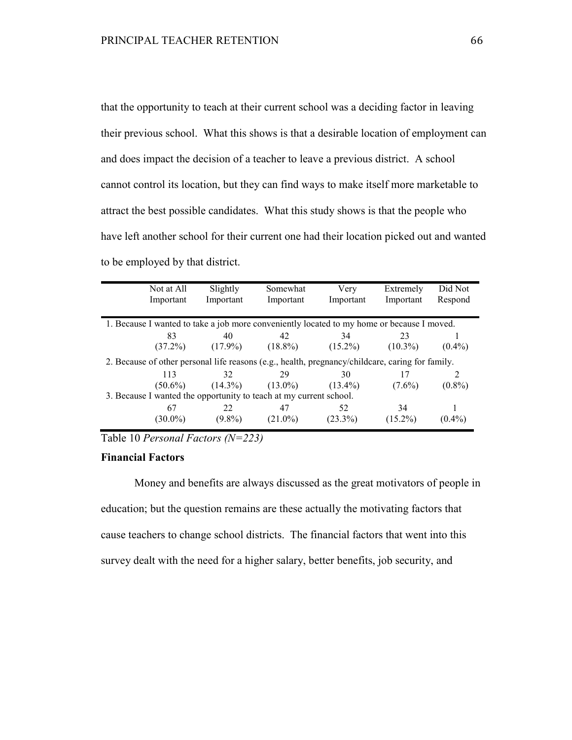that the opportunity to teach at their current school was a deciding factor in leaving their previous school. What this shows is that a desirable location of employment can and does impact the decision of a teacher to leave a previous district. A school cannot control its location, but they can find ways to make itself more marketable to attract the best possible candidates. What this study shows is that the people who have left another school for their current one had their location picked out and wanted to be employed by that district.

|                                                                    | Not at All | Slightly   | Somewhat                                                                                         | Very       | Extremely  | Did Not   |
|--------------------------------------------------------------------|------------|------------|--------------------------------------------------------------------------------------------------|------------|------------|-----------|
|                                                                    | Important  | Important  | Important                                                                                        | Important  | Important  | Respond   |
|                                                                    |            |            |                                                                                                  |            |            |           |
|                                                                    |            |            | 1. Because I wanted to take a job more conveniently located to my home or because I moved.       |            |            |           |
|                                                                    | 83         | 40         | 42                                                                                               | 34         | 23         |           |
|                                                                    | $(37.2\%)$ | $(17.9\%)$ | $(18.8\%)$                                                                                       | $(15.2\%)$ | $(10.3\%)$ | $(0.4\%)$ |
|                                                                    |            |            | 2. Because of other personal life reasons (e.g., health, pregnancy/childcare, caring for family. |            |            |           |
|                                                                    | 113        | 32         | 29                                                                                               | 30         | 17         |           |
|                                                                    | $(50.6\%)$ | $(14.3\%)$ | $(13.0\%)$                                                                                       | $(13.4\%)$ | $(7.6\%)$  | $(0.8\%)$ |
| 3. Because I wanted the opportunity to teach at my current school. |            |            |                                                                                                  |            |            |           |
|                                                                    | 67         | 22         | 47                                                                                               | 52         | 34         |           |
|                                                                    | $(30.0\%)$ | $(9.8\%)$  | $(21.0\%)$                                                                                       | $(23.3\%)$ | $(15.2\%)$ | $(0.4\%)$ |

Table 10 *Personal Factors (N=223)*

# **Financial Factors**

Money and benefits are always discussed as the great motivators of people in education; but the question remains are these actually the motivating factors that cause teachers to change school districts. The financial factors that went into this survey dealt with the need for a higher salary, better benefits, job security, and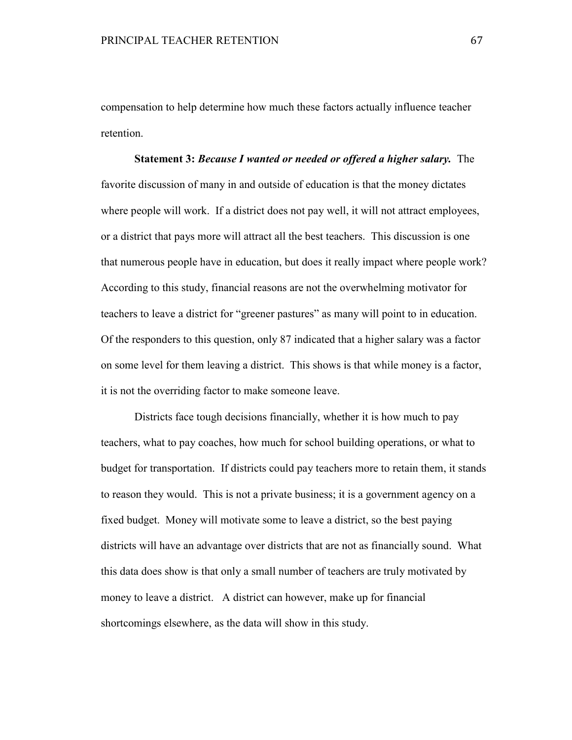compensation to help determine how much these factors actually influence teacher retention.

**Statement 3:** *Because I wanted or needed or offered a higher salary.* The favorite discussion of many in and outside of education is that the money dictates where people will work. If a district does not pay well, it will not attract employees, or a district that pays more will attract all the best teachers. This discussion is one that numerous people have in education, but does it really impact where people work? According to this study, financial reasons are not the overwhelming motivator for teachers to leave a district for "greener pastures" as many will point to in education. Of the responders to this question, only 87 indicated that a higher salary was a factor on some level for them leaving a district. This shows is that while money is a factor, it is not the overriding factor to make someone leave.

 Districts face tough decisions financially, whether it is how much to pay teachers, what to pay coaches, how much for school building operations, or what to budget for transportation. If districts could pay teachers more to retain them, it stands to reason they would. This is not a private business; it is a government agency on a fixed budget. Money will motivate some to leave a district, so the best paying districts will have an advantage over districts that are not as financially sound. What this data does show is that only a small number of teachers are truly motivated by money to leave a district. A district can however, make up for financial shortcomings elsewhere, as the data will show in this study.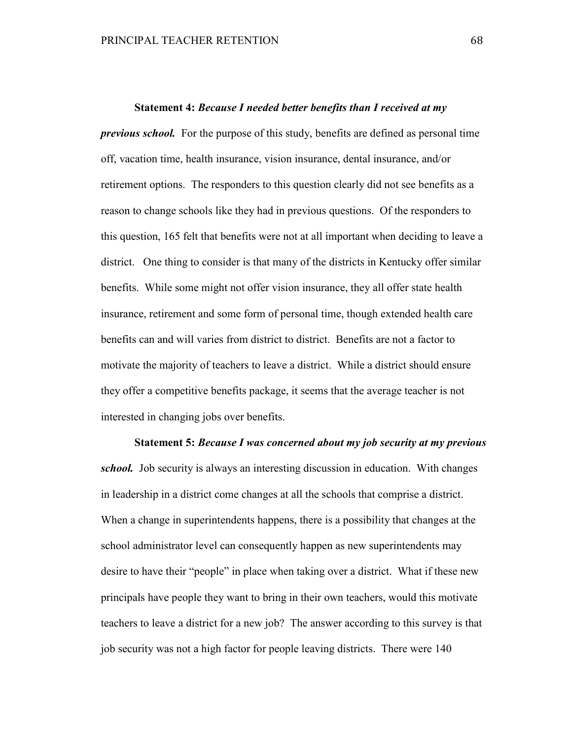#### **Statement 4:** *Because I needed better benefits than I received at my*

*previous school.* For the purpose of this study, benefits are defined as personal time off, vacation time, health insurance, vision insurance, dental insurance, and/or retirement options. The responders to this question clearly did not see benefits as a reason to change schools like they had in previous questions. Of the responders to this question, 165 felt that benefits were not at all important when deciding to leave a district. One thing to consider is that many of the districts in Kentucky offer similar benefits. While some might not offer vision insurance, they all offer state health insurance, retirement and some form of personal time, though extended health care benefits can and will varies from district to district. Benefits are not a factor to motivate the majority of teachers to leave a district. While a district should ensure they offer a competitive benefits package, it seems that the average teacher is not interested in changing jobs over benefits.

**Statement 5:** *Because I was concerned about my job security at my previous school.* Job security is always an interesting discussion in education. With changes in leadership in a district come changes at all the schools that comprise a district. When a change in superintendents happens, there is a possibility that changes at the school administrator level can consequently happen as new superintendents may desire to have their "people" in place when taking over a district. What if these new principals have people they want to bring in their own teachers, would this motivate teachers to leave a district for a new job? The answer according to this survey is that job security was not a high factor for people leaving districts. There were 140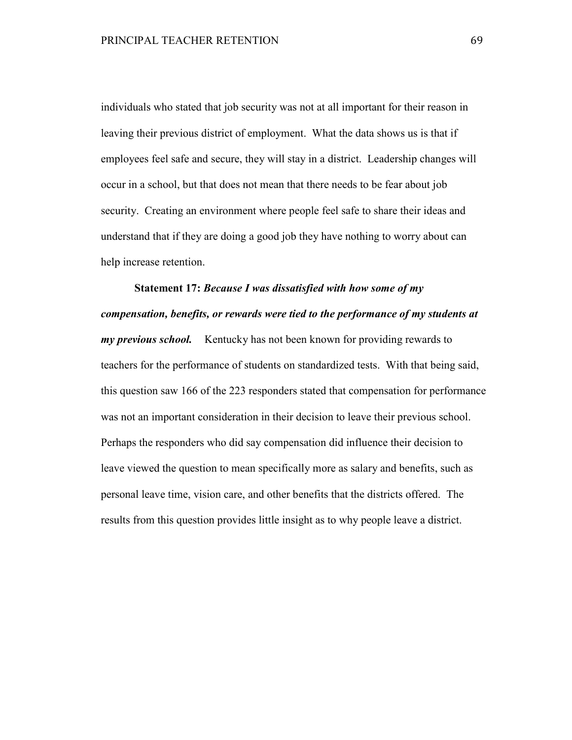individuals who stated that job security was not at all important for their reason in leaving their previous district of employment. What the data shows us is that if employees feel safe and secure, they will stay in a district. Leadership changes will occur in a school, but that does not mean that there needs to be fear about job security. Creating an environment where people feel safe to share their ideas and understand that if they are doing a good job they have nothing to worry about can help increase retention.

**Statement 17:** *Because I was dissatisfied with how some of my compensation, benefits, or rewards were tied to the performance of my students at my previous school.* Kentucky has not been known for providing rewards to teachers for the performance of students on standardized tests. With that being said, this question saw 166 of the 223 responders stated that compensation for performance was not an important consideration in their decision to leave their previous school. Perhaps the responders who did say compensation did influence their decision to leave viewed the question to mean specifically more as salary and benefits, such as personal leave time, vision care, and other benefits that the districts offered. The results from this question provides little insight as to why people leave a district.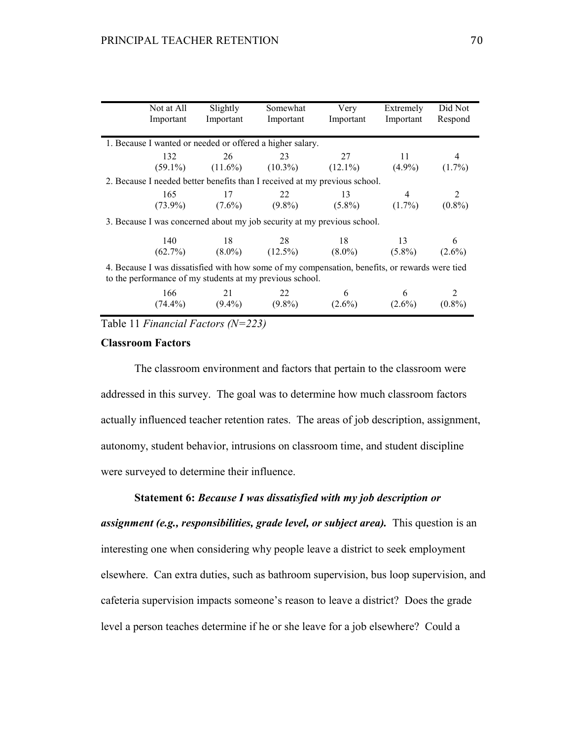| Not at All<br>Important | Slightly<br>Important | Somewhat<br>Important                                                                                                                                      | Very<br>Important | Extremely<br>Important       | Did Not<br>Respond |
|-------------------------|-----------------------|------------------------------------------------------------------------------------------------------------------------------------------------------------|-------------------|------------------------------|--------------------|
|                         |                       | 1. Because I wanted or needed or offered a higher salary.                                                                                                  |                   |                              |                    |
| 132                     | 26 23                 | $(59.1\%)$ $(11.6\%)$ $(10.3\%)$ $(12.1\%)$ $(4.9\%)$                                                                                                      | 27                | - 11 -                       | 4<br>$(1.7\%)$     |
|                         |                       | 2. Because I needed better benefits than I received at my previous school.                                                                                 |                   |                              |                    |
| 165                     | 17                    | 22<br>$(73.9\%)$ $(7.6\%)$ $(9.8\%)$ $(5.8\%)$                                                                                                             | 13                | $\overline{4}$<br>$(1.7\%)$  | 2<br>$(0.8\%)$     |
|                         |                       | 3. Because I was concerned about my job security at my previous school.                                                                                    |                   |                              |                    |
| 140                     |                       | 18 28<br>$(62.7\%)$ $(8.0\%)$ $(12.5\%)$ $(8.0\%)$ $(5.8\%)$ $(2.6\%)$                                                                                     | 18                | 13                           | 6                  |
|                         |                       | 4. Because I was dissatisfied with how some of my compensation, benefits, or rewards were tied<br>to the performance of my students at my previous school. |                   |                              |                    |
| 166<br>$(74.4\%)$       | 21<br>$(9.4\%)$       | 22<br>$(9.8\%)$                                                                                                                                            | 6<br>$(2.6\%)$    | $6\overline{6}$<br>$(2.6\%)$ | $(0.8\%)$          |

Table 11 *Financial Factors (N=223)*

## **Classroom Factors**

 The classroom environment and factors that pertain to the classroom were addressed in this survey. The goal was to determine how much classroom factors actually influenced teacher retention rates. The areas of job description, assignment, autonomy, student behavior, intrusions on classroom time, and student discipline were surveyed to determine their influence.

#### **Statement 6:** *Because I was dissatisfied with my job description or*

*assignment (e.g., responsibilities, grade level, or subject area).* This question is an interesting one when considering why people leave a district to seek employment elsewhere. Can extra duties, such as bathroom supervision, bus loop supervision, and cafeteria supervision impacts someone's reason to leave a district? Does the grade level a person teaches determine if he or she leave for a job elsewhere? Could a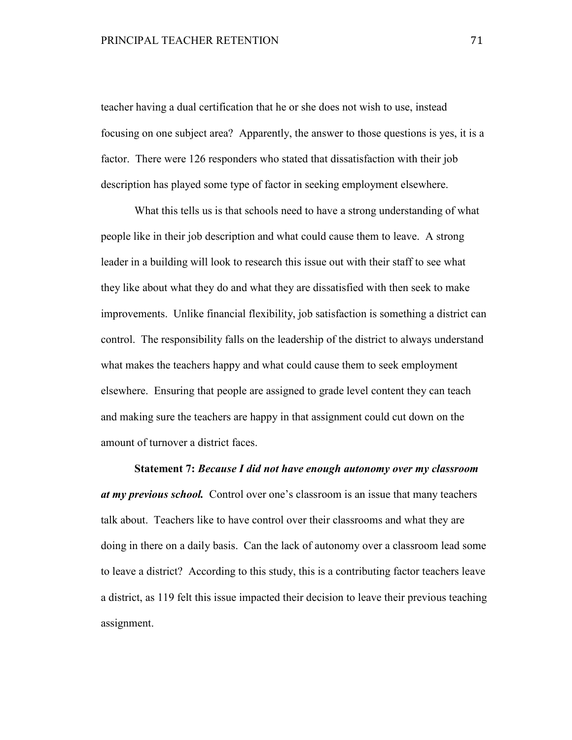teacher having a dual certification that he or she does not wish to use, instead focusing on one subject area? Apparently, the answer to those questions is yes, it is a factor. There were 126 responders who stated that dissatisfaction with their job description has played some type of factor in seeking employment elsewhere.

What this tells us is that schools need to have a strong understanding of what people like in their job description and what could cause them to leave. A strong leader in a building will look to research this issue out with their staff to see what they like about what they do and what they are dissatisfied with then seek to make improvements. Unlike financial flexibility, job satisfaction is something a district can control. The responsibility falls on the leadership of the district to always understand what makes the teachers happy and what could cause them to seek employment elsewhere. Ensuring that people are assigned to grade level content they can teach and making sure the teachers are happy in that assignment could cut down on the amount of turnover a district faces.

**Statement 7:** *Because I did not have enough autonomy over my classroom at my previous school.* Control over one's classroom is an issue that many teachers talk about. Teachers like to have control over their classrooms and what they are doing in there on a daily basis. Can the lack of autonomy over a classroom lead some to leave a district? According to this study, this is a contributing factor teachers leave a district, as 119 felt this issue impacted their decision to leave their previous teaching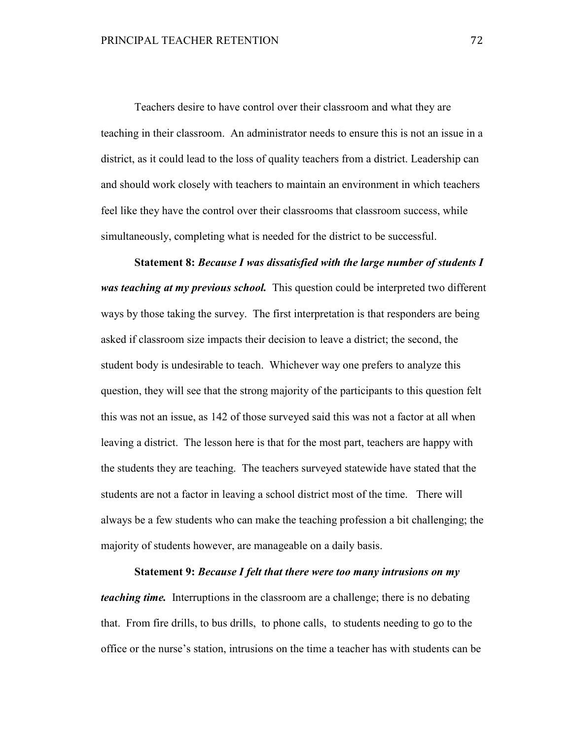Teachers desire to have control over their classroom and what they are teaching in their classroom. An administrator needs to ensure this is not an issue in a district, as it could lead to the loss of quality teachers from a district. Leadership can and should work closely with teachers to maintain an environment in which teachers feel like they have the control over their classrooms that classroom success, while simultaneously, completing what is needed for the district to be successful.

**Statement 8:** *Because I was dissatisfied with the large number of students I was teaching at my previous school.* This question could be interpreted two different ways by those taking the survey. The first interpretation is that responders are being asked if classroom size impacts their decision to leave a district; the second, the student body is undesirable to teach. Whichever way one prefers to analyze this question, they will see that the strong majority of the participants to this question felt this was not an issue, as 142 of those surveyed said this was not a factor at all when leaving a district. The lesson here is that for the most part, teachers are happy with the students they are teaching. The teachers surveyed statewide have stated that the students are not a factor in leaving a school district most of the time. There will always be a few students who can make the teaching profession a bit challenging; the majority of students however, are manageable on a daily basis.

**Statement 9:** *Because I felt that there were too many intrusions on my teaching time.* Interruptions in the classroom are a challenge; there is no debating that. From fire drills, to bus drills, to phone calls, to students needing to go to the office or the nurse's station, intrusions on the time a teacher has with students can be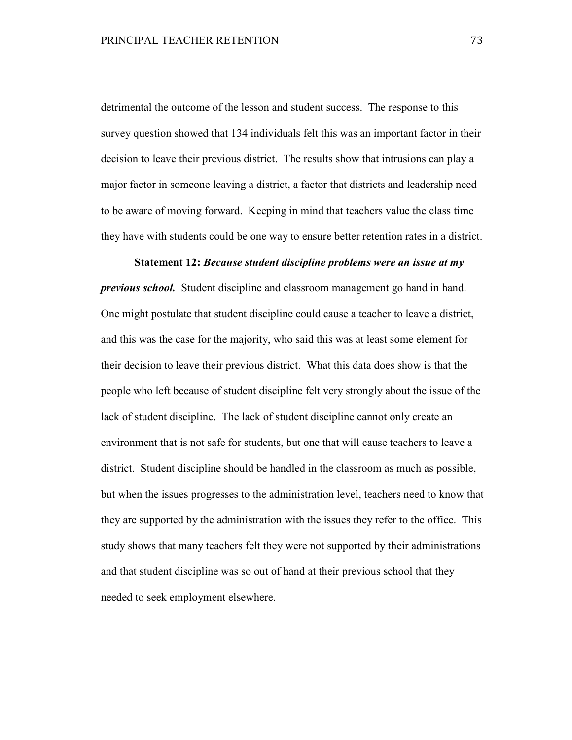detrimental the outcome of the lesson and student success. The response to this survey question showed that 134 individuals felt this was an important factor in their decision to leave their previous district. The results show that intrusions can play a major factor in someone leaving a district, a factor that districts and leadership need to be aware of moving forward. Keeping in mind that teachers value the class time they have with students could be one way to ensure better retention rates in a district.

## **Statement 12:** *Because student discipline problems were an issue at my*

*previous school.* Student discipline and classroom management go hand in hand. One might postulate that student discipline could cause a teacher to leave a district, and this was the case for the majority, who said this was at least some element for their decision to leave their previous district. What this data does show is that the people who left because of student discipline felt very strongly about the issue of the lack of student discipline. The lack of student discipline cannot only create an environment that is not safe for students, but one that will cause teachers to leave a district. Student discipline should be handled in the classroom as much as possible, but when the issues progresses to the administration level, teachers need to know that they are supported by the administration with the issues they refer to the office. This study shows that many teachers felt they were not supported by their administrations and that student discipline was so out of hand at their previous school that they needed to seek employment elsewhere.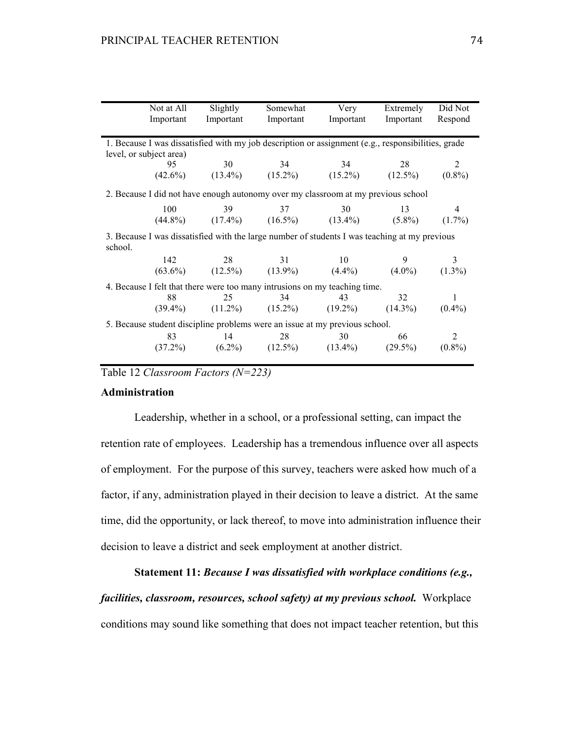|                                                                                                    | Not at All | Slightly                                                                                      | Somewhat  | Very      | Extremely  | Did Not   |
|----------------------------------------------------------------------------------------------------|------------|-----------------------------------------------------------------------------------------------|-----------|-----------|------------|-----------|
|                                                                                                    | Important  | Important                                                                                     | Important | Important | Important  | Respond   |
|                                                                                                    |            |                                                                                               |           |           |            |           |
| 1. Because I was dissatisfied with my job description or assignment (e.g., responsibilities, grade |            |                                                                                               |           |           |            |           |
| level, or subject area)                                                                            |            |                                                                                               |           |           |            |           |
|                                                                                                    | 95         | 30                                                                                            | 34        | 34        | 28         | 2         |
|                                                                                                    |            | $(42.6\%)$ $(13.4\%)$ $(15.2\%)$ $(15.2\%)$ $(15.2\%)$ $(12.5\%)$                             |           |           |            | $(0.8\%)$ |
| 2. Because I did not have enough autonomy over my classroom at my previous school                  |            |                                                                                               |           |           |            |           |
|                                                                                                    | 100        | 39                                                                                            | 37        | 30        | 13         | 4         |
|                                                                                                    |            | $(44.8\%)$ $(17.4\%)$ $(16.5\%)$ $(13.4\%)$ $(5.8\%)$                                         |           |           |            | $(1.7\%)$ |
|                                                                                                    |            |                                                                                               |           |           |            |           |
|                                                                                                    |            | 3. Because I was dissatisfied with the large number of students I was teaching at my previous |           |           |            |           |
| school.                                                                                            |            |                                                                                               |           |           |            |           |
|                                                                                                    | 142        | 28                                                                                            | 31        | 10        | 9          | 3         |
|                                                                                                    |            | $(63.6\%)$ $(12.5\%)$ $(13.9\%)$ $(4.4\%)$                                                    |           |           | $(4.0\%)$  | $(1.3\%)$ |
| 4. Because I felt that there were too many intrusions on my teaching time.                         |            |                                                                                               |           |           |            |           |
|                                                                                                    | 88         | 25                                                                                            | 34        | 43        | 32         | 1         |
|                                                                                                    |            | $(39.4\%)$ $(11.2\%)$ $(15.2\%)$ $(19.2\%)$                                                   |           |           | $(14.3\%)$ | $(0.4\%)$ |
| 5. Because student discipline problems were an issue at my previous school.                        |            |                                                                                               |           |           |            |           |
|                                                                                                    | 83         | 14                                                                                            | 28        | 30        | 66         | 2         |
|                                                                                                    |            | $(37.2\%)$ $(6.2\%)$ $(12.5\%)$ $(13.4\%)$                                                    |           |           | $(29.5\%)$ | $(0.8\%)$ |
|                                                                                                    |            |                                                                                               |           |           |            |           |

Table 12 *Classroom Factors (N=223)*

#### **Administration**

Leadership, whether in a school, or a professional setting, can impact the retention rate of employees. Leadership has a tremendous influence over all aspects of employment. For the purpose of this survey, teachers were asked how much of a factor, if any, administration played in their decision to leave a district. At the same time, did the opportunity, or lack thereof, to move into administration influence their decision to leave a district and seek employment at another district.

## **Statement 11:** *Because I was dissatisfied with workplace conditions (e.g.,*

*facilities, classroom, resources, school safety) at my previous school.* Workplace conditions may sound like something that does not impact teacher retention, but this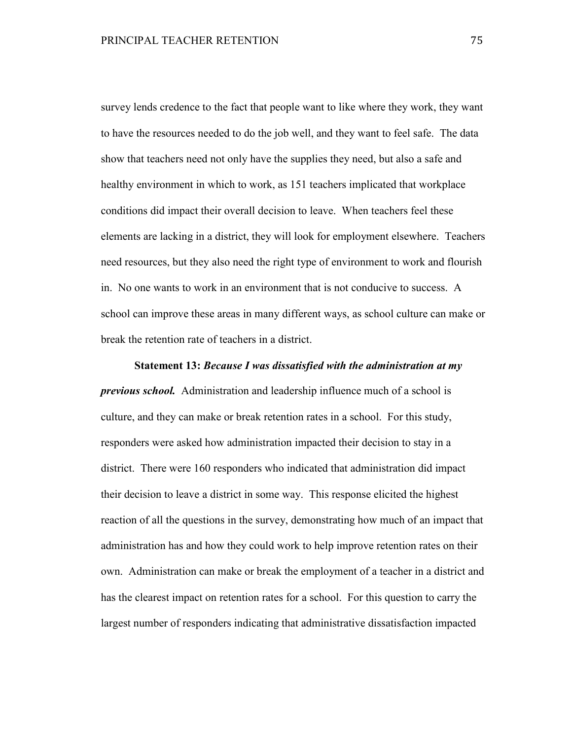survey lends credence to the fact that people want to like where they work, they want to have the resources needed to do the job well, and they want to feel safe. The data show that teachers need not only have the supplies they need, but also a safe and healthy environment in which to work, as 151 teachers implicated that workplace conditions did impact their overall decision to leave. When teachers feel these elements are lacking in a district, they will look for employment elsewhere. Teachers need resources, but they also need the right type of environment to work and flourish in. No one wants to work in an environment that is not conducive to success. A school can improve these areas in many different ways, as school culture can make or break the retention rate of teachers in a district.

**Statement 13:** *Because I was dissatisfied with the administration at my previous school.* Administration and leadership influence much of a school is culture, and they can make or break retention rates in a school. For this study, responders were asked how administration impacted their decision to stay in a district. There were 160 responders who indicated that administration did impact their decision to leave a district in some way. This response elicited the highest reaction of all the questions in the survey, demonstrating how much of an impact that administration has and how they could work to help improve retention rates on their own. Administration can make or break the employment of a teacher in a district and has the clearest impact on retention rates for a school. For this question to carry the largest number of responders indicating that administrative dissatisfaction impacted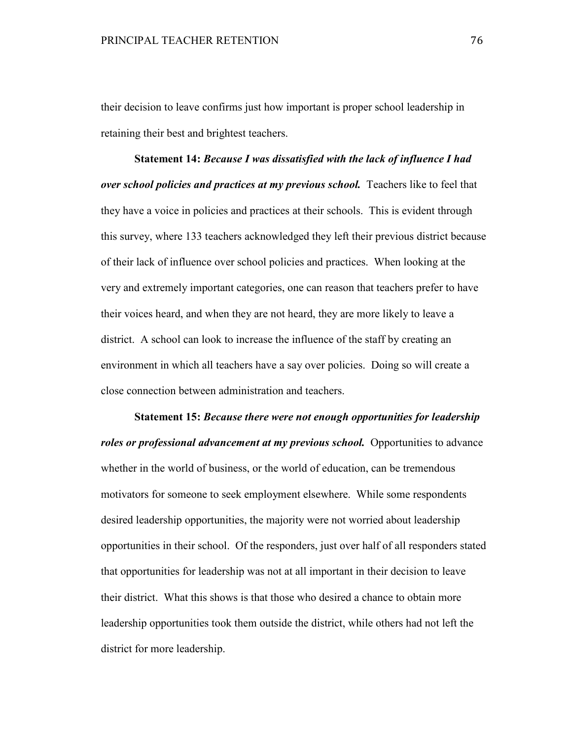their decision to leave confirms just how important is proper school leadership in retaining their best and brightest teachers.

**Statement 14:** *Because I was dissatisfied with the lack of influence I had over school policies and practices at my previous school.* Teachers like to feel that they have a voice in policies and practices at their schools. This is evident through this survey, where 133 teachers acknowledged they left their previous district because of their lack of influence over school policies and practices. When looking at the very and extremely important categories, one can reason that teachers prefer to have their voices heard, and when they are not heard, they are more likely to leave a district. A school can look to increase the influence of the staff by creating an environment in which all teachers have a say over policies. Doing so will create a close connection between administration and teachers.

**Statement 15:** *Because there were not enough opportunities for leadership roles or professional advancement at my previous school.* Opportunities to advance whether in the world of business, or the world of education, can be tremendous motivators for someone to seek employment elsewhere. While some respondents desired leadership opportunities, the majority were not worried about leadership opportunities in their school. Of the responders, just over half of all responders stated that opportunities for leadership was not at all important in their decision to leave their district. What this shows is that those who desired a chance to obtain more leadership opportunities took them outside the district, while others had not left the district for more leadership.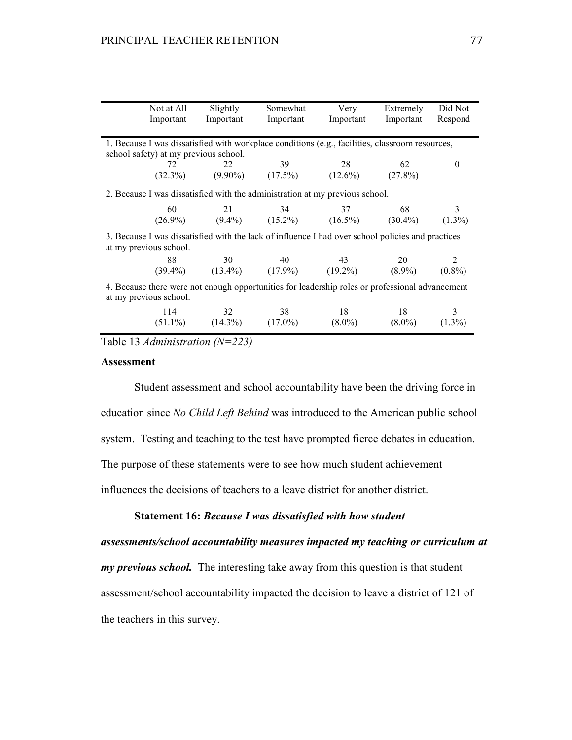|                                                                                                   | Not at All                            | Slightly                         | Somewhat                                                                     | Very      | Extremely | Did Not   |
|---------------------------------------------------------------------------------------------------|---------------------------------------|----------------------------------|------------------------------------------------------------------------------|-----------|-----------|-----------|
|                                                                                                   | Important                             | Important                        | Important                                                                    | Important | Important | Respond   |
|                                                                                                   |                                       |                                  |                                                                              |           |           |           |
| 1. Because I was dissatisfied with workplace conditions (e.g., facilities, classroom resources,   |                                       |                                  |                                                                              |           |           |           |
|                                                                                                   | school safety) at my previous school. |                                  |                                                                              |           |           |           |
|                                                                                                   | 72                                    | 22                               | 39                                                                           | 28        | 62        | $_{0}$    |
|                                                                                                   |                                       |                                  | $(32.3\%)$ $(9.90\%)$ $(17.5\%)$ $(12.6\%)$ $(27.8\%)$                       |           |           |           |
|                                                                                                   |                                       |                                  |                                                                              |           |           |           |
|                                                                                                   |                                       |                                  | 2. Because I was dissatisfied with the administration at my previous school. |           |           |           |
|                                                                                                   | 60                                    |                                  | 21 34                                                                        | 37        | 68        | 3         |
|                                                                                                   |                                       |                                  | $(26.9\%)$ $(9.4\%)$ $(15.2\%)$ $(16.5\%)$ $(30.4\%)$                        |           |           | $(1.3\%)$ |
| 3. Because I was dissatisfied with the lack of influence I had over school policies and practices |                                       |                                  |                                                                              |           |           |           |
|                                                                                                   | at my previous school.                |                                  |                                                                              |           |           |           |
|                                                                                                   | 88                                    | 30                               | 40 43                                                                        |           | 20        | 2         |
|                                                                                                   |                                       |                                  | $(39.4\%)$ $(13.4\%)$ $(17.9\%)$ $(19.2\%)$ $(8.9\%)$                        |           |           | $(0.8\%)$ |
|                                                                                                   |                                       |                                  |                                                                              |           |           |           |
| 4. Because there were not enough opportunities for leadership roles or professional advancement   |                                       |                                  |                                                                              |           |           |           |
|                                                                                                   | at my previous school.                |                                  |                                                                              |           |           |           |
|                                                                                                   | 114                                   | 32                               | 38                                                                           | 18        | 18        | 3         |
|                                                                                                   |                                       | $(51.1\%)$ $(14.3\%)$ $(17.0\%)$ |                                                                              | $(8.0\%)$ | $(8.0\%)$ | $(1.3\%)$ |
|                                                                                                   |                                       |                                  |                                                                              |           |           |           |

Table 13 *Administration (N=223)*

## **Assessment**

Student assessment and school accountability have been the driving force in education since *No Child Left Behind* was introduced to the American public school system. Testing and teaching to the test have prompted fierce debates in education. The purpose of these statements were to see how much student achievement influences the decisions of teachers to a leave district for another district.

**Statement 16:** *Because I was dissatisfied with how student* 

*assessments/school accountability measures impacted my teaching or curriculum at my previous school.* The interesting take away from this question is that student assessment/school accountability impacted the decision to leave a district of 121 of the teachers in this survey.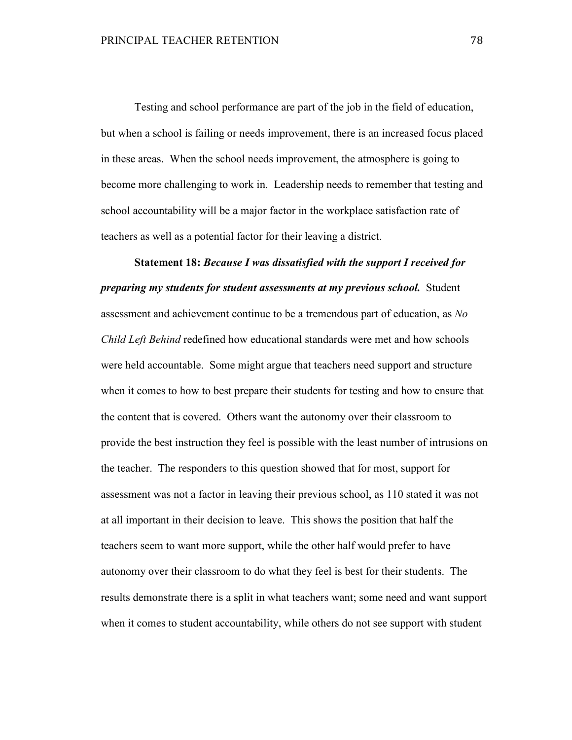Testing and school performance are part of the job in the field of education, but when a school is failing or needs improvement, there is an increased focus placed in these areas. When the school needs improvement, the atmosphere is going to become more challenging to work in. Leadership needs to remember that testing and school accountability will be a major factor in the workplace satisfaction rate of teachers as well as a potential factor for their leaving a district.

**Statement 18:** *Because I was dissatisfied with the support I received for preparing my students for student assessments at my previous school.* Student assessment and achievement continue to be a tremendous part of education, as *No Child Left Behind* redefined how educational standards were met and how schools were held accountable. Some might argue that teachers need support and structure when it comes to how to best prepare their students for testing and how to ensure that the content that is covered. Others want the autonomy over their classroom to provide the best instruction they feel is possible with the least number of intrusions on the teacher. The responders to this question showed that for most, support for assessment was not a factor in leaving their previous school, as 110 stated it was not at all important in their decision to leave. This shows the position that half the teachers seem to want more support, while the other half would prefer to have autonomy over their classroom to do what they feel is best for their students. The results demonstrate there is a split in what teachers want; some need and want support when it comes to student accountability, while others do not see support with student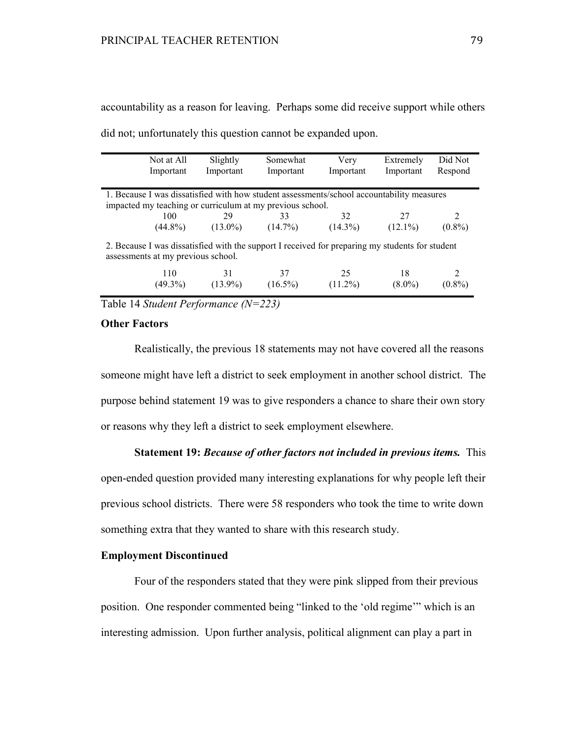|                                                                                                                                       | Not at All        | Slightly         | Somewhat                                                  | Very             | Extremely       | Did Not                     |
|---------------------------------------------------------------------------------------------------------------------------------------|-------------------|------------------|-----------------------------------------------------------|------------------|-----------------|-----------------------------|
|                                                                                                                                       | Important         | Important        | Important                                                 | Important        | Important       | Respond                     |
|                                                                                                                                       |                   |                  |                                                           |                  |                 |                             |
| 1. Because I was dissatisfied with how student assessments/school accountability measures                                             |                   |                  |                                                           |                  |                 |                             |
|                                                                                                                                       |                   |                  |                                                           |                  |                 |                             |
|                                                                                                                                       |                   |                  | impacted my teaching or curriculum at my previous school. |                  |                 |                             |
|                                                                                                                                       | 100               | 29               | 33                                                        | 32               | 27              | $\mathcal{D}_{\mathcal{A}}$ |
|                                                                                                                                       | $(44.8\%)$        | $(13.0\%)$       | $(14.7\%)$                                                | $(14.3\%)$       | $(12.1\%)$      | $(0.8\%)$                   |
| 2. Because I was dissatisfied with the support I received for preparing my students for student<br>assessments at my previous school. |                   |                  |                                                           |                  |                 |                             |
|                                                                                                                                       | 110<br>$(49.3\%)$ | 31<br>$(13.9\%)$ | 37<br>$(16.5\%)$                                          | 25<br>$(11.2\%)$ | 18<br>$(8.0\%)$ | 2<br>$(0.8\%)$              |
|                                                                                                                                       |                   |                  |                                                           |                  |                 |                             |

accountability as a reason for leaving. Perhaps some did receive support while others

did not; unfortunately this question cannot be expanded upon.

Table 14 *Student Performance (N=223)*

## **Other Factors**

Realistically, the previous 18 statements may not have covered all the reasons someone might have left a district to seek employment in another school district. The purpose behind statement 19 was to give responders a chance to share their own story or reasons why they left a district to seek employment elsewhere.

## **Statement 19:** *Because of other factors not included in previous items.* This

open-ended question provided many interesting explanations for why people left their previous school districts. There were 58 responders who took the time to write down something extra that they wanted to share with this research study.

## **Employment Discontinued**

Four of the responders stated that they were pink slipped from their previous position. One responder commented being "linked to the 'old regime'" which is an interesting admission. Upon further analysis, political alignment can play a part in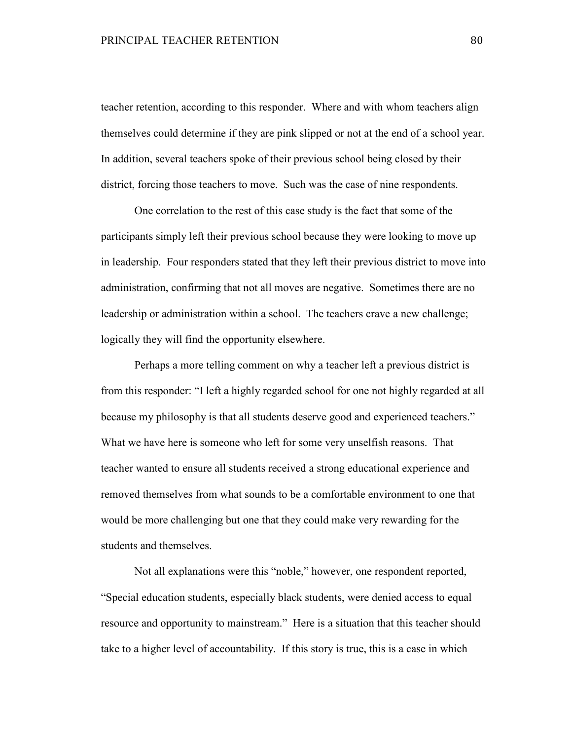teacher retention, according to this responder. Where and with whom teachers align themselves could determine if they are pink slipped or not at the end of a school year. In addition, several teachers spoke of their previous school being closed by their district, forcing those teachers to move. Such was the case of nine respondents.

 One correlation to the rest of this case study is the fact that some of the participants simply left their previous school because they were looking to move up in leadership. Four responders stated that they left their previous district to move into administration, confirming that not all moves are negative. Sometimes there are no leadership or administration within a school. The teachers crave a new challenge; logically they will find the opportunity elsewhere.

 Perhaps a more telling comment on why a teacher left a previous district is from this responder: "I left a highly regarded school for one not highly regarded at all because my philosophy is that all students deserve good and experienced teachers." What we have here is someone who left for some very unselfish reasons. That teacher wanted to ensure all students received a strong educational experience and removed themselves from what sounds to be a comfortable environment to one that would be more challenging but one that they could make very rewarding for the students and themselves.

 Not all explanations were this "noble," however, one respondent reported, "Special education students, especially black students, were denied access to equal resource and opportunity to mainstream." Here is a situation that this teacher should take to a higher level of accountability. If this story is true, this is a case in which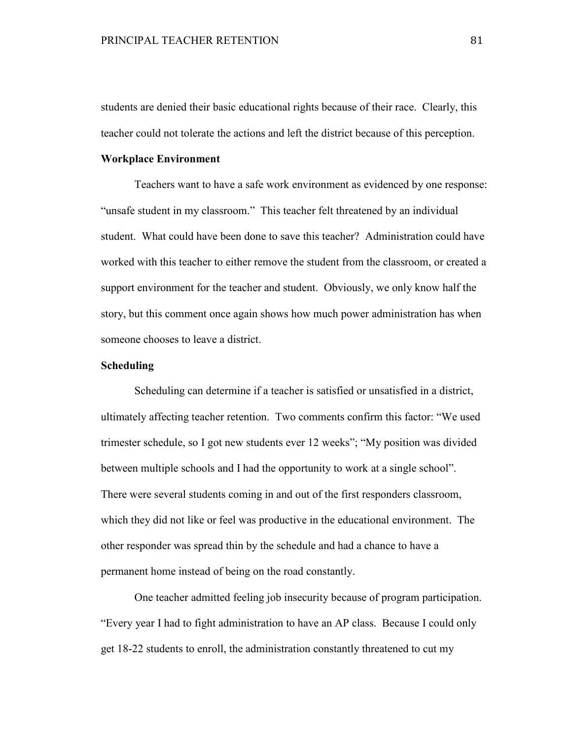students are denied their basic educational rights because of their race. Clearly, this teacher could not tolerate the actions and left the district because of this perception.

#### **Workplace Environment**

Teachers want to have a safe work environment as evidenced by one response: "unsafe student in my classroom." This teacher felt threatened by an individual student. What could have been done to save this teacher? Administration could have worked with this teacher to either remove the student from the classroom, or created a support environment for the teacher and student. Obviously, we only know half the story, but this comment once again shows how much power administration has when someone chooses to leave a district.

#### **Scheduling**

 Scheduling can determine if a teacher is satisfied or unsatisfied in a district, ultimately affecting teacher retention. Two comments confirm this factor: "We used trimester schedule, so I got new students ever 12 weeks"; "My position was divided between multiple schools and I had the opportunity to work at a single school". There were several students coming in and out of the first responders classroom, which they did not like or feel was productive in the educational environment. The other responder was spread thin by the schedule and had a chance to have a permanent home instead of being on the road constantly.

 One teacher admitted feeling job insecurity because of program participation. "Every year I had to fight administration to have an AP class. Because I could only get 18-22 students to enroll, the administration constantly threatened to cut my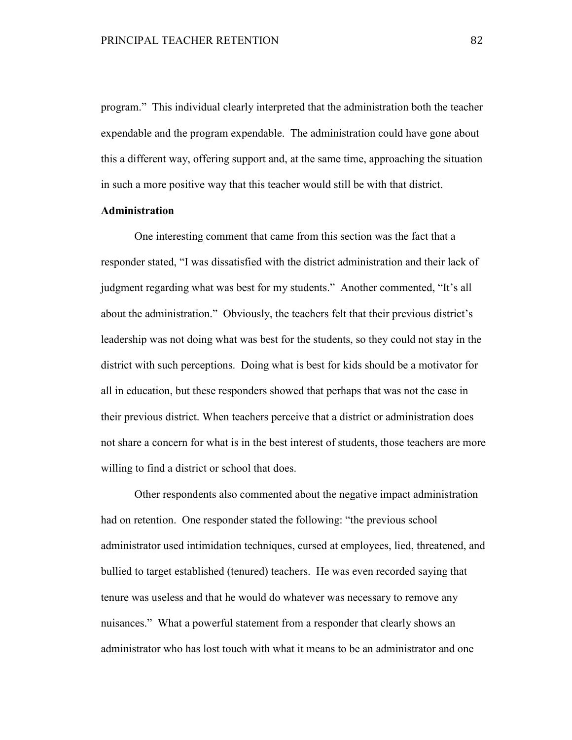program." This individual clearly interpreted that the administration both the teacher expendable and the program expendable. The administration could have gone about this a different way, offering support and, at the same time, approaching the situation in such a more positive way that this teacher would still be with that district.

## **Administration**

 One interesting comment that came from this section was the fact that a responder stated, "I was dissatisfied with the district administration and their lack of judgment regarding what was best for my students." Another commented, "It's all about the administration." Obviously, the teachers felt that their previous district's leadership was not doing what was best for the students, so they could not stay in the district with such perceptions. Doing what is best for kids should be a motivator for all in education, but these responders showed that perhaps that was not the case in their previous district. When teachers perceive that a district or administration does not share a concern for what is in the best interest of students, those teachers are more willing to find a district or school that does.

 Other respondents also commented about the negative impact administration had on retention. One responder stated the following: "the previous school administrator used intimidation techniques, cursed at employees, lied, threatened, and bullied to target established (tenured) teachers. He was even recorded saying that tenure was useless and that he would do whatever was necessary to remove any nuisances." What a powerful statement from a responder that clearly shows an administrator who has lost touch with what it means to be an administrator and one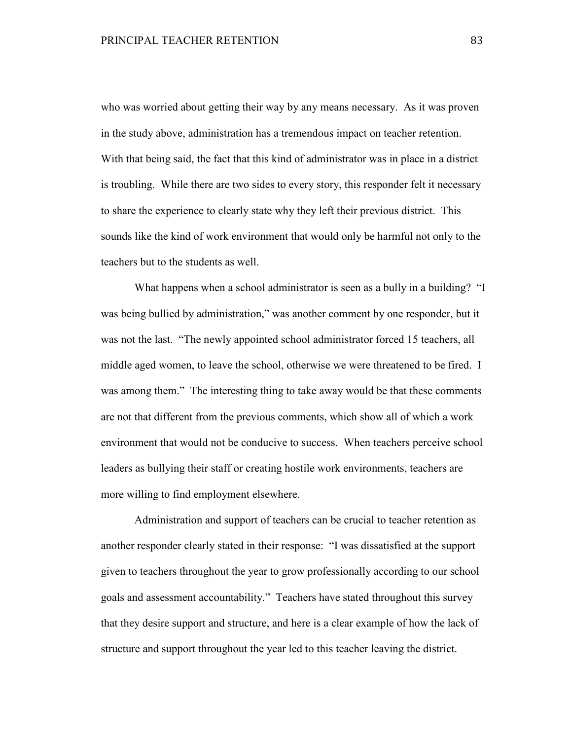who was worried about getting their way by any means necessary. As it was proven in the study above, administration has a tremendous impact on teacher retention. With that being said, the fact that this kind of administrator was in place in a district is troubling. While there are two sides to every story, this responder felt it necessary to share the experience to clearly state why they left their previous district. This sounds like the kind of work environment that would only be harmful not only to the teachers but to the students as well.

What happens when a school administrator is seen as a bully in a building? "I was being bullied by administration," was another comment by one responder, but it was not the last. "The newly appointed school administrator forced 15 teachers, all middle aged women, to leave the school, otherwise we were threatened to be fired. I was among them." The interesting thing to take away would be that these comments are not that different from the previous comments, which show all of which a work environment that would not be conducive to success. When teachers perceive school leaders as bullying their staff or creating hostile work environments, teachers are more willing to find employment elsewhere.

 Administration and support of teachers can be crucial to teacher retention as another responder clearly stated in their response: "I was dissatisfied at the support given to teachers throughout the year to grow professionally according to our school goals and assessment accountability." Teachers have stated throughout this survey that they desire support and structure, and here is a clear example of how the lack of structure and support throughout the year led to this teacher leaving the district.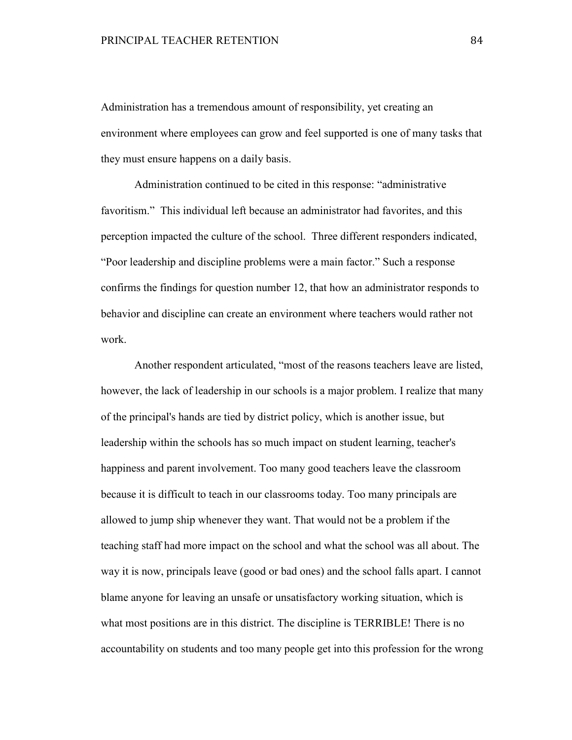Administration has a tremendous amount of responsibility, yet creating an environment where employees can grow and feel supported is one of many tasks that they must ensure happens on a daily basis.

 Administration continued to be cited in this response: "administrative favoritism." This individual left because an administrator had favorites, and this perception impacted the culture of the school. Three different responders indicated, "Poor leadership and discipline problems were a main factor." Such a response confirms the findings for question number 12, that how an administrator responds to behavior and discipline can create an environment where teachers would rather not work.

Another respondent articulated, "most of the reasons teachers leave are listed, however, the lack of leadership in our schools is a major problem. I realize that many of the principal's hands are tied by district policy, which is another issue, but leadership within the schools has so much impact on student learning, teacher's happiness and parent involvement. Too many good teachers leave the classroom because it is difficult to teach in our classrooms today. Too many principals are allowed to jump ship whenever they want. That would not be a problem if the teaching staff had more impact on the school and what the school was all about. The way it is now, principals leave (good or bad ones) and the school falls apart. I cannot blame anyone for leaving an unsafe or unsatisfactory working situation, which is what most positions are in this district. The discipline is TERRIBLE! There is no accountability on students and too many people get into this profession for the wrong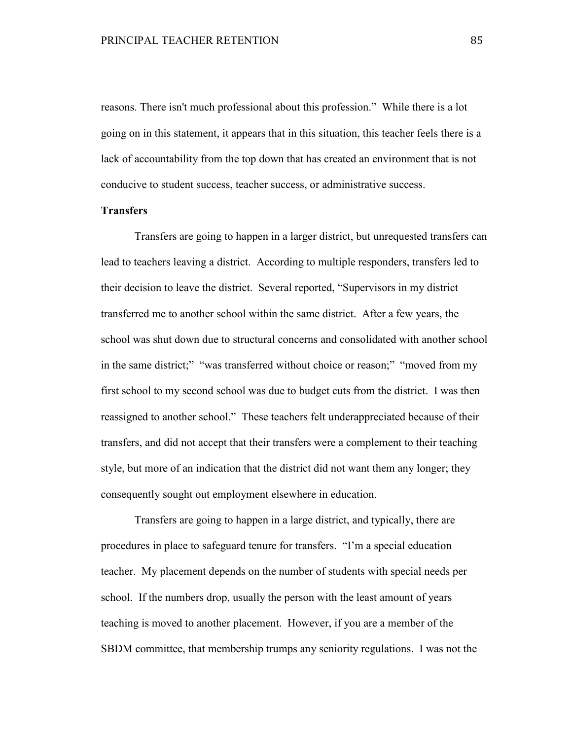reasons. There isn't much professional about this profession." While there is a lot going on in this statement, it appears that in this situation, this teacher feels there is a lack of accountability from the top down that has created an environment that is not conducive to student success, teacher success, or administrative success.

## **Transfers**

 Transfers are going to happen in a larger district, but unrequested transfers can lead to teachers leaving a district. According to multiple responders, transfers led to their decision to leave the district. Several reported, "Supervisors in my district transferred me to another school within the same district. After a few years, the school was shut down due to structural concerns and consolidated with another school in the same district;" "was transferred without choice or reason;" "moved from my first school to my second school was due to budget cuts from the district. I was then reassigned to another school." These teachers felt underappreciated because of their transfers, and did not accept that their transfers were a complement to their teaching style, but more of an indication that the district did not want them any longer; they consequently sought out employment elsewhere in education.

 Transfers are going to happen in a large district, and typically, there are procedures in place to safeguard tenure for transfers. "I'm a special education teacher. My placement depends on the number of students with special needs per school. If the numbers drop, usually the person with the least amount of years teaching is moved to another placement. However, if you are a member of the SBDM committee, that membership trumps any seniority regulations. I was not the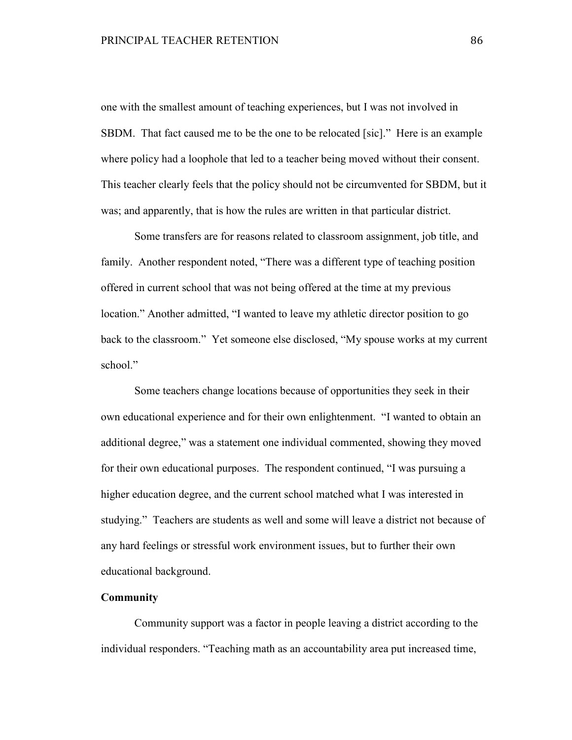one with the smallest amount of teaching experiences, but I was not involved in SBDM. That fact caused me to be the one to be relocated [sic]." Here is an example where policy had a loophole that led to a teacher being moved without their consent. This teacher clearly feels that the policy should not be circumvented for SBDM, but it was; and apparently, that is how the rules are written in that particular district.

 Some transfers are for reasons related to classroom assignment, job title, and family. Another respondent noted, "There was a different type of teaching position offered in current school that was not being offered at the time at my previous location." Another admitted, "I wanted to leave my athletic director position to go back to the classroom." Yet someone else disclosed, "My spouse works at my current school."

Some teachers change locations because of opportunities they seek in their own educational experience and for their own enlightenment. "I wanted to obtain an additional degree," was a statement one individual commented, showing they moved for their own educational purposes. The respondent continued, "I was pursuing a higher education degree, and the current school matched what I was interested in studying." Teachers are students as well and some will leave a district not because of any hard feelings or stressful work environment issues, but to further their own educational background.

# **Community**

Community support was a factor in people leaving a district according to the individual responders. "Teaching math as an accountability area put increased time,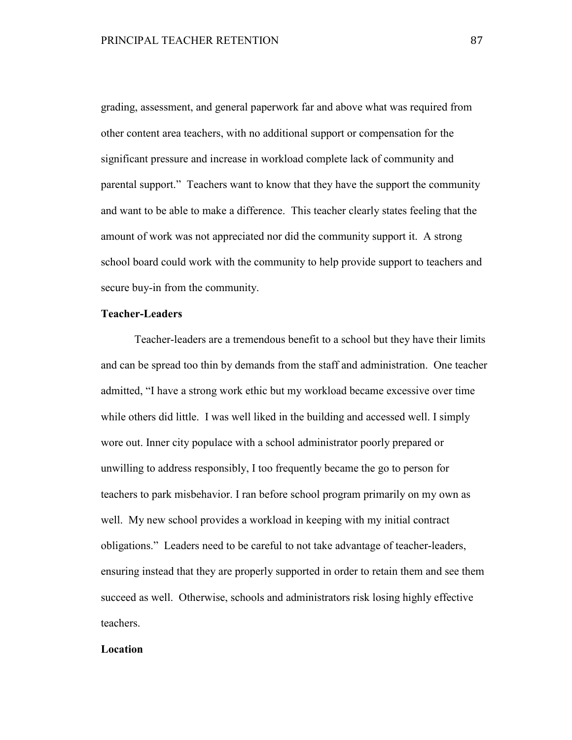grading, assessment, and general paperwork far and above what was required from other content area teachers, with no additional support or compensation for the significant pressure and increase in workload complete lack of community and parental support." Teachers want to know that they have the support the community and want to be able to make a difference. This teacher clearly states feeling that the amount of work was not appreciated nor did the community support it. A strong school board could work with the community to help provide support to teachers and secure buy-in from the community.

## **Teacher-Leaders**

Teacher-leaders are a tremendous benefit to a school but they have their limits and can be spread too thin by demands from the staff and administration. One teacher admitted, "I have a strong work ethic but my workload became excessive over time while others did little. I was well liked in the building and accessed well. I simply wore out. Inner city populace with a school administrator poorly prepared or unwilling to address responsibly, I too frequently became the go to person for teachers to park misbehavior. I ran before school program primarily on my own as well. My new school provides a workload in keeping with my initial contract obligations." Leaders need to be careful to not take advantage of teacher-leaders, ensuring instead that they are properly supported in order to retain them and see them succeed as well. Otherwise, schools and administrators risk losing highly effective teachers.

#### **Location**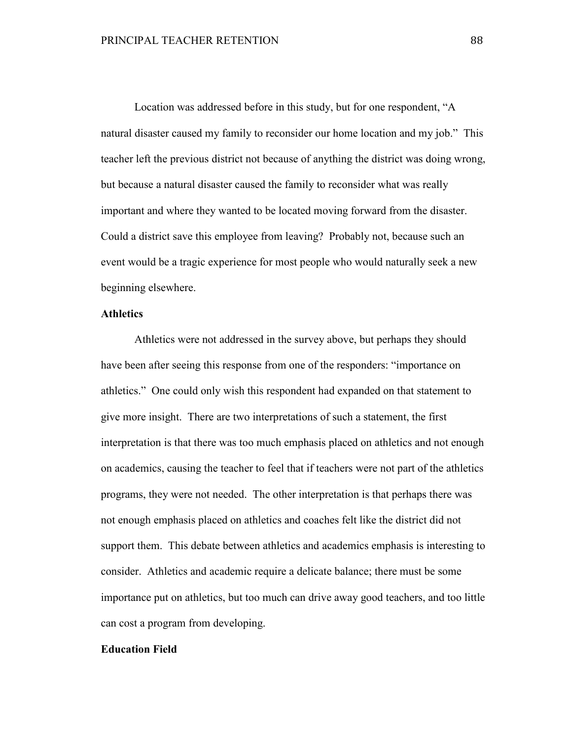Location was addressed before in this study, but for one respondent, "A natural disaster caused my family to reconsider our home location and my job." This teacher left the previous district not because of anything the district was doing wrong, but because a natural disaster caused the family to reconsider what was really important and where they wanted to be located moving forward from the disaster. Could a district save this employee from leaving? Probably not, because such an event would be a tragic experience for most people who would naturally seek a new beginning elsewhere.

## **Athletics**

Athletics were not addressed in the survey above, but perhaps they should have been after seeing this response from one of the responders: "importance on athletics." One could only wish this respondent had expanded on that statement to give more insight. There are two interpretations of such a statement, the first interpretation is that there was too much emphasis placed on athletics and not enough on academics, causing the teacher to feel that if teachers were not part of the athletics programs, they were not needed. The other interpretation is that perhaps there was not enough emphasis placed on athletics and coaches felt like the district did not support them. This debate between athletics and academics emphasis is interesting to consider. Athletics and academic require a delicate balance; there must be some importance put on athletics, but too much can drive away good teachers, and too little can cost a program from developing.

#### **Education Field**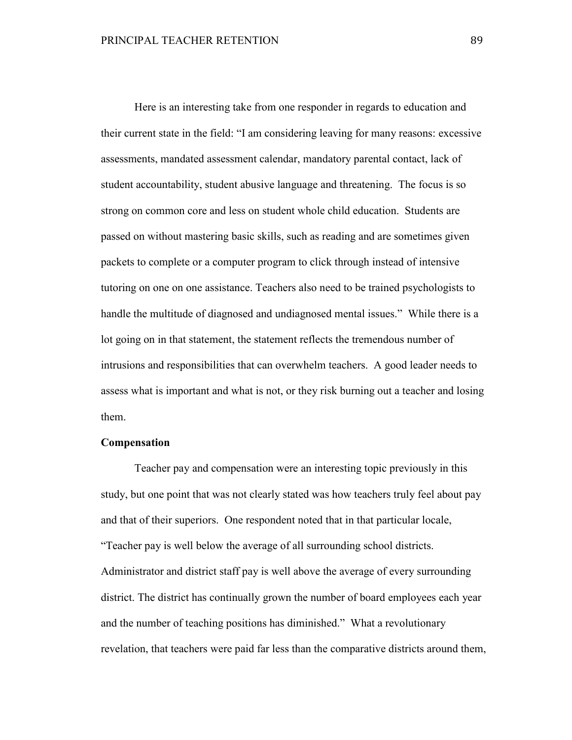Here is an interesting take from one responder in regards to education and their current state in the field: "I am considering leaving for many reasons: excessive assessments, mandated assessment calendar, mandatory parental contact, lack of student accountability, student abusive language and threatening. The focus is so strong on common core and less on student whole child education. Students are passed on without mastering basic skills, such as reading and are sometimes given packets to complete or a computer program to click through instead of intensive tutoring on one on one assistance. Teachers also need to be trained psychologists to handle the multitude of diagnosed and undiagnosed mental issues." While there is a lot going on in that statement, the statement reflects the tremendous number of intrusions and responsibilities that can overwhelm teachers. A good leader needs to assess what is important and what is not, or they risk burning out a teacher and losing them.

#### **Compensation**

Teacher pay and compensation were an interesting topic previously in this study, but one point that was not clearly stated was how teachers truly feel about pay and that of their superiors. One respondent noted that in that particular locale, "Teacher pay is well below the average of all surrounding school districts. Administrator and district staff pay is well above the average of every surrounding district. The district has continually grown the number of board employees each year and the number of teaching positions has diminished." What a revolutionary revelation, that teachers were paid far less than the comparative districts around them,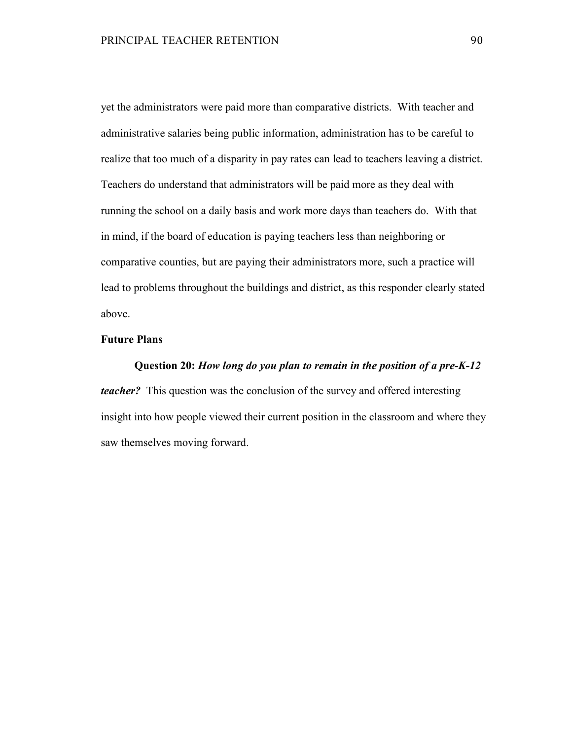yet the administrators were paid more than comparative districts. With teacher and administrative salaries being public information, administration has to be careful to realize that too much of a disparity in pay rates can lead to teachers leaving a district. Teachers do understand that administrators will be paid more as they deal with running the school on a daily basis and work more days than teachers do. With that in mind, if the board of education is paying teachers less than neighboring or comparative counties, but are paying their administrators more, such a practice will lead to problems throughout the buildings and district, as this responder clearly stated above.

# **Future Plans**

# **Question 20:** *How long do you plan to remain in the position of a pre-K-12 teacher?* This question was the conclusion of the survey and offered interesting insight into how people viewed their current position in the classroom and where they saw themselves moving forward.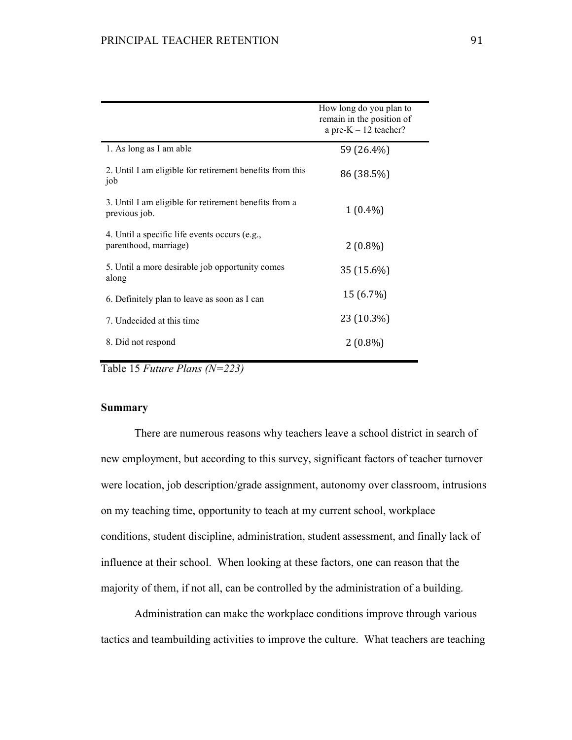|                                                                        | How long do you plan to<br>remain in the position of<br>a pre- $K - 12$ teacher? |
|------------------------------------------------------------------------|----------------------------------------------------------------------------------|
| 1. As long as I am able                                                | 59 (26.4%)                                                                       |
| 2. Until I am eligible for retirement benefits from this<br>job        | 86 (38.5%)                                                                       |
| 3. Until I am eligible for retirement benefits from a<br>previous job. | $1(0.4\%)$                                                                       |
| 4. Until a specific life events occurs (e.g.,<br>parenthood, marriage) | $2(0.8\%)$                                                                       |
| 5. Until a more desirable job opportunity comes<br>along               | 35 (15.6%)                                                                       |
| 6. Definitely plan to leave as soon as I can                           | 15 (6.7%)                                                                        |
| 7. Undecided at this time                                              | 23 (10.3%)                                                                       |
| 8. Did not respond                                                     | $2(0.8\%)$                                                                       |

Table 15 *Future Plans (N=223)* 

## **Summary**

 There are numerous reasons why teachers leave a school district in search of new employment, but according to this survey, significant factors of teacher turnover were location, job description/grade assignment, autonomy over classroom, intrusions on my teaching time, opportunity to teach at my current school, workplace conditions, student discipline, administration, student assessment, and finally lack of influence at their school. When looking at these factors, one can reason that the majority of them, if not all, can be controlled by the administration of a building.

 Administration can make the workplace conditions improve through various tactics and teambuilding activities to improve the culture. What teachers are teaching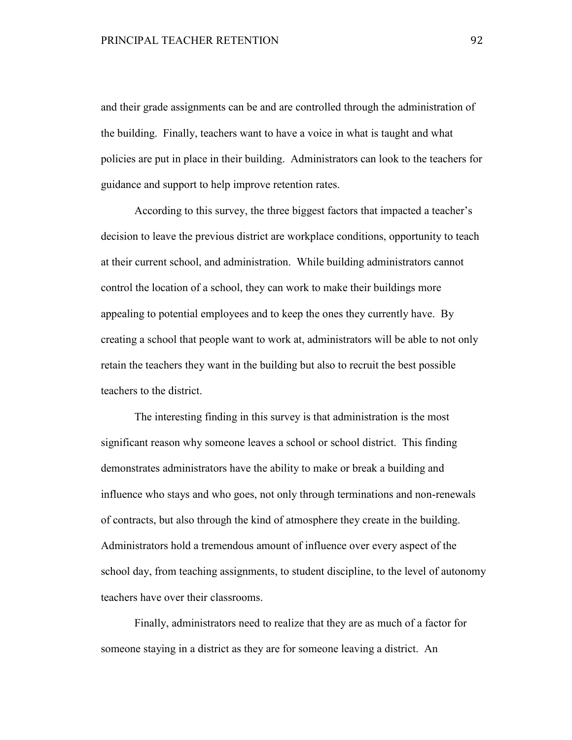and their grade assignments can be and are controlled through the administration of the building. Finally, teachers want to have a voice in what is taught and what policies are put in place in their building. Administrators can look to the teachers for guidance and support to help improve retention rates.

 According to this survey, the three biggest factors that impacted a teacher's decision to leave the previous district are workplace conditions, opportunity to teach at their current school, and administration. While building administrators cannot control the location of a school, they can work to make their buildings more appealing to potential employees and to keep the ones they currently have. By creating a school that people want to work at, administrators will be able to not only retain the teachers they want in the building but also to recruit the best possible teachers to the district.

The interesting finding in this survey is that administration is the most significant reason why someone leaves a school or school district. This finding demonstrates administrators have the ability to make or break a building and influence who stays and who goes, not only through terminations and non-renewals of contracts, but also through the kind of atmosphere they create in the building. Administrators hold a tremendous amount of influence over every aspect of the school day, from teaching assignments, to student discipline, to the level of autonomy teachers have over their classrooms.

Finally, administrators need to realize that they are as much of a factor for someone staying in a district as they are for someone leaving a district. An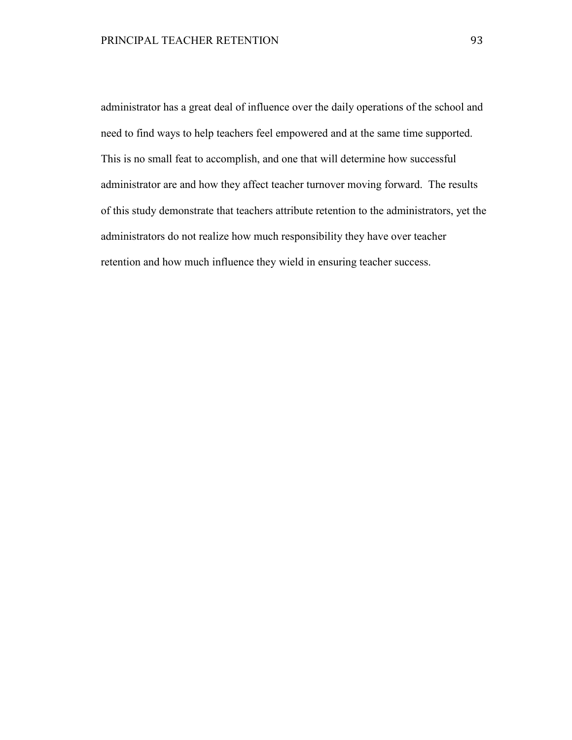administrator has a great deal of influence over the daily operations of the school and need to find ways to help teachers feel empowered and at the same time supported. This is no small feat to accomplish, and one that will determine how successful administrator are and how they affect teacher turnover moving forward. The results of this study demonstrate that teachers attribute retention to the administrators, yet the administrators do not realize how much responsibility they have over teacher retention and how much influence they wield in ensuring teacher success.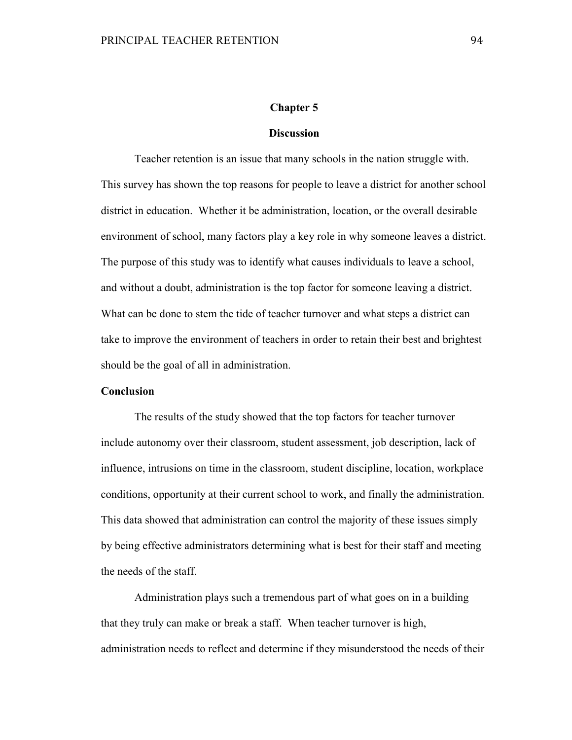## **Chapter 5**

#### **Discussion**

Teacher retention is an issue that many schools in the nation struggle with. This survey has shown the top reasons for people to leave a district for another school district in education. Whether it be administration, location, or the overall desirable environment of school, many factors play a key role in why someone leaves a district. The purpose of this study was to identify what causes individuals to leave a school, and without a doubt, administration is the top factor for someone leaving a district. What can be done to stem the tide of teacher turnover and what steps a district can take to improve the environment of teachers in order to retain their best and brightest should be the goal of all in administration.

#### **Conclusion**

The results of the study showed that the top factors for teacher turnover include autonomy over their classroom, student assessment, job description, lack of influence, intrusions on time in the classroom, student discipline, location, workplace conditions, opportunity at their current school to work, and finally the administration. This data showed that administration can control the majority of these issues simply by being effective administrators determining what is best for their staff and meeting the needs of the staff.

Administration plays such a tremendous part of what goes on in a building that they truly can make or break a staff. When teacher turnover is high, administration needs to reflect and determine if they misunderstood the needs of their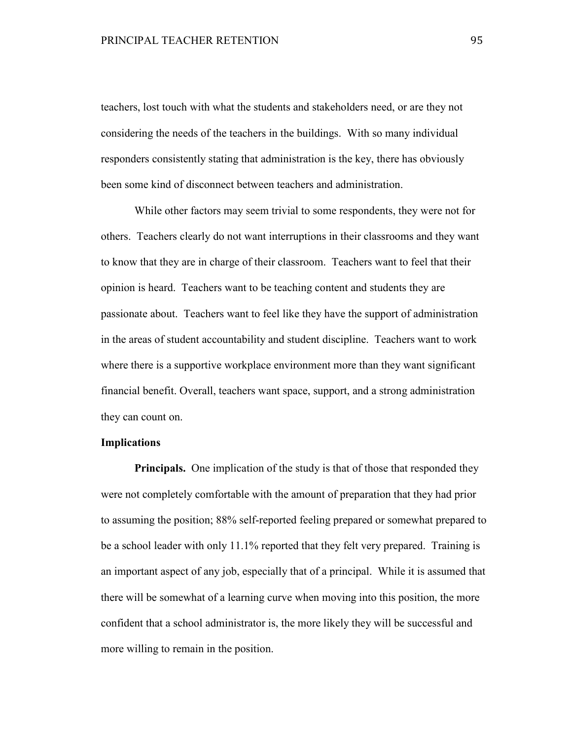teachers, lost touch with what the students and stakeholders need, or are they not considering the needs of the teachers in the buildings. With so many individual responders consistently stating that administration is the key, there has obviously been some kind of disconnect between teachers and administration.

While other factors may seem trivial to some respondents, they were not for others. Teachers clearly do not want interruptions in their classrooms and they want to know that they are in charge of their classroom. Teachers want to feel that their opinion is heard. Teachers want to be teaching content and students they are passionate about. Teachers want to feel like they have the support of administration in the areas of student accountability and student discipline. Teachers want to work where there is a supportive workplace environment more than they want significant financial benefit. Overall, teachers want space, support, and a strong administration they can count on.

## **Implications**

**Principals.** One implication of the study is that of those that responded they were not completely comfortable with the amount of preparation that they had prior to assuming the position; 88% self-reported feeling prepared or somewhat prepared to be a school leader with only 11.1% reported that they felt very prepared. Training is an important aspect of any job, especially that of a principal. While it is assumed that there will be somewhat of a learning curve when moving into this position, the more confident that a school administrator is, the more likely they will be successful and more willing to remain in the position.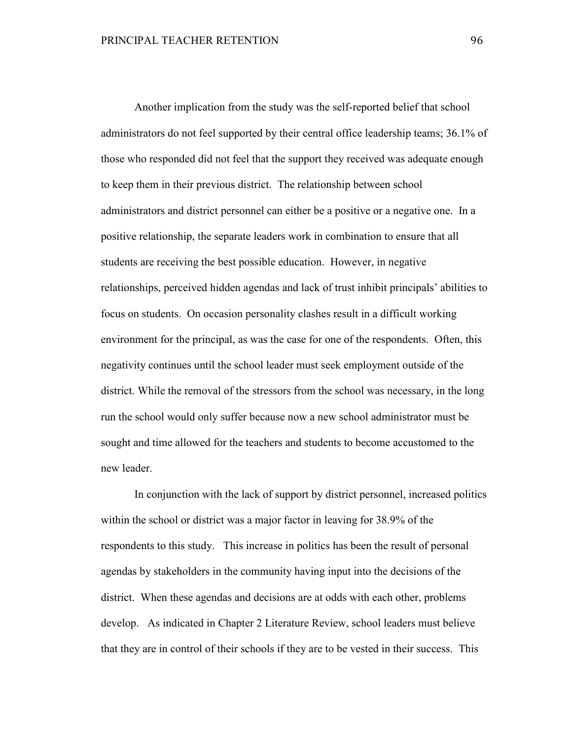Another implication from the study was the self-reported belief that school administrators do not feel supported by their central office leadership teams; 36.1% of those who responded did not feel that the support they received was adequate enough to keep them in their previous district. The relationship between school administrators and district personnel can either be a positive or a negative one. In a positive relationship, the separate leaders work in combination to ensure that all students are receiving the best possible education. However, in negative relationships, perceived hidden agendas and lack of trust inhibit principals' abilities to focus on students. On occasion personality clashes result in a difficult working environment for the principal, as was the case for one of the respondents. Often, this negativity continues until the school leader must seek employment outside of the district. While the removal of the stressors from the school was necessary, in the long run the school would only suffer because now a new school administrator must be sought and time allowed for the teachers and students to become accustomed to the new leader.

 In conjunction with the lack of support by district personnel, increased politics within the school or district was a major factor in leaving for 38.9% of the respondents to this study. This increase in politics has been the result of personal agendas by stakeholders in the community having input into the decisions of the district. When these agendas and decisions are at odds with each other, problems develop. As indicated in Chapter 2 Literature Review, school leaders must believe that they are in control of their schools if they are to be vested in their success. This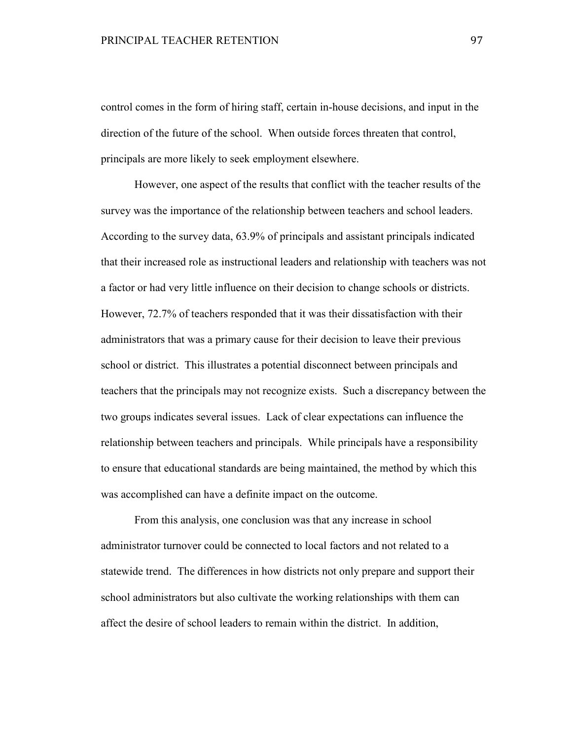control comes in the form of hiring staff, certain in-house decisions, and input in the direction of the future of the school. When outside forces threaten that control, principals are more likely to seek employment elsewhere.

However, one aspect of the results that conflict with the teacher results of the survey was the importance of the relationship between teachers and school leaders. According to the survey data, 63.9% of principals and assistant principals indicated that their increased role as instructional leaders and relationship with teachers was not a factor or had very little influence on their decision to change schools or districts. However, 72.7% of teachers responded that it was their dissatisfaction with their administrators that was a primary cause for their decision to leave their previous school or district. This illustrates a potential disconnect between principals and teachers that the principals may not recognize exists. Such a discrepancy between the two groups indicates several issues. Lack of clear expectations can influence the relationship between teachers and principals. While principals have a responsibility to ensure that educational standards are being maintained, the method by which this was accomplished can have a definite impact on the outcome.

From this analysis, one conclusion was that any increase in school administrator turnover could be connected to local factors and not related to a statewide trend. The differences in how districts not only prepare and support their school administrators but also cultivate the working relationships with them can affect the desire of school leaders to remain within the district. In addition,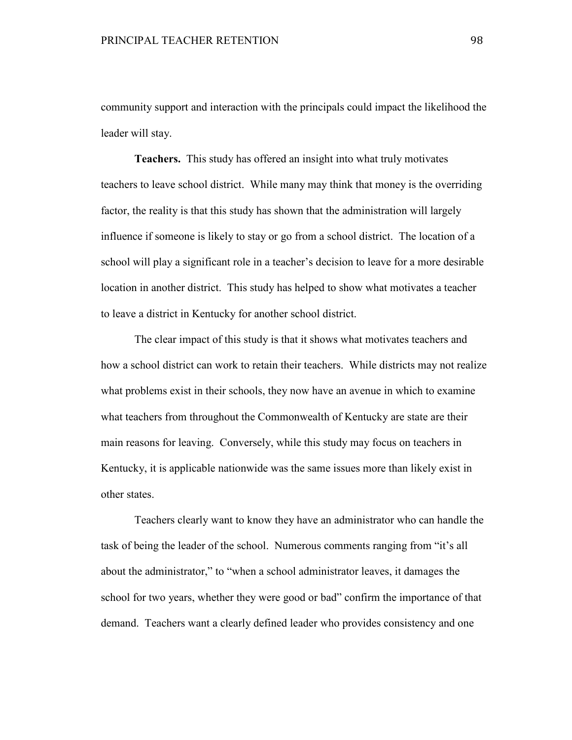community support and interaction with the principals could impact the likelihood the leader will stay.

 **Teachers.** This study has offered an insight into what truly motivates teachers to leave school district. While many may think that money is the overriding factor, the reality is that this study has shown that the administration will largely influence if someone is likely to stay or go from a school district. The location of a school will play a significant role in a teacher's decision to leave for a more desirable location in another district. This study has helped to show what motivates a teacher to leave a district in Kentucky for another school district.

The clear impact of this study is that it shows what motivates teachers and how a school district can work to retain their teachers. While districts may not realize what problems exist in their schools, they now have an avenue in which to examine what teachers from throughout the Commonwealth of Kentucky are state are their main reasons for leaving. Conversely, while this study may focus on teachers in Kentucky, it is applicable nationwide was the same issues more than likely exist in other states.

Teachers clearly want to know they have an administrator who can handle the task of being the leader of the school. Numerous comments ranging from "it's all about the administrator," to "when a school administrator leaves, it damages the school for two years, whether they were good or bad" confirm the importance of that demand. Teachers want a clearly defined leader who provides consistency and one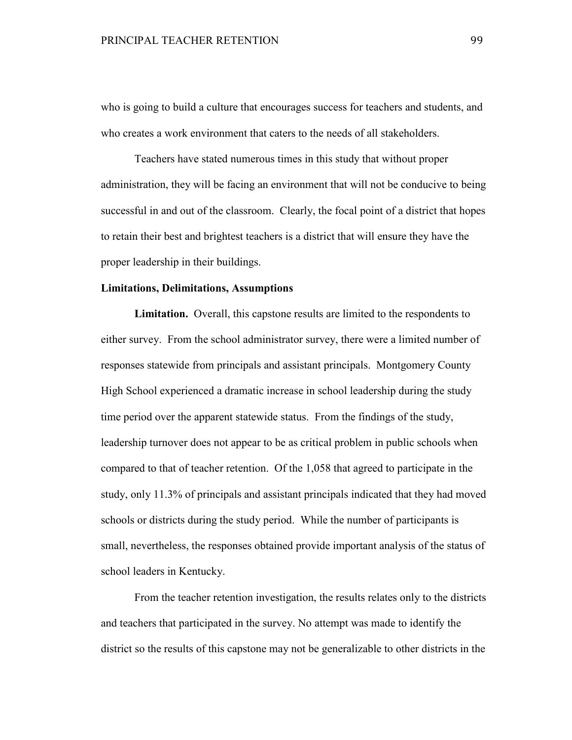who is going to build a culture that encourages success for teachers and students, and who creates a work environment that caters to the needs of all stakeholders.

Teachers have stated numerous times in this study that without proper administration, they will be facing an environment that will not be conducive to being successful in and out of the classroom. Clearly, the focal point of a district that hopes to retain their best and brightest teachers is a district that will ensure they have the proper leadership in their buildings.

#### **Limitations, Delimitations, Assumptions**

**Limitation.** Overall, this capstone results are limited to the respondents to either survey. From the school administrator survey, there were a limited number of responses statewide from principals and assistant principals. Montgomery County High School experienced a dramatic increase in school leadership during the study time period over the apparent statewide status. From the findings of the study, leadership turnover does not appear to be as critical problem in public schools when compared to that of teacher retention. Of the 1,058 that agreed to participate in the study, only 11.3% of principals and assistant principals indicated that they had moved schools or districts during the study period. While the number of participants is small, nevertheless, the responses obtained provide important analysis of the status of school leaders in Kentucky.

From the teacher retention investigation, the results relates only to the districts and teachers that participated in the survey. No attempt was made to identify the district so the results of this capstone may not be generalizable to other districts in the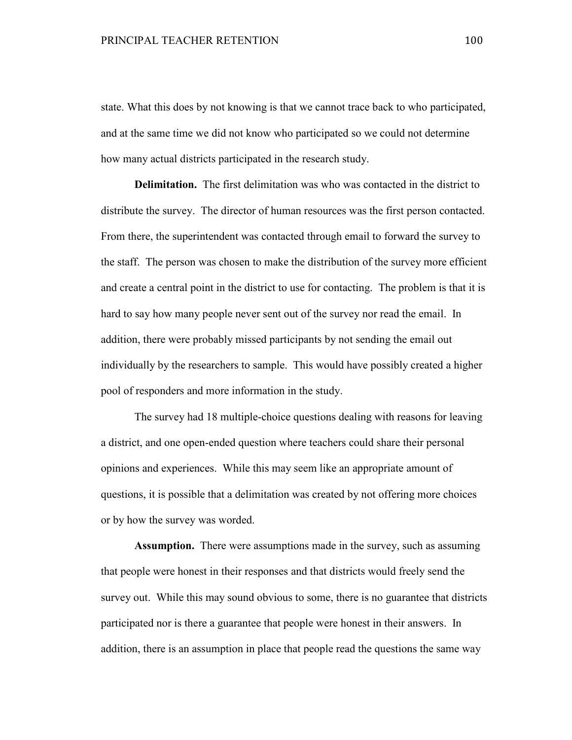state. What this does by not knowing is that we cannot trace back to who participated, and at the same time we did not know who participated so we could not determine how many actual districts participated in the research study.

**Delimitation.** The first delimitation was who was contacted in the district to distribute the survey. The director of human resources was the first person contacted. From there, the superintendent was contacted through email to forward the survey to the staff. The person was chosen to make the distribution of the survey more efficient and create a central point in the district to use for contacting. The problem is that it is hard to say how many people never sent out of the survey nor read the email. In addition, there were probably missed participants by not sending the email out individually by the researchers to sample. This would have possibly created a higher pool of responders and more information in the study.

 The survey had 18 multiple-choice questions dealing with reasons for leaving a district, and one open-ended question where teachers could share their personal opinions and experiences. While this may seem like an appropriate amount of questions, it is possible that a delimitation was created by not offering more choices or by how the survey was worded.

**Assumption.** There were assumptions made in the survey, such as assuming that people were honest in their responses and that districts would freely send the survey out. While this may sound obvious to some, there is no guarantee that districts participated nor is there a guarantee that people were honest in their answers. In addition, there is an assumption in place that people read the questions the same way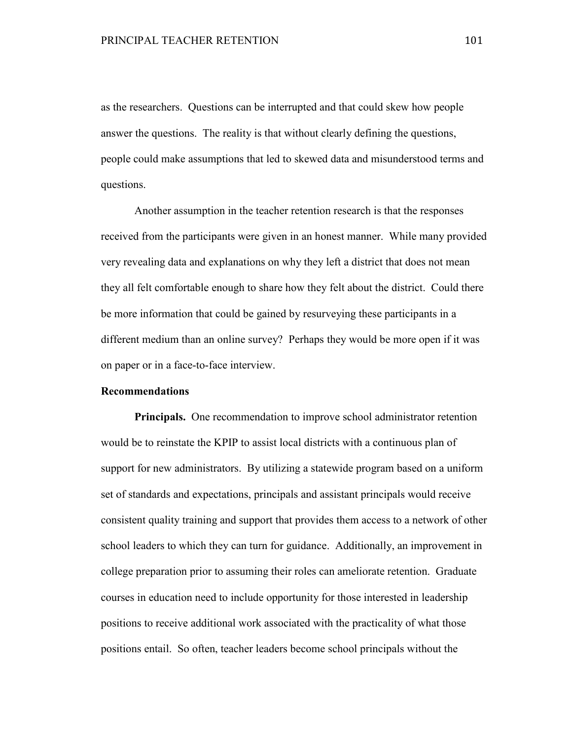as the researchers. Questions can be interrupted and that could skew how people answer the questions. The reality is that without clearly defining the questions, people could make assumptions that led to skewed data and misunderstood terms and questions.

Another assumption in the teacher retention research is that the responses received from the participants were given in an honest manner. While many provided very revealing data and explanations on why they left a district that does not mean they all felt comfortable enough to share how they felt about the district. Could there be more information that could be gained by resurveying these participants in a different medium than an online survey? Perhaps they would be more open if it was on paper or in a face-to-face interview.

## **Recommendations**

**Principals.** One recommendation to improve school administrator retention would be to reinstate the KPIP to assist local districts with a continuous plan of support for new administrators. By utilizing a statewide program based on a uniform set of standards and expectations, principals and assistant principals would receive consistent quality training and support that provides them access to a network of other school leaders to which they can turn for guidance. Additionally, an improvement in college preparation prior to assuming their roles can ameliorate retention. Graduate courses in education need to include opportunity for those interested in leadership positions to receive additional work associated with the practicality of what those positions entail. So often, teacher leaders become school principals without the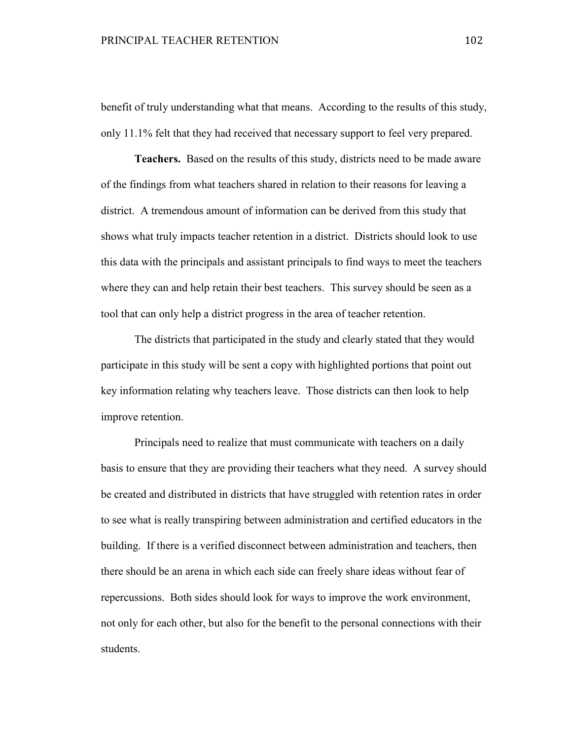benefit of truly understanding what that means. According to the results of this study, only 11.1% felt that they had received that necessary support to feel very prepared.

**Teachers.** Based on the results of this study, districts need to be made aware of the findings from what teachers shared in relation to their reasons for leaving a district. A tremendous amount of information can be derived from this study that shows what truly impacts teacher retention in a district. Districts should look to use this data with the principals and assistant principals to find ways to meet the teachers where they can and help retain their best teachers. This survey should be seen as a tool that can only help a district progress in the area of teacher retention.

The districts that participated in the study and clearly stated that they would participate in this study will be sent a copy with highlighted portions that point out key information relating why teachers leave. Those districts can then look to help improve retention.

Principals need to realize that must communicate with teachers on a daily basis to ensure that they are providing their teachers what they need. A survey should be created and distributed in districts that have struggled with retention rates in order to see what is really transpiring between administration and certified educators in the building. If there is a verified disconnect between administration and teachers, then there should be an arena in which each side can freely share ideas without fear of repercussions. Both sides should look for ways to improve the work environment, not only for each other, but also for the benefit to the personal connections with their students.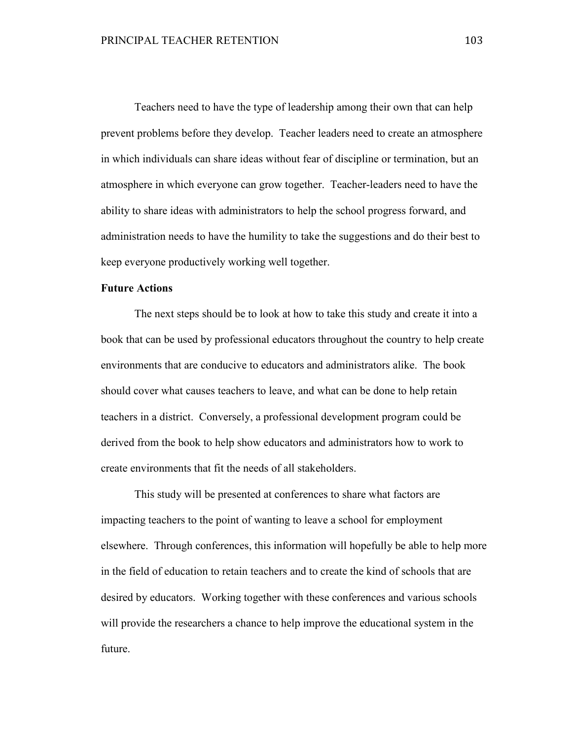Teachers need to have the type of leadership among their own that can help prevent problems before they develop. Teacher leaders need to create an atmosphere in which individuals can share ideas without fear of discipline or termination, but an atmosphere in which everyone can grow together. Teacher-leaders need to have the ability to share ideas with administrators to help the school progress forward, and administration needs to have the humility to take the suggestions and do their best to keep everyone productively working well together.

## **Future Actions**

 The next steps should be to look at how to take this study and create it into a book that can be used by professional educators throughout the country to help create environments that are conducive to educators and administrators alike. The book should cover what causes teachers to leave, and what can be done to help retain teachers in a district. Conversely, a professional development program could be derived from the book to help show educators and administrators how to work to create environments that fit the needs of all stakeholders.

 This study will be presented at conferences to share what factors are impacting teachers to the point of wanting to leave a school for employment elsewhere. Through conferences, this information will hopefully be able to help more in the field of education to retain teachers and to create the kind of schools that are desired by educators. Working together with these conferences and various schools will provide the researchers a chance to help improve the educational system in the future.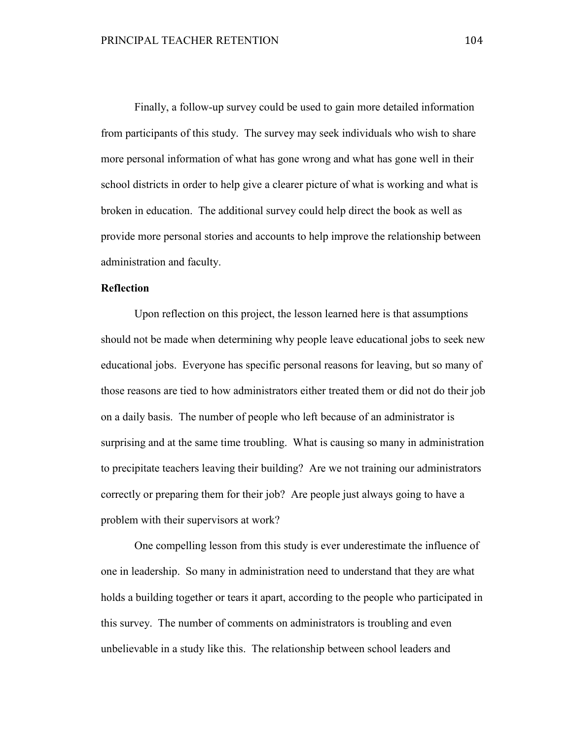Finally, a follow-up survey could be used to gain more detailed information from participants of this study. The survey may seek individuals who wish to share more personal information of what has gone wrong and what has gone well in their school districts in order to help give a clearer picture of what is working and what is broken in education. The additional survey could help direct the book as well as provide more personal stories and accounts to help improve the relationship between administration and faculty.

## **Reflection**

Upon reflection on this project, the lesson learned here is that assumptions should not be made when determining why people leave educational jobs to seek new educational jobs. Everyone has specific personal reasons for leaving, but so many of those reasons are tied to how administrators either treated them or did not do their job on a daily basis. The number of people who left because of an administrator is surprising and at the same time troubling. What is causing so many in administration to precipitate teachers leaving their building? Are we not training our administrators correctly or preparing them for their job? Are people just always going to have a problem with their supervisors at work?

One compelling lesson from this study is ever underestimate the influence of one in leadership. So many in administration need to understand that they are what holds a building together or tears it apart, according to the people who participated in this survey. The number of comments on administrators is troubling and even unbelievable in a study like this. The relationship between school leaders and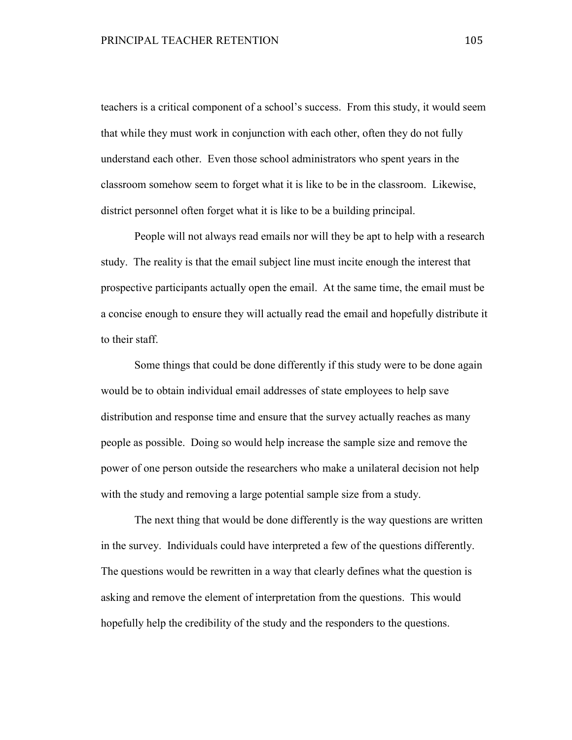teachers is a critical component of a school's success. From this study, it would seem that while they must work in conjunction with each other, often they do not fully understand each other. Even those school administrators who spent years in the classroom somehow seem to forget what it is like to be in the classroom. Likewise, district personnel often forget what it is like to be a building principal.

People will not always read emails nor will they be apt to help with a research study. The reality is that the email subject line must incite enough the interest that prospective participants actually open the email. At the same time, the email must be a concise enough to ensure they will actually read the email and hopefully distribute it to their staff.

Some things that could be done differently if this study were to be done again would be to obtain individual email addresses of state employees to help save distribution and response time and ensure that the survey actually reaches as many people as possible. Doing so would help increase the sample size and remove the power of one person outside the researchers who make a unilateral decision not help with the study and removing a large potential sample size from a study.

The next thing that would be done differently is the way questions are written in the survey. Individuals could have interpreted a few of the questions differently. The questions would be rewritten in a way that clearly defines what the question is asking and remove the element of interpretation from the questions. This would hopefully help the credibility of the study and the responders to the questions.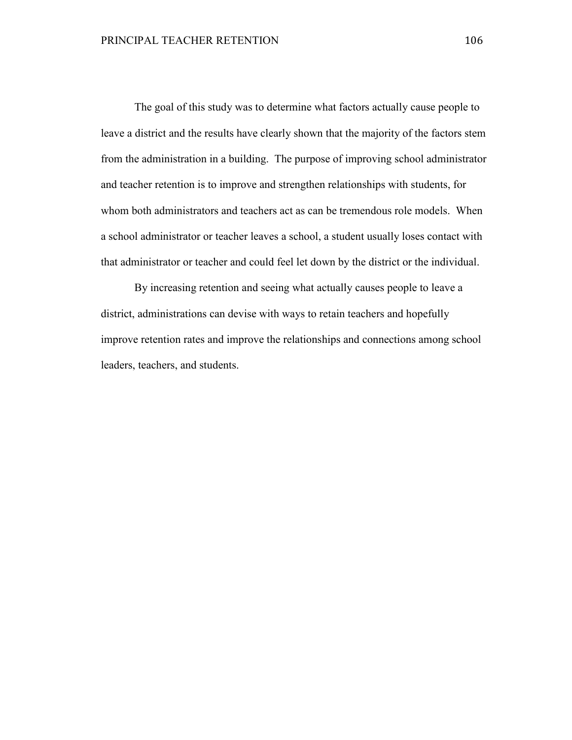The goal of this study was to determine what factors actually cause people to leave a district and the results have clearly shown that the majority of the factors stem from the administration in a building. The purpose of improving school administrator and teacher retention is to improve and strengthen relationships with students, for whom both administrators and teachers act as can be tremendous role models. When a school administrator or teacher leaves a school, a student usually loses contact with that administrator or teacher and could feel let down by the district or the individual.

 By increasing retention and seeing what actually causes people to leave a district, administrations can devise with ways to retain teachers and hopefully improve retention rates and improve the relationships and connections among school leaders, teachers, and students.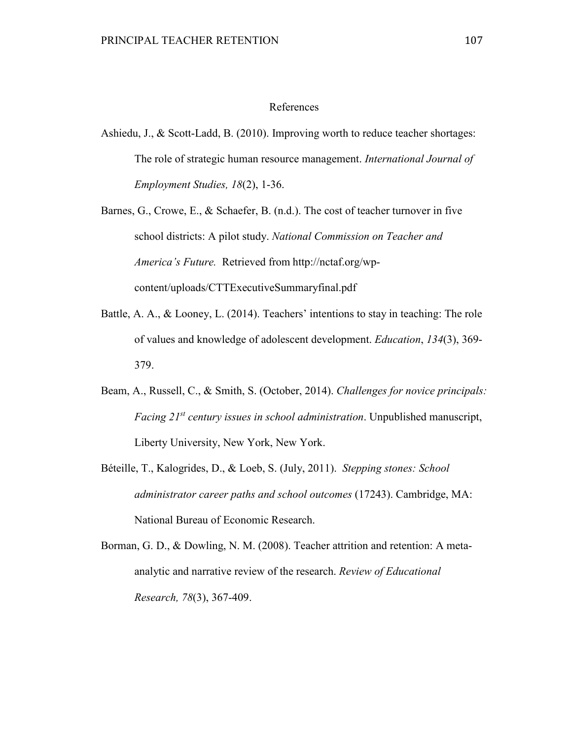### References

Ashiedu, J., & Scott-Ladd, B. (2010). Improving worth to reduce teacher shortages: The role of strategic human resource management. *International Journal of Employment Studies, 18*(2), 1-36.

Barnes, G., Crowe, E., & Schaefer, B. (n.d.). The cost of teacher turnover in five school districts: A pilot study. *National Commission on Teacher and America's Future.* Retrieved from http://nctaf.org/wpcontent/uploads/CTTExecutiveSummaryfinal.pdf

- Battle, A. A., & Looney, L. (2014). Teachers' intentions to stay in teaching: The role of values and knowledge of adolescent development. *Education*, *134*(3), 369- 379.
- Beam, A., Russell, C., & Smith, S. (October, 2014). *Challenges for novice principals: Facing 21st century issues in school administration*. Unpublished manuscript, Liberty University, New York, New York.
- Béteille, T., Kalogrides, D., & Loeb, S. (July, 2011). *Stepping stones: School administrator career paths and school outcomes* (17243). Cambridge, MA: National Bureau of Economic Research.
- Borman, G. D., & Dowling, N. M. (2008). Teacher attrition and retention: A metaanalytic and narrative review of the research. *Review of Educational Research, 78*(3), 367-409.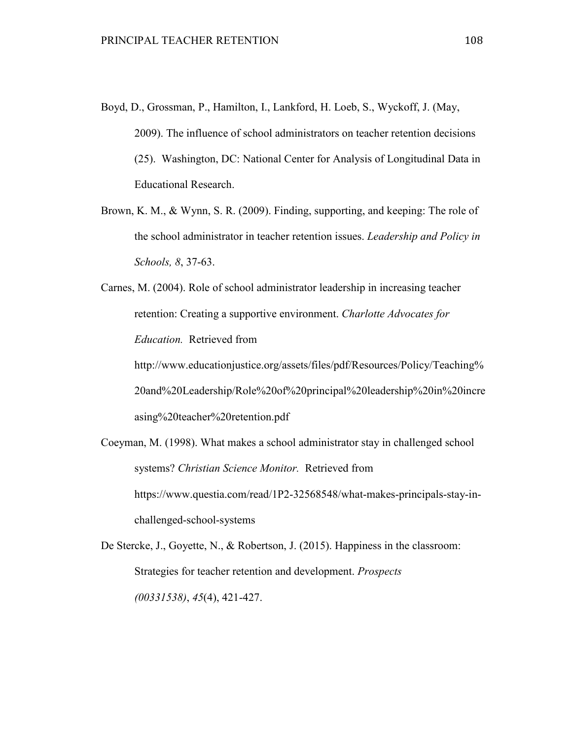- Boyd, D., Grossman, P., Hamilton, I., Lankford, H. Loeb, S., Wyckoff, J. (May, 2009). The influence of school administrators on teacher retention decisions (25). Washington, DC: National Center for Analysis of Longitudinal Data in Educational Research.
- Brown, K. M., & Wynn, S. R. (2009). Finding, supporting, and keeping: The role of the school administrator in teacher retention issues. *Leadership and Policy in Schools, 8*, 37-63.

Carnes, M. (2004). Role of school administrator leadership in increasing teacher retention: Creating a supportive environment. *Charlotte Advocates for Education.* Retrieved from http://www.educationjustice.org/assets/files/pdf/Resources/Policy/Teaching% 20and%20Leadership/Role%20of%20principal%20leadership%20in%20incre asing%20teacher%20retention.pdf

Coeyman, M. (1998). What makes a school administrator stay in challenged school systems? *Christian Science Monitor.* Retrieved from https://www.questia.com/read/1P2-32568548/what-makes-principals-stay-inchallenged-school-systems

De Stercke, J., Goyette, N., & Robertson, J. (2015). Happiness in the classroom: Strategies for teacher retention and development. *Prospects (00331538)*, *45*(4), 421-427.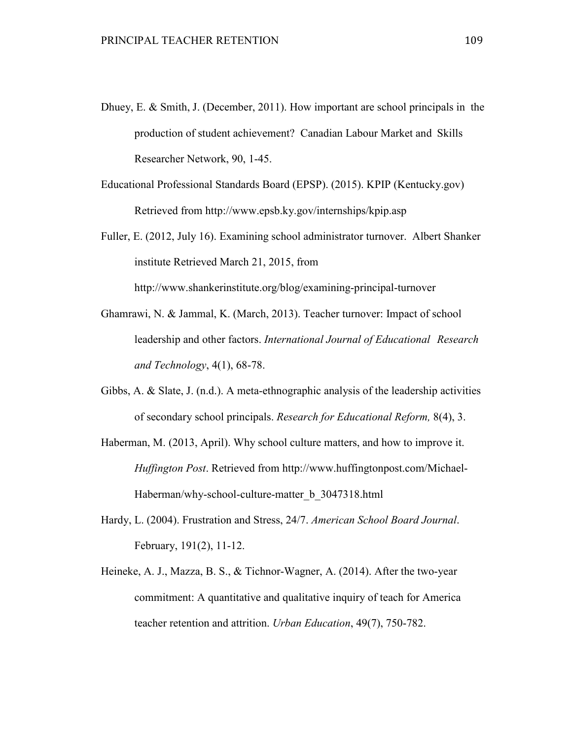- Dhuey, E. & Smith, J. (December, 2011). How important are school principals in the production of student achievement? Canadian Labour Market and Skills Researcher Network, 90, 1-45.
- Educational Professional Standards Board (EPSP). (2015). KPIP (Kentucky.gov) Retrieved from http://www.epsb.ky.gov/internships/kpip.asp
- Fuller, E. (2012, July 16). Examining school administrator turnover. Albert Shanker institute Retrieved March 21, 2015, from http://www.shankerinstitute.org/blog/examining-principal-turnover
- Ghamrawi, N. & Jammal, K. (March, 2013). Teacher turnover: Impact of school leadership and other factors. *International Journal of Educational Research and Technology*, 4(1), 68-78.
- Gibbs, A. & Slate, J. (n.d.). A meta-ethnographic analysis of the leadership activities of secondary school principals. *Research for Educational Reform,* 8(4), 3.
- Haberman, M. (2013, April). Why school culture matters, and how to improve it. *Huffington Post*. Retrieved from http://www.huffingtonpost.com/Michael-Haberman/why-school-culture-matter\_b\_3047318.html
- Hardy, L. (2004). Frustration and Stress, 24/7. *American School Board Journal*. February, 191(2), 11-12.
- Heineke, A. J., Mazza, B. S., & Tichnor-Wagner, A. (2014). After the two-year commitment: A quantitative and qualitative inquiry of teach for America teacher retention and attrition. *Urban Education*, 49(7), 750-782.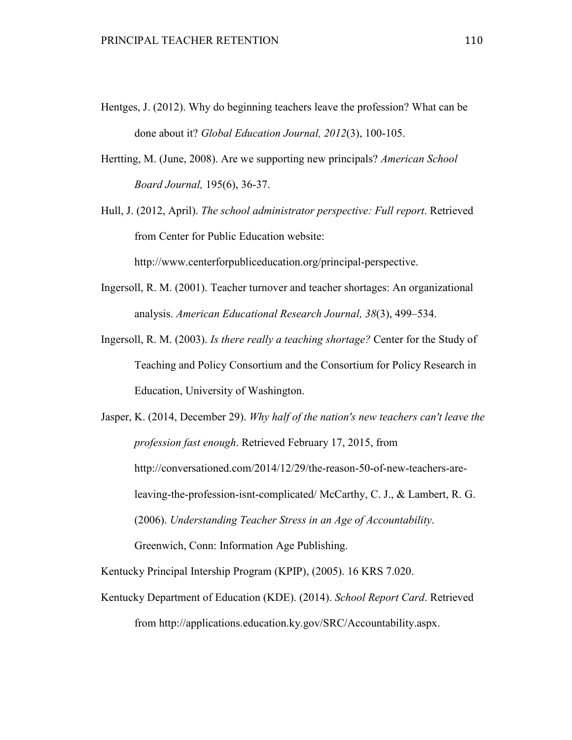- Hentges, J. (2012). Why do beginning teachers leave the profession? What can be done about it? *Global Education Journal, 2012*(3), 100-105.
- Hertting, M. (June, 2008). Are we supporting new principals? *American School Board Journal,* 195(6), 36-37.
- Hull, J. (2012, April). *The school administrator perspective: Full report*. Retrieved from Center for Public Education website:

http://www.centerforpubliceducation.org/principal-perspective.

- Ingersoll, R. M. (2001). Teacher turnover and teacher shortages: An organizational analysis. *American Educational Research Journal, 38*(3), 499–534.
- Ingersoll, R. M. (2003). *Is there really a teaching shortage?* Center for the Study of Teaching and Policy Consortium and the Consortium for Policy Research in Education, University of Washington.
- Jasper, K. (2014, December 29). *Why half of the nation's new teachers can't leave the profession fast enough*. Retrieved February 17, 2015, from http://conversationed.com/2014/12/29/the-reason-50-of-new-teachers-areleaving-the-profession-isnt-complicated/ McCarthy, C. J., & Lambert, R. G. (2006). *Understanding Teacher Stress in an Age of Accountability*. Greenwich, Conn: Information Age Publishing.

Kentucky Principal Intership Program (KPIP), (2005). 16 KRS 7.020.

Kentucky Department of Education (KDE). (2014). *School Report Card*. Retrieved from http://applications.education.ky.gov/SRC/Accountability.aspx.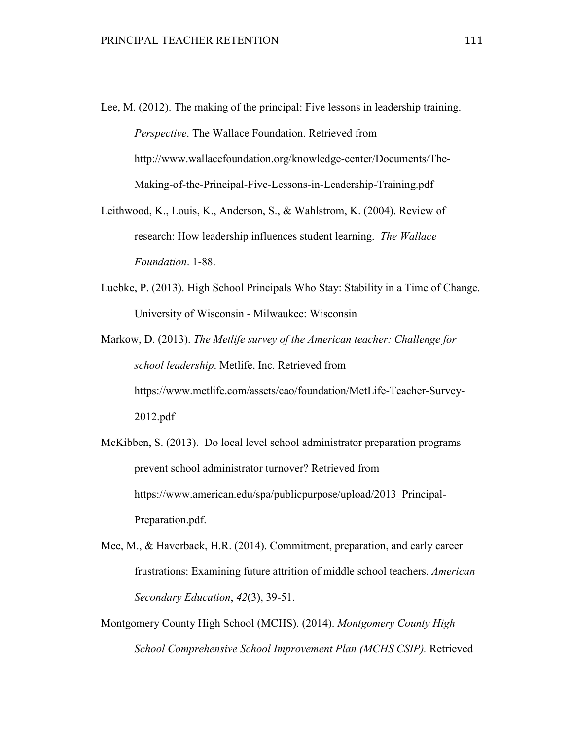- Lee, M. (2012). The making of the principal: Five lessons in leadership training. *Perspective*. The Wallace Foundation. Retrieved from http://www.wallacefoundation.org/knowledge-center/Documents/The-Making-of-the-Principal-Five-Lessons-in-Leadership-Training.pdf
- Leithwood, K., Louis, K., Anderson, S., & Wahlstrom, K. (2004). Review of research: How leadership influences student learning. *The Wallace Foundation*. 1-88.
- Luebke, P. (2013). High School Principals Who Stay: Stability in a Time of Change. University of Wisconsin - Milwaukee: Wisconsin
- Markow, D. (2013). *The Metlife survey of the American teacher: Challenge for school leadership*. Metlife, Inc. Retrieved from https://www.metlife.com/assets/cao/foundation/MetLife-Teacher-Survey-2012.pdf
- McKibben, S. (2013). Do local level school administrator preparation programs prevent school administrator turnover? Retrieved from https://www.american.edu/spa/publicpurpose/upload/2013 Principal-Preparation.pdf.
- Mee, M., & Haverback, H.R. (2014). Commitment, preparation, and early career frustrations: Examining future attrition of middle school teachers. *American Secondary Education*, *42*(3), 39-51.
- Montgomery County High School (MCHS). (2014). *Montgomery County High School Comprehensive School Improvement Plan (MCHS CSIP).* Retrieved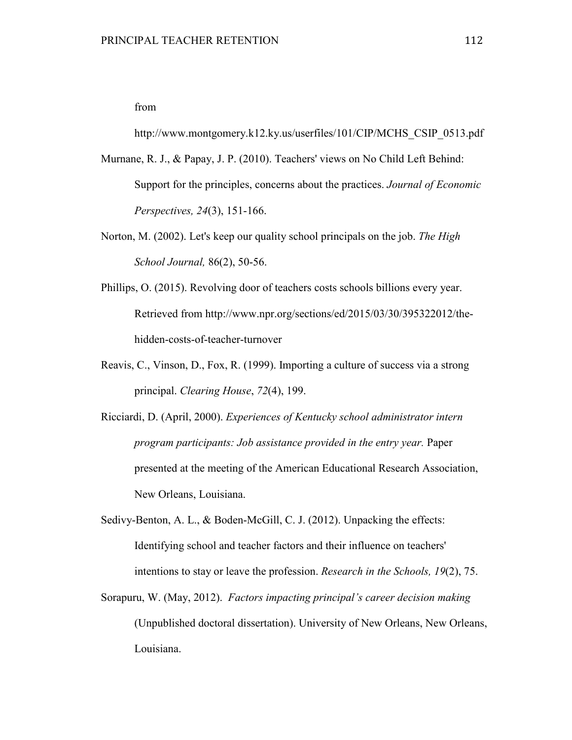from

http://www.montgomery.k12.ky.us/userfiles/101/CIP/MCHS\_CSIP\_0513.pdf

- Murnane, R. J., & Papay, J. P. (2010). Teachers' views on No Child Left Behind: Support for the principles, concerns about the practices. *Journal of Economic Perspectives, 24*(3), 151-166.
- Norton, M. (2002). Let's keep our quality school principals on the job. *The High School Journal,* 86(2), 50-56.
- Phillips, O. (2015). Revolving door of teachers costs schools billions every year. Retrieved from http://www.npr.org/sections/ed/2015/03/30/395322012/thehidden-costs-of-teacher-turnover
- Reavis, C., Vinson, D., Fox, R. (1999). Importing a culture of success via a strong principal. *Clearing House*, *72*(4), 199.
- Ricciardi, D. (April, 2000). *Experiences of Kentucky school administrator intern program participants: Job assistance provided in the entry year.* Paper presented at the meeting of the American Educational Research Association, New Orleans, Louisiana.

Sedivy-Benton, A. L., & Boden-McGill, C. J. (2012). Unpacking the effects: Identifying school and teacher factors and their influence on teachers' intentions to stay or leave the profession. *Research in the Schools, 19*(2), 75.

Sorapuru, W. (May, 2012). *Factors impacting principal's career decision making*  (Unpublished doctoral dissertation). University of New Orleans, New Orleans, Louisiana.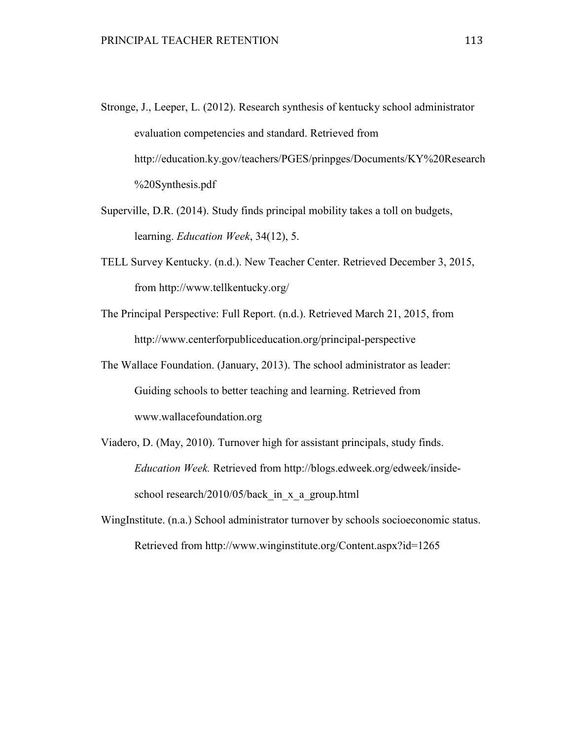- Stronge, J., Leeper, L. (2012). Research synthesis of kentucky school administrator evaluation competencies and standard. Retrieved from http://education.ky.gov/teachers/PGES/prinpges/Documents/KY%20Research %20Synthesis.pdf
- Superville, D.R. (2014). Study finds principal mobility takes a toll on budgets, learning. *Education Week*, 34(12), 5.
- TELL Survey Kentucky. (n.d.). New Teacher Center. Retrieved December 3, 2015, from http://www.tellkentucky.org/
- The Principal Perspective: Full Report. (n.d.). Retrieved March 21, 2015, from http://www.centerforpubliceducation.org/principal-perspective
- The Wallace Foundation. (January, 2013). The school administrator as leader: Guiding schools to better teaching and learning. Retrieved from www.wallacefoundation.org
- Viadero, D. (May, 2010). Turnover high for assistant principals, study finds. *Education Week.* Retrieved from http://blogs.edweek.org/edweek/insideschool research/2010/05/back in x a group.html
- WingInstitute. (n.a.) School administrator turnover by schools socioeconomic status. Retrieved from http://www.winginstitute.org/Content.aspx?id=1265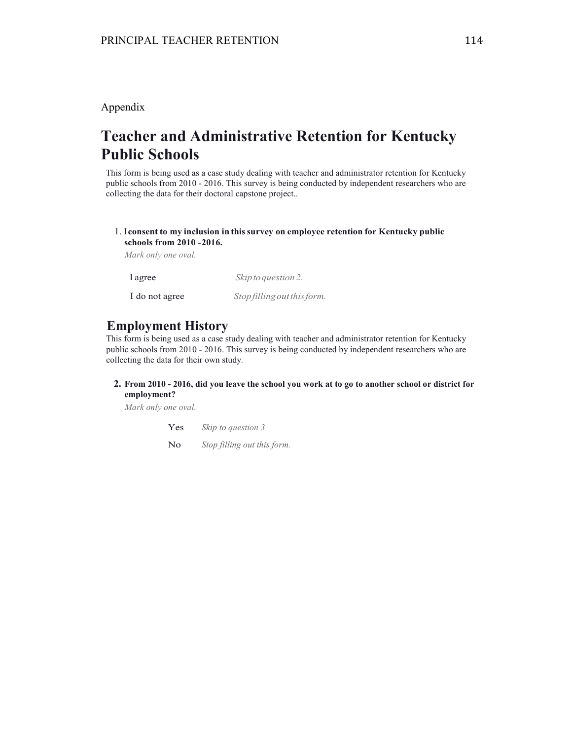### Appendix

# **Teacher and Administrative Retention for Kentucky Public Schools**

This form is being used as a case study dealing with teacher and administrator retention for Kentucky public schools from 2010 - 2016. This survey is being conducted by independent researchers who are collecting the data for their doctoral capstone project..

### 1. I **consent to my inclusion in this survey on employee retention for Kentucky public schools from 2010 - 2016.**

*Mark only one oval.*

| l agree        | Skip to question 2.         |
|----------------|-----------------------------|
| I do not agree | Stop filling out this form. |

## **Employment History**

This form is being used as a case study dealing with teacher and administrator retention for Kentucky public schools from 2010 - 2016. This survey is being conducted by independent researchers who are collecting the data for their own study.

### **2. From 2010 - 2016, did you leave the school you work at to go to another school or district for employment?**

*Mark only one oval.*

Yes *Skip to question 3*

No *Stop filling out this form.*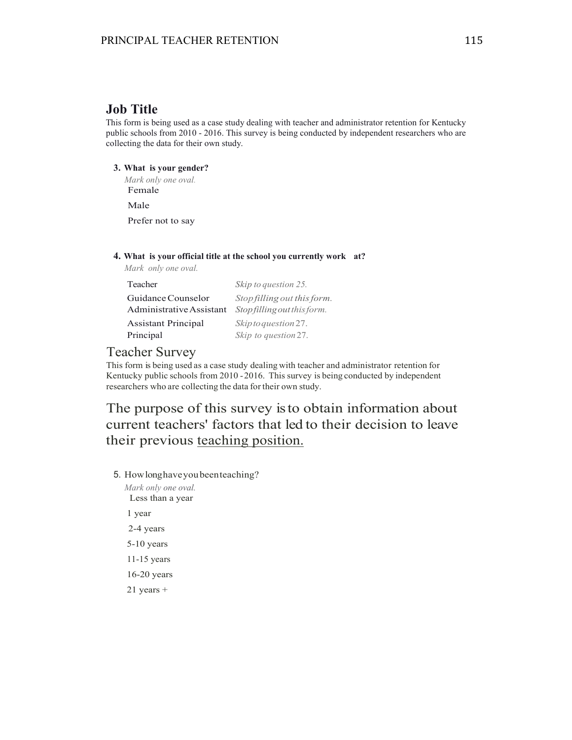## **Job Title**

This form is being used as a case study dealing with teacher and administrator retention for Kentucky public schools from 2010 - 2016. This survey is being conducted by independent researchers who are collecting the data for their own study.

### **3. What is your gender?**

*Mark only one oval.* Female

Male

Prefer not to say

### **4. What is your official title at the school you currently work at?**

*Mark only one oval.*

| Teacher                    | Skip to question 25.        |
|----------------------------|-----------------------------|
| Guidance Counselor         | Stop filling out this form. |
| Administrative Assistant   | Stopfilling out this form.  |
| <b>Assistant Principal</b> | Skip to question 27.        |
| Principal                  | Skip to question 27.        |

### Teacher Survey

This form is being used as a case study dealing with teacher and administrator retention for Kentucky public schools from 2010 - 2016. This survey is being conducted by independent researchers who are collecting the data for their own study.

The purpose of this survey is to obtain information about current teachers' factors that led to their decision to leave their previous teaching position.

5. How long have you been teaching?

*Mark only one oval.* Less than a year 1 year 2-4 years 5-10 years 11-15 years 16-20 years 21 years +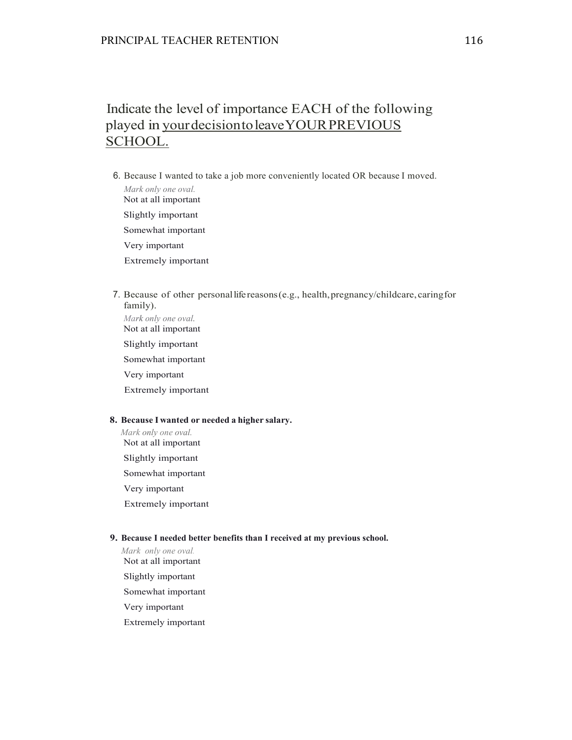## Indicate the level of importance EACH of the following played in your decision to leave YOUR PREVIOUS SCHOOL.

- 6. Because I wanted to take a job more conveniently located OR because I moved. *Mark only one oval.* Not at all important Slightly important Somewhat important Very important Extremely important
- 7. Because of other personal life reasons (e.g., health, pregnancy/childcare, caring for family).

*Mark only one oval.* Not at all important Slightly important

Somewhat important

Very important

Extremely important

### **8. Because I wanted or needed a higher salary.**

*Mark only one oval.* Not at all important Slightly important Somewhat important Very important Extremely important

### **9. Because I needed better benefits than I received at my previous school.**

- *Mark only one oval.* Not at all important Slightly important
- Somewhat important
- Very important
- Extremely important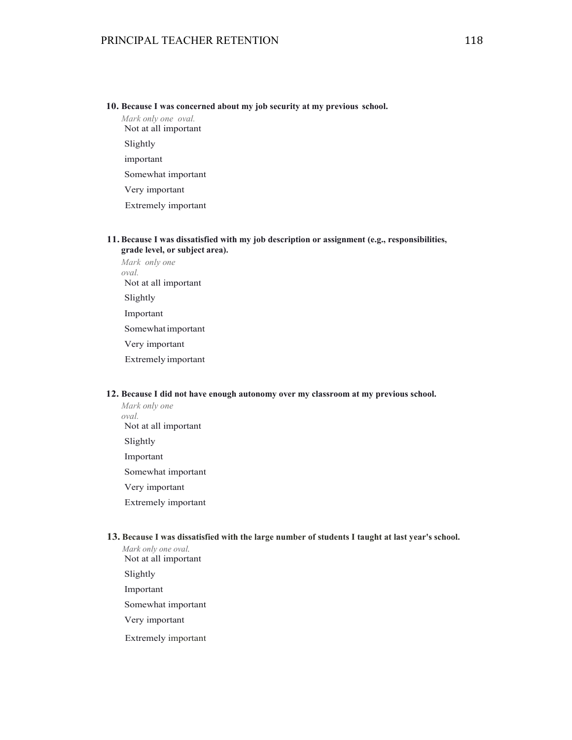#### **10. Because I was concerned about my job security at my previous school.**

*Mark only one oval.* Not at all important Slightly important Somewhat important Very important Extremely important

### **11. Because I was dissatisfied with my job description or assignment (e.g., responsibilities, grade level, or subject area).**

*Mark only one oval.* Not at all important Slightly Important Somewhat important Very important Extremely important

#### **12. Because I did not have enough autonomy over my classroom at my previous school.**

*Mark only one oval.* Not at all important Slightly Important Somewhat important Very important Extremely important

#### **13. Because I was dissatisfied with the large number of students I taught at last year's school.**

*Mark only one oval.* Not at all important Slightly Important Somewhat important Very important Extremely important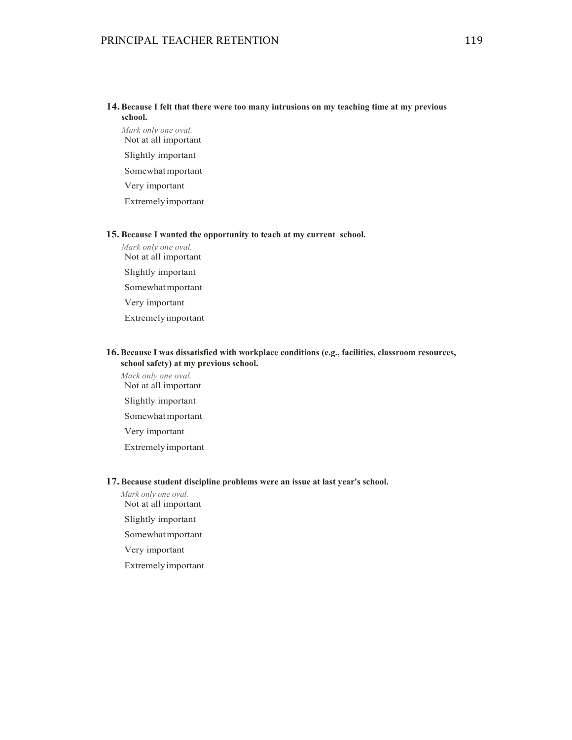### **14. Because I felt that there were too many intrusions on my teaching time at my previous school.**

*Mark only one oval.* Not at all important Slightly important Somewhat mportant Very important Extremely important

#### **15. Because I wanted the opportunity to teach at my current school.**

*Mark only one oval.* Not at all important Slightly important Somewhat mportant Very important Extremely important

### **16.Because I was dissatisfied with workplace conditions (e.g., facilities, classroom resources, school safety) at my previous school.**

*Mark only one oval.* Not at all important Slightly important Somewhat mportant Very important Extremely important

#### **17. Because student discipline problems were an issue at last year's school.**

*Mark only one oval.* Not at all important Slightly important Somewhat mportant Very important

Extremely important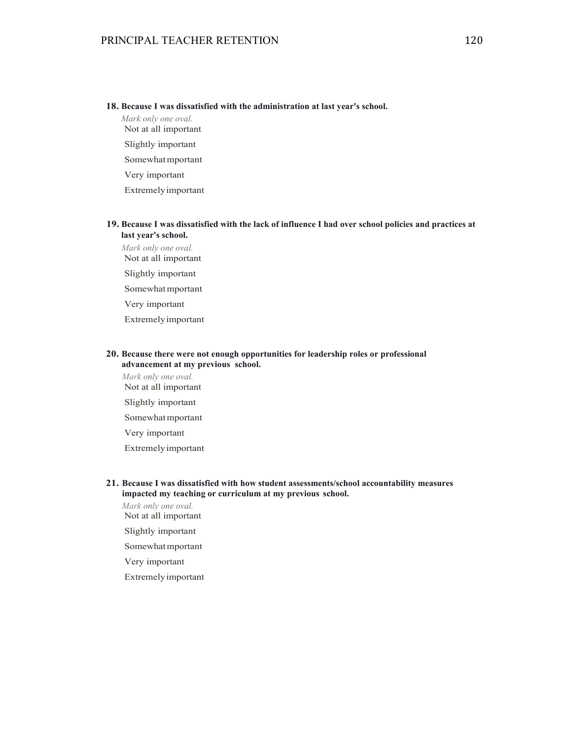#### **18. Because I was dissatisfied with the administration at last year's school.**

*Mark only one oval.* Not at all important Slightly important Somewhat mportant Very important Extremely important

### **19. Because I was dissatisfied with the lack of influence I had over school policies and practices at last year's school.**

*Mark only one oval.* Not at all important Slightly important Somewhat mportant Very important Extremely important

### **20. Because there were not enough opportunities for leadership roles or professional advancement at my previous school.**

*Mark only one oval.* Not at all important Slightly important Somewhat mportant Very important Extremely important

### **21. Because I was dissatisfied with how student assessments/school accountability measures impacted my teaching or curriculum at my previous school.**

*Mark only one oval.* Not at all important

Slightly important

Somewhat mportant

Very important

Extremely important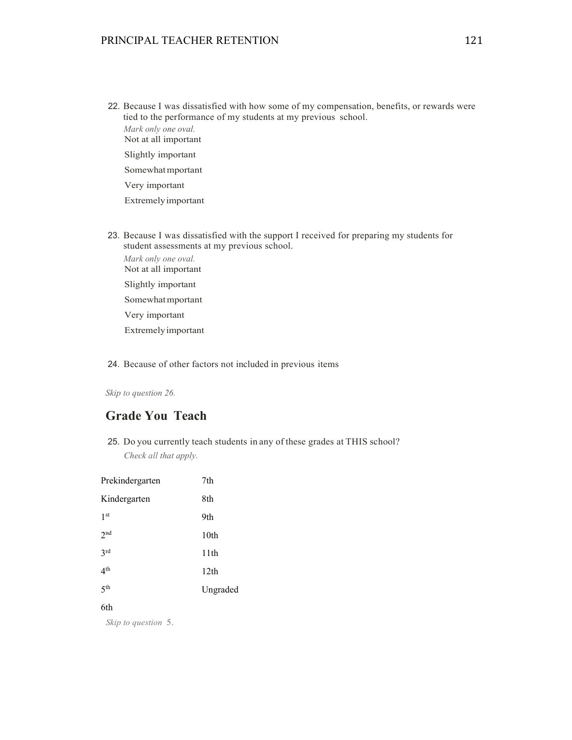22. Because I was dissatisfied with how some of my compensation, benefits, or rewards were tied to the performance of my students at my previous school. *Mark only one oval.* Not at all important

Slightly important

Somewhat mportant

Very important

Extremely important

- 23. Because I was dissatisfied with the support I received for preparing my students for student assessments at my previous school.
	- *Mark only one oval.* Not at all important Slightly important Somewhat mportant Very important

Extremely important

### 24. Because of other factors not included in previous items

*Skip to question 26.*

### **Grade You Teach**

25. Do you currently teach students in any of these grades at THIS school? *Check all that apply.*

| Prekindergarten     | 7th              |
|---------------------|------------------|
| Kindergarten        | 8th              |
| 1 <sup>st</sup>     | 9th              |
| 2 <sup>nd</sup>     | 10 <sub>th</sub> |
| 2rd                 | 11th             |
| $4^{\text{th}}$     | 12 <sub>th</sub> |
| $5$ <sup>th</sup>   | Ungraded         |
| 6th                 |                  |
| Skip to question 5. |                  |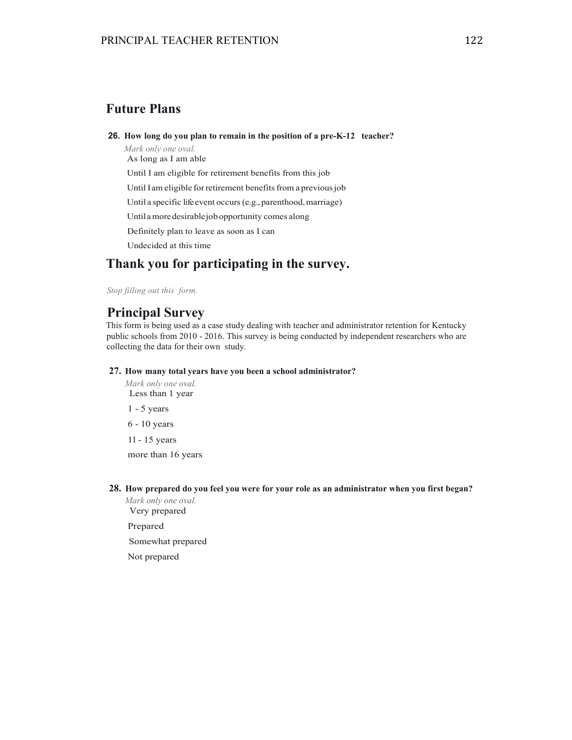## **Future Plans**

**26. How long do you plan to remain in the position of a pre-K-12 teacher?** 

*Mark only one oval.* As long as I am able Until I am eligible for retirement benefits from this job Until I am eligible for retirement benefits from a previous job Until a specific life event occurs (e.g., parenthood, marriage) Until a more desirable job opportunity comes along Definitely plan to leave as soon as I can Undecided at this time

## **Thank you for participating in the survey.**

*Stop filling out this form.*

### **Principal Survey**

This form is being used as a case study dealing with teacher and administrator retention for Kentucky public schools from 2010 - 2016. This survey is being conducted by independent researchers who are collecting the data for their own study.

### **27. How many total years have you been a school administrator?**

*Mark only one oval.* Less than 1 year 1 - 5 years 6 - 10 years 11 - 15 years

more than 16 years

**28. How prepared do you feel you were for your role as an administrator when you first began?**

*Mark only one oval.* Very prepared

Prepared

Somewhat prepared

Not prepared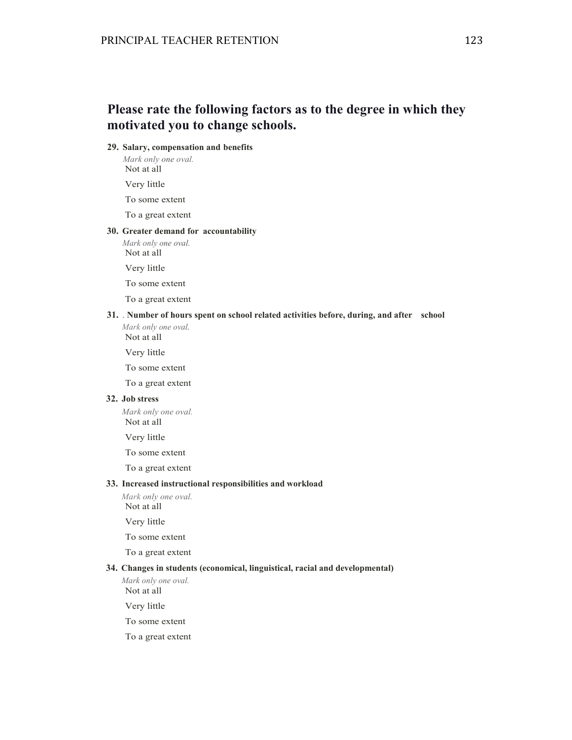## **Please rate the following factors as to the degree in which they motivated you to change schools.**

### **29. Salary, compensation and benefits**

*Mark only one oval.* Not at all

Very little

To some extent

To a great extent

#### **30. Greater demand for accountability**

*Mark only one oval.* Not at all

Very little

To some extent

To a great extent

### **31.** . **Number of hours spent on school related activities before, during, and after school**

*Mark only one oval.* Not at all

Very little

To some extent

To a great extent

#### **32. Job stress**

*Mark only one oval.* Not at all

Very little

To some extent

To a great extent

### **33. Increased instructional responsibilities and workload**

*Mark only one oval.* Not at all

Very little

To some extent

To a great extent

#### **34. Changes in students (economical, linguistical, racial and developmental)**

*Mark only one oval.* Not at all

Very little

To some extent

To a great extent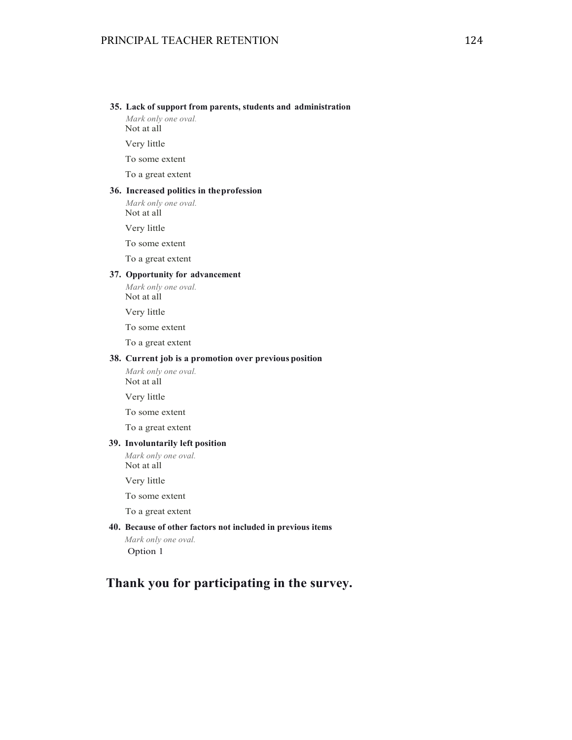#### **35. Lack of support from parents, students and administration**

*Mark only one oval.* Not at all

Very little

To some extent

To a great extent

### **36. Increased politics in the profession**

*Mark only one oval.* Not at all

Very little

To some extent

To a great extent

### **37. Opportunity for advancement**

*Mark only one oval.* Not at all

Very little

To some extent

To a great extent

#### **38. Current job is a promotion over previous position**

*Mark only one oval.* Not at all

Very little

To some extent

To a great extent

### **39. Involuntarily left position**

*Mark only one oval.* Not at all

Very little

To some extent

To a great extent

#### **40. Because of other factors not included in previous items**

*Mark only one oval.* Option 1

## **Thank you for participating in the survey.**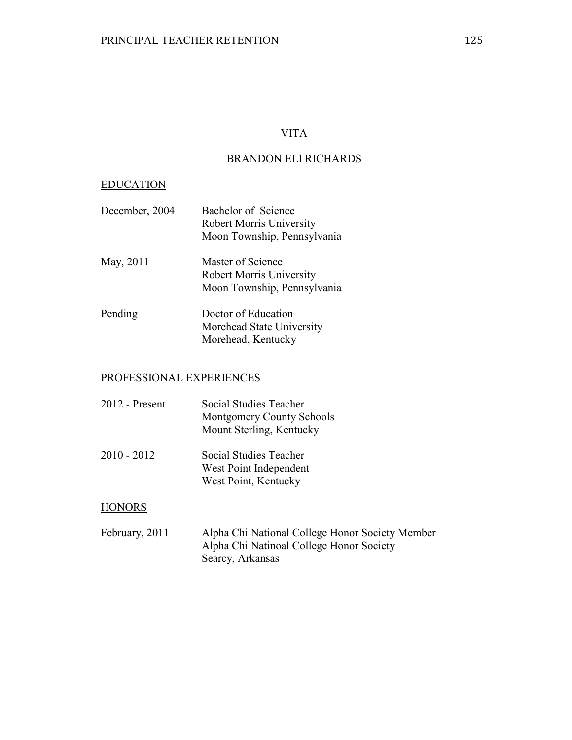### VITA

### BRANDON ELI RICHARDS

### EDUCATION

| December, 2004 | Bachelor of Science             |
|----------------|---------------------------------|
|                | <b>Robert Morris University</b> |
|                | Moon Township, Pennsylvania     |
| May, 2011      | Master of Science               |
|                | <b>Robert Morris University</b> |
|                | Moon Township, Pennsylvania     |
| Pending        | Doctor of Education             |
|                | Morehead State University       |
|                | Morehead, Kentucky              |

### PROFESSIONAL EXPERIENCES

| 2012 - Present | Social Studies Teacher<br>Montgomery County Schools<br>Mount Sterling, Kentucky |
|----------------|---------------------------------------------------------------------------------|
| 2010 - 2012    | Social Studies Teacher<br>West Point Independent<br>West Point, Kentucky        |

### **HONORS**

February, 2011 Alpha Chi National College Honor Society Member Alpha Chi Natinoal College Honor Society Searcy, Arkansas